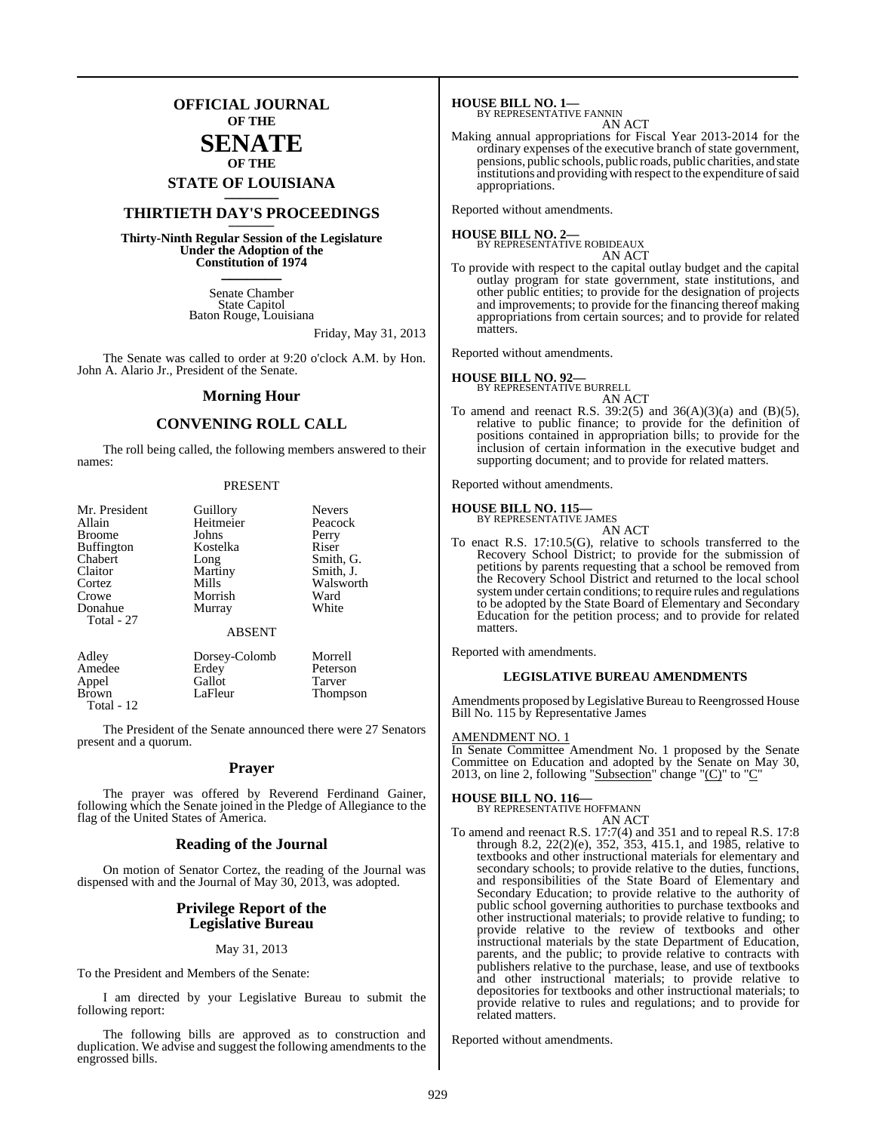**OFFICIAL JOURNAL OF THE**

## **SENATE OF THE**

**STATE OF LOUISIANA \_\_\_\_\_\_\_**

## **THIRTIETH DAY'S PROCEEDINGS \_\_\_\_\_\_\_**

**Thirty-Ninth Regular Session of the Legislature Under the Adoption of the Constitution of 1974 \_\_\_\_\_\_\_**

> Senate Chamber State Capitol Baton Rouge, Louisiana

> > Friday, May 31, 2013

The Senate was called to order at 9:20 o'clock A.M. by Hon. John A. Alario Jr., President of the Senate.

#### **Morning Hour**

#### **CONVENING ROLL CALL**

The roll being called, the following members answered to their names:

#### PRESENT

| Mr. President     | Guillory      | <b>Nevers</b> |
|-------------------|---------------|---------------|
| Allain            | Heitmeier     | Peacock       |
| <b>Broome</b>     | Johns         | Perry         |
| <b>Buffington</b> | Kostelka      | Riser         |
| Chabert           | Long          | Smith, G.     |
| Claitor           | Martiny       | Smith, J.     |
| Cortez            | Mills         | Walsworth     |
| Crowe             | Morrish       | Ward          |
| Donahue           | Murray        | White         |
| Total - 27        |               |               |
|                   | <b>ABSENT</b> |               |
| Adley             | Dorsey-Colomb | Morrell       |
| Amedee            | Erdey         | Peterson      |
| Appel             | Gallot        | Tarver        |
| Brown             | LaFleur       | Thompson      |

The President of the Senate announced there were 27 Senators present and a quorum.

#### **Prayer**

The prayer was offered by Reverend Ferdinand Gainer, following which the Senate joined in the Pledge of Allegiance to the flag of the United States of America.

#### **Reading of the Journal**

On motion of Senator Cortez, the reading of the Journal was dispensed with and the Journal of May 30, 2013, was adopted.

#### **Privilege Report of the Legislative Bureau**

#### May 31, 2013

To the President and Members of the Senate:

Total - 12

I am directed by your Legislative Bureau to submit the following report:

The following bills are approved as to construction and duplication. We advise and suggest the following amendments to the engrossed bills.

**HOUSE BILL NO. 1—** BY REPRESENTATIVE FANNIN

AN ACT

Making annual appropriations for Fiscal Year 2013-2014 for the ordinary expenses of the executive branch of state government, pensions, public schools, public roads, public charities, and state institutions and providing with respect to the expenditure of said appropriations.

Reported without amendments.

**HOUSE BILL NO. 2—** BY REPRESENTATIVE ROBIDEAUX AN ACT

To provide with respect to the capital outlay budget and the capital outlay program for state government, state institutions, and other public entities; to provide for the designation of projects and improvements; to provide for the financing thereof making appropriations from certain sources; and to provide for related matters.

Reported without amendments.

## **HOUSE BILL NO. 92—**

BY REPRESENTATIVE BURRELL AN ACT

To amend and reenact R.S.  $39:2(5)$  and  $36(A)(3)(a)$  and  $(B)(5)$ , relative to public finance; to provide for the definition of positions contained in appropriation bills; to provide for the inclusion of certain information in the executive budget and supporting document; and to provide for related matters.

Reported without amendments.

## **HOUSE BILL NO. 115—** BY REPRESENTATIVE JAMES

| BY REPRESENTATIVE JAMES |        |
|-------------------------|--------|
|                         | AN ACT |

To enact R.S. 17:10.5(G), relative to schools transferred to the Recovery School District; to provide for the submission of petitions by parents requesting that a school be removed from the Recovery School District and returned to the local school systemunder certain conditions; to require rules and regulations to be adopted by the State Board of Elementary and Secondary Education for the petition process; and to provide for related matters.

Reported with amendments.

#### **LEGISLATIVE BUREAU AMENDMENTS**

Amendments proposed by Legislative Bureau to Reengrossed House Bill No. 115 by Representative James

#### AMENDMENT NO. 1

In Senate Committee Amendment No. 1 proposed by the Senate Committee on Education and adopted by the Senate on May 30, 2013, on line 2, following "Subsection" change " $(C)$ " to " $C$ "

## **HOUSE BILL NO. 116—** BY REPRESENTATIVE HOFFMANN

AN ACT

To amend and reenact R.S. 17:7(4) and 351 and to repeal R.S. 17:8 through 8.2, 22(2)(e), 352, 353, 415.1, and 1985, relative to textbooks and other instructional materials for elementary and secondary schools; to provide relative to the duties, functions, and responsibilities of the State Board of Elementary and Secondary Education; to provide relative to the authority of public school governing authorities to purchase textbooks and other instructional materials; to provide relative to funding; to provide relative to the review of textbooks and other instructional materials by the state Department of Education, parents, and the public; to provide relative to contracts with publishers relative to the purchase, lease, and use of textbooks and other instructional materials; to provide relative to depositories for textbooks and other instructional materials; to provide relative to rules and regulations; and to provide for related matters.

Reported without amendments.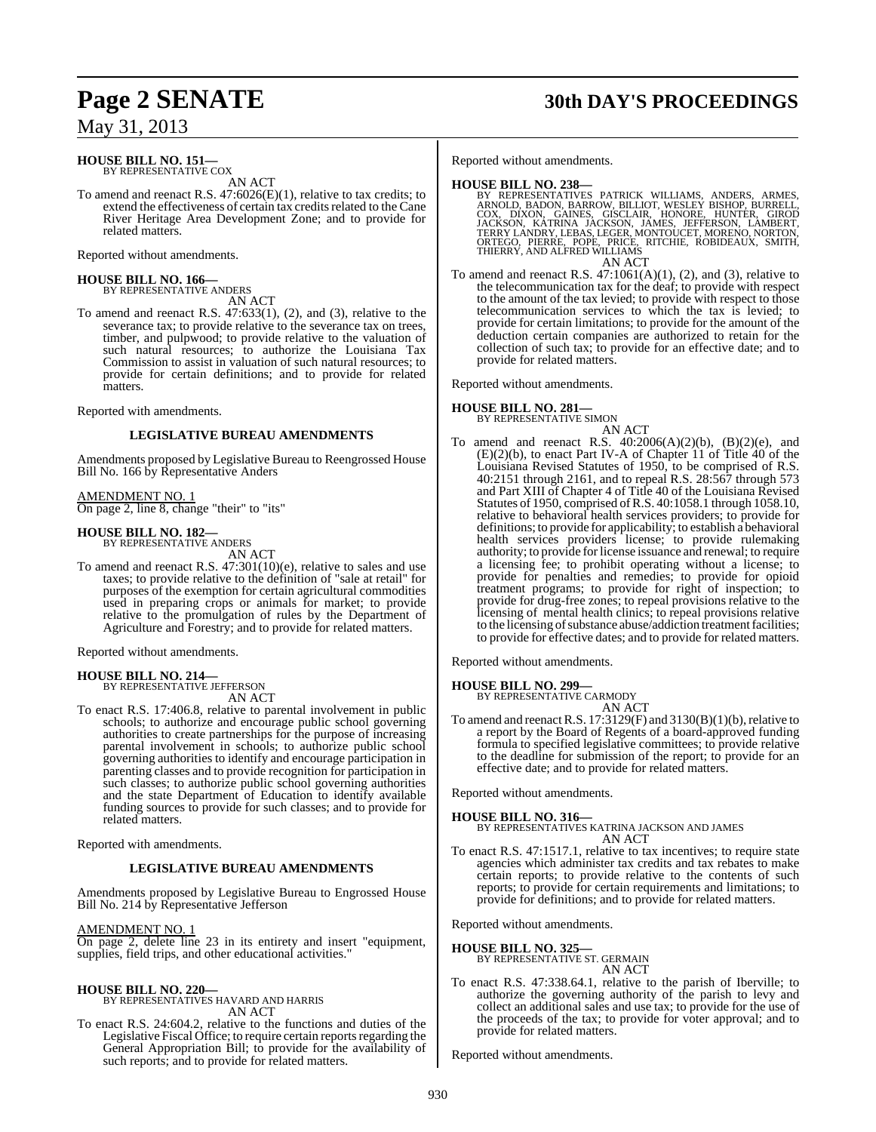# **Page 2 SENATE 30th DAY'S PROCEEDINGS**

May 31, 2013

#### **HOUSE BILL NO. 151—** BY REPRESENTATIVE COX

AN ACT

To amend and reenact R.S. 47:6026(E)(1), relative to tax credits; to extend the effectiveness of certain tax credits related to the Cane River Heritage Area Development Zone; and to provide for related matters.

Reported without amendments.

# **HOUSE BILL NO. 166—** BY REPRESENTATIVE ANDERS

AN ACT

To amend and reenact R.S. 47:633(1), (2), and (3), relative to the severance tax; to provide relative to the severance tax on trees, timber, and pulpwood; to provide relative to the valuation of such natural resources; to authorize the Louisiana Tax Commission to assist in valuation of such natural resources; to provide for certain definitions; and to provide for related matters.

Reported with amendments.

#### **LEGISLATIVE BUREAU AMENDMENTS**

Amendments proposed by Legislative Bureau to Reengrossed House Bill No. 166 by Representative Anders

AMENDMENT NO. 1

On page 2, line 8, change "their" to "its"

## **HOUSE BILL NO. 182—** BY REPRESENTATIVE ANDERS

AN ACT

To amend and reenact R.S. 47:301(10)(e), relative to sales and use taxes; to provide relative to the definition of "sale at retail" for purposes of the exemption for certain agricultural commodities used in preparing crops or animals for market; to provide relative to the promulgation of rules by the Department of Agriculture and Forestry; and to provide for related matters.

Reported without amendments.

#### **HOUSE BILL NO. 214—** BY REPRESENTATIVE JEFFERSON

AN ACT

To enact R.S. 17:406.8, relative to parental involvement in public schools; to authorize and encourage public school governing authorities to create partnerships for the purpose of increasing parental involvement in schools; to authorize public school governing authorities to identify and encourage participation in parenting classes and to provide recognition for participation in such classes; to authorize public school governing authorities and the state Department of Education to identify available funding sources to provide for such classes; and to provide for related matters.

Reported with amendments.

#### **LEGISLATIVE BUREAU AMENDMENTS**

Amendments proposed by Legislative Bureau to Engrossed House Bill No. 214 by Representative Jefferson

AMENDMENT NO. 1

On page 2, delete line 23 in its entirety and insert "equipment, supplies, field trips, and other educational activities."

## **HOUSE BILL NO. 220—** BY REPRESENTATIVES HAVARD AND HARRIS

AN ACT

To enact R.S. 24:604.2, relative to the functions and duties of the Legislative Fiscal Office; to require certain reports regarding the General Appropriation Bill; to provide for the availability of such reports; and to provide for related matters.

Reported without amendments.

#### **HOUSE BILL NO. 238—**

- BY REPRESENTATIVES PATRICK WILLIAMS, ANDERS, ARMES,<br>ARNOLD, BADON, BARROW, BILLIOT, WESLEY BISHOP, BURRELL,<br>COX, DIXON, GAINES, GISCLAIR, HONORE, HUNTER, GIROD<br>JACKSON, KATRINA JACKSON, JAMES, JEFFERSON, LAMBERT,<br>TERRY LAN AN ACT
- To amend and reenact R.S.  $47:1061(A)(1)$ ,  $(2)$ , and  $(3)$ , relative to the telecommunication tax for the deaf; to provide with respect to the amount of the tax levied; to provide with respect to those telecommunication services to which the tax is levied; to provide for certain limitations; to provide for the amount of the deduction certain companies are authorized to retain for the collection of such tax; to provide for an effective date; and to provide for related matters.

Reported without amendments.

## **HOUSE BILL NO. 281—** BY REPRESENTATIVE SIMON

AN ACT

To amend and reenact R.S. 40:2006(A)(2)(b), (B)(2)(e), and (E)(2)(b), to enact Part IV-A of Chapter 11 of Title 40 of the Louisiana Revised Statutes of 1950, to be comprised of R.S. 40:2151 through 2161, and to repeal R.S. 28:567 through 573 and Part XIII of Chapter 4 of Title 40 of the Louisiana Revised Statutes of 1950, comprised ofR.S. 40:1058.1 through 1058.10, relative to behavioral health services providers; to provide for definitions; to provide for applicability; to establish a behavioral health services providers license; to provide rulemaking authority; to provide for license issuance and renewal; to require a licensing fee; to prohibit operating without a license; to provide for penalties and remedies; to provide for opioid treatment programs; to provide for right of inspection; to provide for drug-free zones; to repeal provisions relative to the licensing of mental health clinics; to repeal provisions relative to the licensing of substance abuse/addiction treatment facilities; to provide for effective dates; and to provide for related matters.

Reported without amendments.

# **HOUSE BILL NO. 299—** BY REPRESENTATIVE CARMODY

AN ACT

To amend and reenact R.S.  $17:3129(F)$  and  $3130(B)(1)(b)$ , relative to a report by the Board of Regents of a board-approved funding formula to specified legislative committees; to provide relative to the deadline for submission of the report; to provide for an effective date; and to provide for related matters.

Reported without amendments.

**HOUSE BILL NO. 316—** BY REPRESENTATIVES KATRINA JACKSON AND JAMES AN ACT

To enact R.S. 47:1517.1, relative to tax incentives; to require state agencies which administer tax credits and tax rebates to make certain reports; to provide relative to the contents of such reports; to provide for certain requirements and limitations; to provide for definitions; and to provide for related matters.

Reported without amendments.

**HOUSE BILL NO. 325—** BY REPRESENTATIVE ST. GERMAIN AN ACT

To enact R.S. 47:338.64.1, relative to the parish of Iberville; to authorize the governing authority of the parish to levy and collect an additional sales and use tax; to provide for the use of the proceeds of the tax; to provide for voter approval; and to provide for related matters.

Reported without amendments.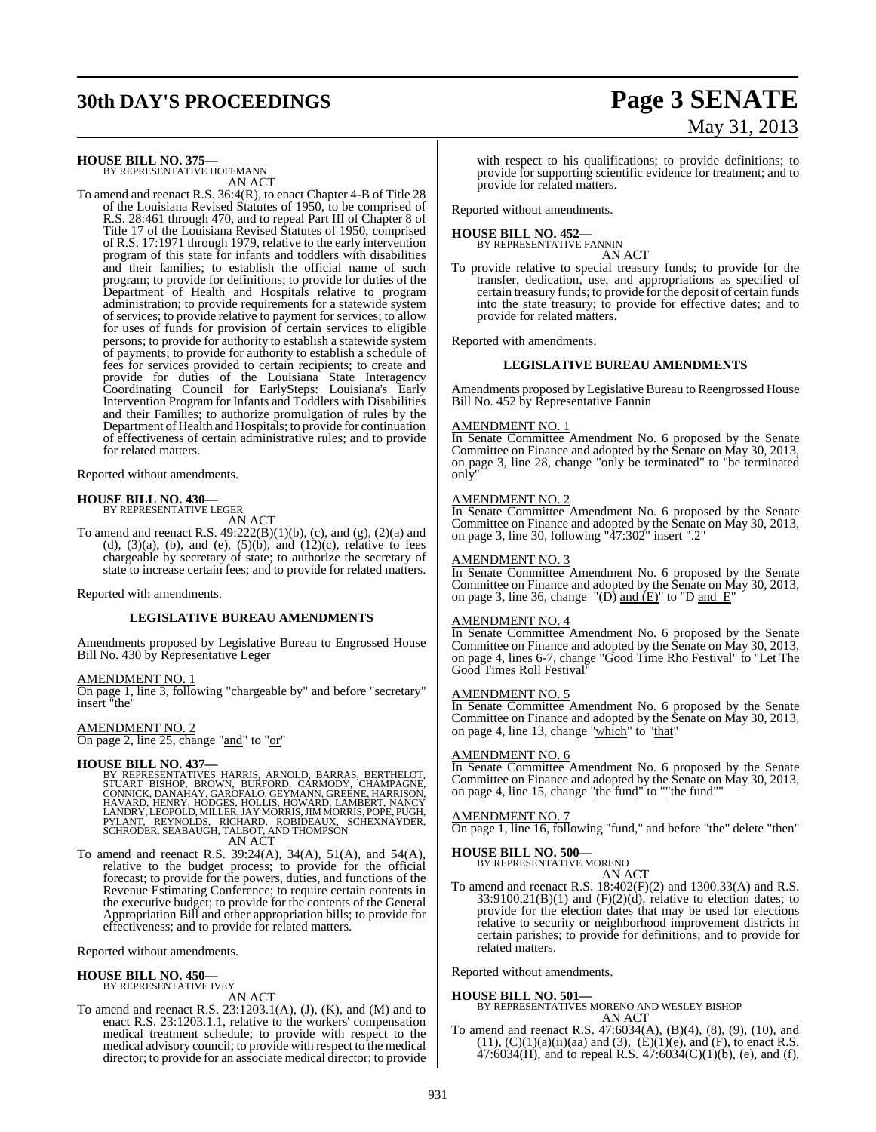# **30th DAY'S PROCEEDINGS Page 3 SENATE**

# May 31, 2013

**HOUSE BILL NO. 375—** BY REPRESENTATIVE HOFFMANN

AN ACT To amend and reenact R.S. 36:4(R), to enact Chapter 4-B of Title 28 of the Louisiana Revised Statutes of 1950, to be comprised of R.S. 28:461 through 470, and to repeal Part III of Chapter 8 of Title 17 of the Louisiana Revised Statutes of 1950, comprised of R.S. 17:1971 through 1979, relative to the early intervention program of this state for infants and toddlers with disabilities and their families; to establish the official name of such program; to provide for definitions; to provide for duties of the Department of Health and Hospitals relative to program administration; to provide requirements for a statewide system of services; to provide relative to payment for services; to allow for uses of funds for provision of certain services to eligible persons; to provide for authority to establish a statewide system of payments; to provide for authority to establish a schedule of fees for services provided to certain recipients; to create and provide for duties of the Louisiana State Interagency Coordinating Council for EarlySteps: Louisiana's Early Intervention Program for Infants and Toddlers with Disabilities and their Families; to authorize promulgation of rules by the Department of Health and Hospitals; to provide for continuation of effectiveness of certain administrative rules; and to provide for related matters.

Reported without amendments.

# **HOUSE BILL NO. 430—** BY REPRESENTATIVE LEGER

AN ACT

To amend and reenact R.S.  $49:222(B)(1)(b)$ , (c), and (g), (2)(a) and (d),  $(3)(a)$ , (b), and (e),  $(5)(b)$ , and  $(12)(c)$ , relative to fees chargeable by secretary of state; to authorize the secretary of state to increase certain fees; and to provide for related matters.

Reported with amendments.

#### **LEGISLATIVE BUREAU AMENDMENTS**

Amendments proposed by Legislative Bureau to Engrossed House Bill No. 430 by Representative Leger

#### AMENDMENT NO. 1

On page 1, line 3, following "chargeable by" and before "secretary" insert "the"

AMENDMENT NO. 2 On page 2, line 25, change "and" to "or"

#### **HOUSE BILL NO. 437—**

BY REPRESENTATIVES HARRIS, ARNOLD, BARRAS, BERTHELOT,<br>STUART BISHOP, BROWN, BURFORD, CARMODY, CHAMPAGNE,<br>CONNICK, DANAHAY, GAROFALO, GEYMANN, GREENE, HARRISON,<br>HAVARD, HENRY, HODGES, HOLLIS, HOWARD, LAMBERT, NANCY<br>LANDRY, AN ACT

To amend and reenact R.S. 39:24(A), 34(A), 51(A), and 54(A), relative to the budget process; to provide for the official forecast; to provide for the powers, duties, and functions of the Revenue Estimating Conference; to require certain contents in the executive budget; to provide for the contents of the General Appropriation Bill and other appropriation bills; to provide for effectiveness; and to provide for related matters.

Reported without amendments.

# **HOUSE BILL NO. 450—** BY REPRESENTATIVE IVEY

#### AN ACT

To amend and reenact R.S. 23:1203.1(A), (J), (K), and (M) and to enact R.S. 23:1203.1.1, relative to the workers' compensation medical treatment schedule; to provide with respect to the medical advisory council; to provide with respect to the medical director; to provide for an associate medical director; to provide

with respect to his qualifications; to provide definitions; to provide for supporting scientific evidence for treatment; and to provide for related matters.

Reported without amendments.

#### **HOUSE BILL NO. 452—**

BY REPRESENTATIVE FANNIN AN ACT

To provide relative to special treasury funds; to provide for the transfer, dedication, use, and appropriations as specified of certain treasury funds; to provide for the deposit of certain funds into the state treasury; to provide for effective dates; and to provide for related matters.

Reported with amendments.

#### **LEGISLATIVE BUREAU AMENDMENTS**

Amendments proposed by Legislative Bureau to Reengrossed House Bill No. 452 by Representative Fannin

#### AMENDMENT NO. 1

In Senate Committee Amendment No. 6 proposed by the Senate Committee on Finance and adopted by the Senate on May 30, 2013, on page 3, line 28, change "only be terminated" to "be terminated only"

#### AMENDMENT NO. 2

In Senate Committee Amendment No. 6 proposed by the Senate Committee on Finance and adopted by the Senate on May 30, 2013, on page 3, line 30, following "47:302" insert ".2"

#### AMENDMENT NO. 3

In Senate Committee Amendment No. 6 proposed by the Senate Committee on Finance and adopted by the Senate on May 30, 2013, on page 3, line 36, change "(D) and  $(E)$ " to "D and  $E'$ 

#### AMENDMENT NO. 4

In Senate Committee Amendment No. 6 proposed by the Senate Committee on Finance and adopted by the Senate on May 30, 2013, on page 4, lines 6-7, change "Good Time Rho Festival" to "Let The Good Times Roll Festival"

#### AMENDMENT NO. 5

In Senate Committee Amendment No. 6 proposed by the Senate Committee on Finance and adopted by the Senate on May 30, 2013, on page 4, line 13, change "which" to "that"

#### AMENDMENT NO. 6

In Senate Committee Amendment No. 6 proposed by the Senate Committee on Finance and adopted by the Senate on May 30, 2013, on page 4, line 15, change "the fund" to "the fund"

#### AMENDMENT NO. 7

On page 1, line 16, following "fund," and before "the" delete "then"

#### **HOUSE BILL NO. 500—**

BY REPRESENTATIVE MORENO

AN ACT To amend and reenact R.S. 18:402(F)(2) and 1300.33(A) and R.S.  $33:9100.21(B)(1)$  and  $(F)(2)(d)$ , relative to election dates; to provide for the election dates that may be used for elections relative to security or neighborhood improvement districts in certain parishes; to provide for definitions; and to provide for related matters.

Reported without amendments.

#### **HOUSE BILL NO. 501—**

BY REPRESENTATIVES MORENO AND WESLEY BISHOP AN ACT

To amend and reenact R.S. 47:6034(A), (B)(4), (8), (9), (10), and  $(11)$ ,  $(C)(1)(a)(ii)(aa)$  and  $(3)$ ,  $(E)(1)(e)$ , and  $(F)$ , to enact R.S. 47:6034(H), and to repeal R.S. 47:6034(C)(1)(b), (e), and (f),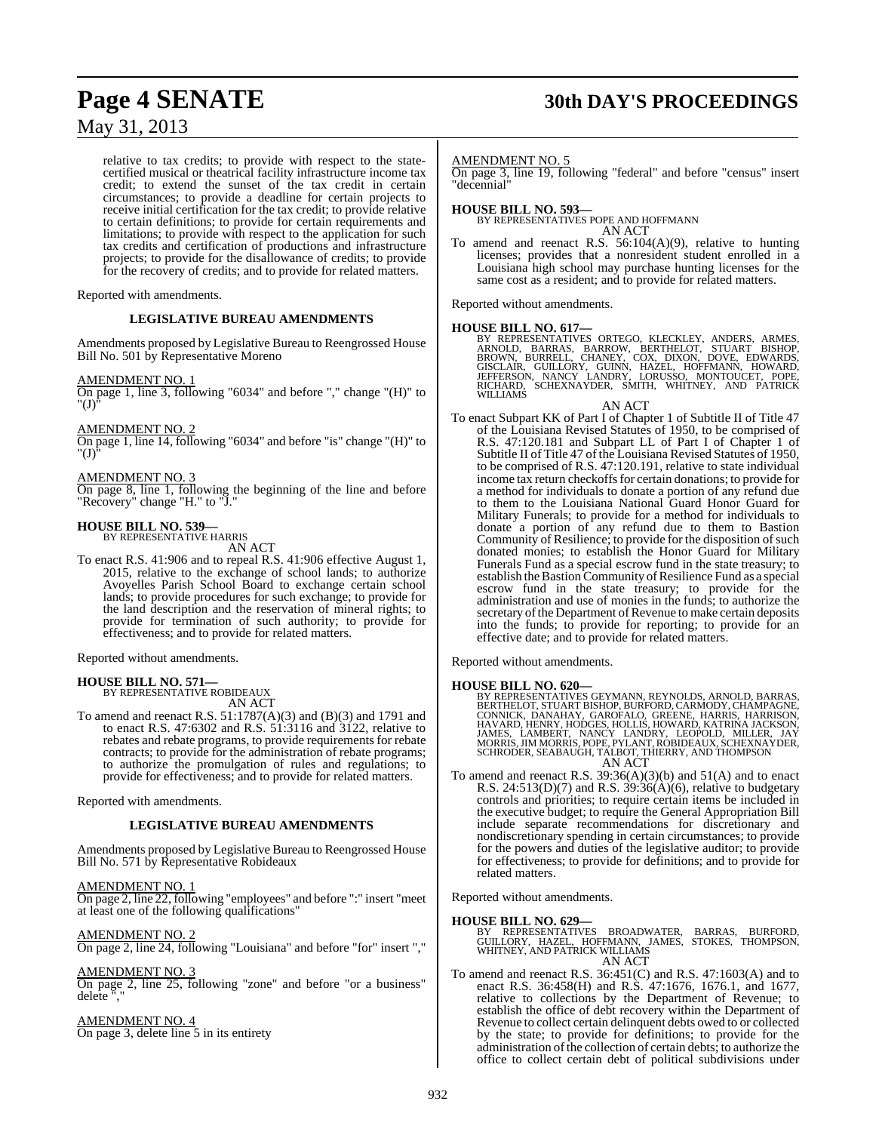# **Page 4 SENATE 30th DAY'S PROCEEDINGS**

May 31, 2013

relative to tax credits; to provide with respect to the statecertified musical or theatrical facility infrastructure income tax credit; to extend the sunset of the tax credit in certain circumstances; to provide a deadline for certain projects to receive initial certification for the tax credit; to provide relative to certain definitions; to provide for certain requirements and limitations; to provide with respect to the application for such tax credits and certification of productions and infrastructure projects; to provide for the disallowance of credits; to provide for the recovery of credits; and to provide for related matters.

Reported with amendments.

#### **LEGISLATIVE BUREAU AMENDMENTS**

Amendments proposed by Legislative Bureau to Reengrossed House Bill No. 501 by Representative Moreno

#### AMENDMENT NO. 1

On page 1, line 3, following "6034" and before "," change "(H)" to  $^{\prime}$ (I)

#### AMENDMENT NO. 2

On page 1, line 14, following "6034" and before "is" change "(H)" to "(J)"

#### AMENDMENT NO. 3

On page 8, line 1, following the beginning of the line and before "Recovery" change "H." to "J."

# **HOUSE BILL NO. 539—** BY REPRESENTATIVE HARRIS

AN ACT

To enact R.S. 41:906 and to repeal R.S. 41:906 effective August 1, 2015, relative to the exchange of school lands; to authorize Avoyelles Parish School Board to exchange certain school lands; to provide procedures for such exchange; to provide for the land description and the reservation of mineral rights; to provide for termination of such authority; to provide for effectiveness; and to provide for related matters.

Reported without amendments.

#### **HOUSE BILL NO. 571—** BY REPRESENTATIVE ROBIDEAUX

AN ACT

To amend and reenact R.S. 51:1787(A)(3) and (B)(3) and 1791 and to enact R.S. 47:6302 and R.S. 51:3116 and 3122, relative to rebates and rebate programs, to provide requirements for rebate contracts; to provide for the administration of rebate programs; to authorize the promulgation of rules and regulations; to provide for effectiveness; and to provide for related matters.

Reported with amendments.

#### **LEGISLATIVE BUREAU AMENDMENTS**

Amendments proposed by Legislative Bureau to Reengrossed House Bill No. 571 by Representative Robideaux

#### AMENDMENT NO. 1

On page 2, line 22, following "employees" and before ":" insert "meet at least one of the following qualifications"

#### AMENDMENT NO. 2

On page 2, line 24, following "Louisiana" and before "for" insert ","

#### AMENDMENT NO. 3

On page 2, line 25, following "zone" and before "or a business" delete ","

#### AMENDMENT NO. 4 On page 3, delete line 5 in its entirety

AMENDMENT NO. 5

On page 3, line 19, following "federal" and before "census" insert "decennial"

### **HOUSE BILL NO. 593—** BY REPRESENTATIVES POPE AND HOFFMANN AN ACT

To amend and reenact R.S. 56:104(A)(9), relative to hunting licenses; provides that a nonresident student enrolled in a Louisiana high school may purchase hunting licenses for the same cost as a resident; and to provide for related matters.

Reported without amendments.

**HOUSE BILL NO. 617—**<br>BY REPRESENTATIVES ORTEGO, KLECKLEY, ANDERS, ARMES, ARNOLD, BARRAS, BARROW, BERTHELOT, STUART BISHOP,<br>BROWN, BURRELL, CHANEY, COX, DIXON, DOVE, EDWARDS,<br>GISCLAIR, GUILLORY, GUINN, HAZEL, HOFFMANN, HOW

#### AN ACT

To enact Subpart KK of Part I of Chapter 1 of Subtitle II of Title 47 of the Louisiana Revised Statutes of 1950, to be comprised of R.S. 47:120.181 and Subpart LL of Part I of Chapter 1 of Subtitle II of Title 47 of the Louisiana Revised Statutes of 1950, to be comprised of R.S. 47:120.191, relative to state individual income tax return checkoffs for certain donations; to provide for a method for individuals to donate a portion of any refund due to them to the Louisiana National Guard Honor Guard for Military Funerals; to provide for a method for individuals to donate a portion of any refund due to them to Bastion Community of Resilience; to provide for the disposition of such donated monies; to establish the Honor Guard for Military Funerals Fund as a special escrow fund in the state treasury; to establish the Bastion Community of Resilience Fund as a special escrow fund in the state treasury; to provide for the administration and use of monies in the funds; to authorize the secretary of the Department of Revenue to make certain deposits into the funds; to provide for reporting; to provide for an effective date; and to provide for related matters.

Reported without amendments.

#### **HOUSE BILL NO. 620—**

BY REPRESENTATIVES GEYMANN, REYNOLDS, ARNOLD, BARRAS,<br>BERTHELOT, STUART BISHOP, BURFORD, CARMODY, CHAMPAGNE,<br>CONNICK, DANAHAY, GAROFALO, GREENE, HARRIS, HARRISON,<br>HAVARD, HENRY, HODGES, HOLLIS, HOWARD, KATRINA JACKSON,<br>JAM AN ACT

To amend and reenact R.S. 39:36(A)(3)(b) and 51(A) and to enact R.S.  $24:513(D)(7)$  and R.S.  $39:36(A)(6)$ , relative to budgetary controls and priorities; to require certain items be included in the executive budget; to require the General Appropriation Bill include separate recommendations for discretionary and nondiscretionary spending in certain circumstances; to provide for the powers and duties of the legislative auditor; to provide for effectiveness; to provide for definitions; and to provide for related matters.

Reported without amendments.

**HOUSE BILL NO. 629—** BY REPRESENTATIVES BROADWATER, BARRAS, BURFORD, GUILLORY, HAZEL, HOFFMANN, JAMES, STOKES, THOMPSON, WHITNEY, AND PATRICK WILLIAMS AN ACT

To amend and reenact R.S. 36:451(C) and R.S. 47:1603(A) and to enact R.S. 36:458(H) and R.S. 47:1676, 1676.1, and 1677, relative to collections by the Department of Revenue; to establish the office of debt recovery within the Department of Revenue to collect certain delinquent debts owed to or collected by the state; to provide for definitions; to provide for the administration of the collection of certain debts; to authorize the office to collect certain debt of political subdivisions under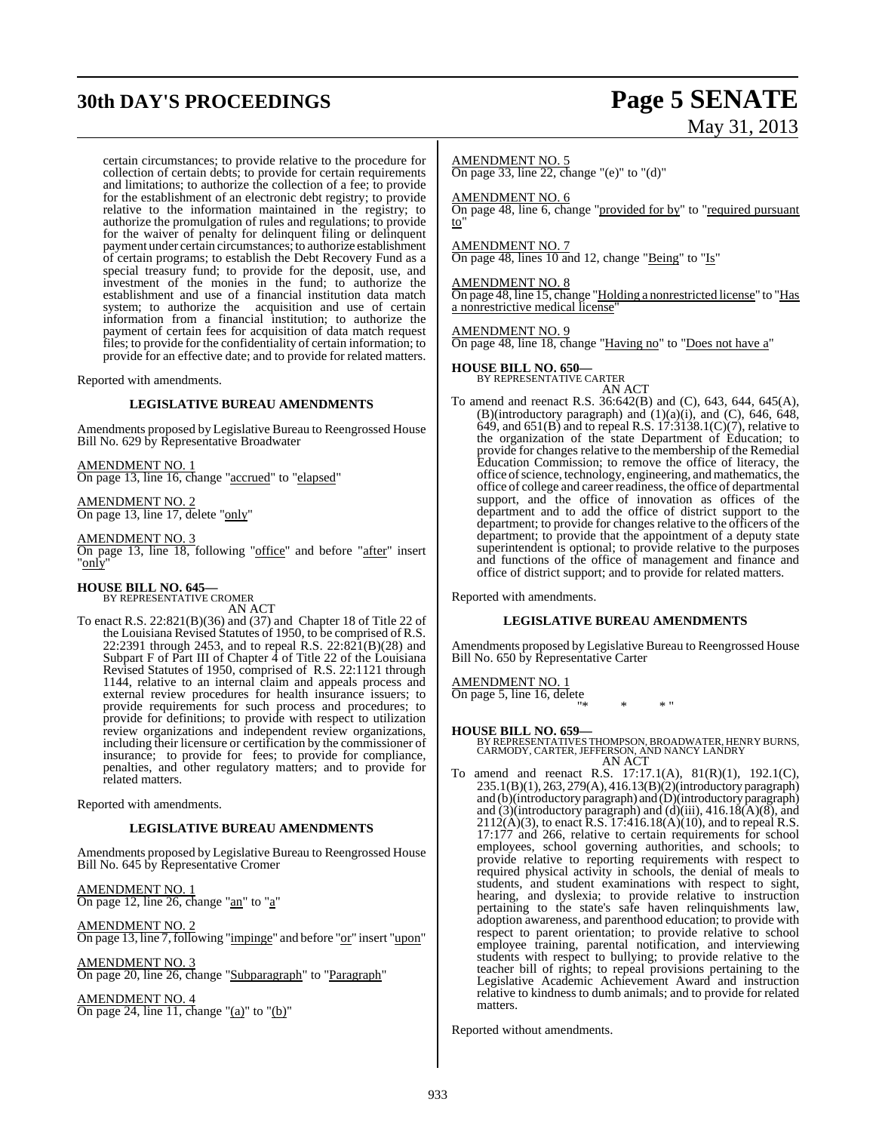# **30th DAY'S PROCEEDINGS Page 5 SENATE**

#### certain circumstances; to provide relative to the procedure for collection of certain debts; to provide for certain requirements and limitations; to authorize the collection of a fee; to provide for the establishment of an electronic debt registry; to provide relative to the information maintained in the registry; to authorize the promulgation of rules and regulations; to provide for the waiver of penalty for delinquent filing or delinquent payment under certain circumstances; to authorize establishment of certain programs; to establish the Debt Recovery Fund as a special treasury fund; to provide for the deposit, use, and investment of the monies in the fund; to authorize the establishment and use of a financial institution data match system; to authorize the acquisition and use of certain information from a financial institution; to authorize the payment of certain fees for acquisition of data match request files; to provide for the confidentiality of certain information; to provide for an effective date; and to provide for related matters.

Reported with amendments.

#### **LEGISLATIVE BUREAU AMENDMENTS**

Amendments proposed by Legislative Bureau to Reengrossed House Bill No. 629 by Representative Broadwater

AMENDMENT NO. 1 On page 13, line 16, change "accrued" to "elapsed"

AMENDMENT NO. 2 On page 13, line 17, delete "only"

AMENDMENT NO. 3 On page 13, line 18, following "office" and before "after" insert "<u>only</u>"

**HOUSE BILL NO. 645—** BY REPRESENTATIVE CROMER AN ACT

To enact R.S. 22:821(B)(36) and (37) and Chapter 18 of Title 22 of the Louisiana Revised Statutes of 1950, to be comprised of R.S. 22:2391 through 2453, and to repeal R.S. 22:821(B)(28) and Subpart F of Part III of Chapter  $\hat{4}$  of Title 22 of the Louisiana Revised Statutes of 1950, comprised of R.S. 22:1121 through 1144, relative to an internal claim and appeals process and external review procedures for health insurance issuers; to provide requirements for such process and procedures; to provide for definitions; to provide with respect to utilization review organizations and independent review organizations, including their licensure or certification by the commissioner of insurance; to provide for fees; to provide for compliance, penalties, and other regulatory matters; and to provide for related matters.

Reported with amendments.

#### **LEGISLATIVE BUREAU AMENDMENTS**

Amendments proposed by Legislative Bureau to Reengrossed House Bill No. 645 by Representative Cromer

AMENDMENT NO. 1 On page 12, line 26, change "an" to "a"

AMENDMENT NO. 2 On page 13, line 7, following "impinge" and before "or" insert "upon"

AMENDMENT NO. 3 On page 20, line 26, change "Subparagraph" to "Paragraph"

AMENDMENT NO. 4 On page 24, line 11, change "(a)" to "(b)"

# May 31, 2013

AMENDMENT NO. 5

On page 33, line 22, change "(e)" to "(d)"

AMENDMENT NO. 6

On page 48, line 6, change "provided for by" to "required pursuant to"

AMENDMENT NO. 7

On page 48, lines 10 and 12, change "Being" to "Is"

AMENDMENT NO. 8 On page 48, line 15, change "Holding a nonrestricted license" to "Has a nonrestrictive medical license"

AMENDMENT NO. 9

On page 48, line 18, change "Having no" to "Does not have a"

#### **HOUSE BILL NO. 650—**

BY REPRESENTATIVE CARTER AN ACT

To amend and reenact R.S. 36:642(B) and (C), 643, 644, 645(A), (B)(introductory paragraph) and  $(1)(a)(i)$ , and  $(C)$ , 646, 648, 649, and 651(B) and to repeal R.S. 17:3138.1(C)(7), relative to the organization of the state Department of Education; to provide for changes relative to the membership of the Remedial Education Commission; to remove the office of literacy, the office ofscience, technology, engineering, and mathematics, the office of college and career readiness, the office of departmental support, and the office of innovation as offices of the department and to add the office of district support to the department; to provide for changes relative to the officers of the department; to provide that the appointment of a deputy state superintendent is optional; to provide relative to the purposes and functions of the office of management and finance and office of district support; and to provide for related matters.

Reported with amendments.

#### **LEGISLATIVE BUREAU AMENDMENTS**

Amendments proposed by Legislative Bureau to Reengrossed House Bill No. 650 by Representative Carter

AMENDMENT NO. 1 On page 5, line 16, delete "\* \* \* "

**HOUSE BILL NO. 659—** BY REPRESENTATIVES THOMPSON, BROADWATER, HENRY BURNS, CARMODY, CARTER, JEFFERSON, AND NANCY LANDRY AN ACT

To amend and reenact R.S. 17:17.1(A), 81(R)(1), 192.1(C), 235.1(B)(1), 263, 279(A), 416.13(B)(2)(introductory paragraph) and (b)(introductory paragraph) and (D)(introductory paragraph) and  $(3)$ (introductory paragraph) and  $(d)$ (iii), 416.18(A)(8), and  $2112(A)(3)$ , to enact R.S. 17:416.18(A)(10), and to repeal R.S. 17:177 and 266, relative to certain requirements for school employees, school governing authorities, and schools; to provide relative to reporting requirements with respect to required physical activity in schools, the denial of meals to students, and student examinations with respect to sight, hearing, and dyslexia; to provide relative to instruction pertaining to the state's safe haven relinquishments law, adoption awareness, and parenthood education; to provide with respect to parent orientation; to provide relative to school employee training, parental notification, and interviewing students with respect to bullying; to provide relative to the teacher bill of rights; to repeal provisions pertaining to the Legislative Academic Achievement Award and instruction relative to kindness to dumb animals; and to provide for related matters.

Reported without amendments.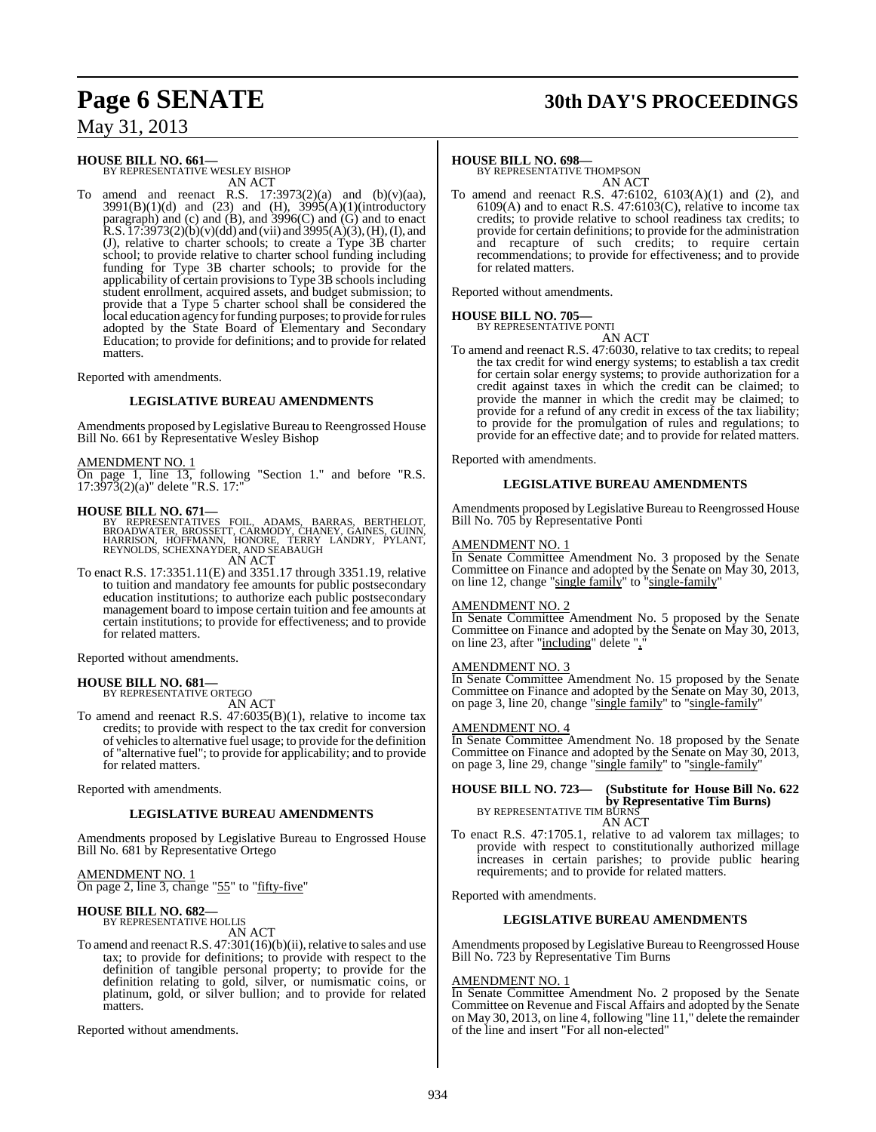## **Page 6 SENATE 30th DAY'S PROCEEDINGS**

## May 31, 2013

## **HOUSE BILL NO. 661—** BY REPRESENTATIVE WESLEY BISHOP

AN ACT

To amend and reenact R.S.  $17:3973(2)(a)$  and  $(b)(v)(aa)$ , 3991(B)(1)(d) and (23) and (H), 3995(A)(1)(introductory paragraph) and (c) and (B), and 3996(C) and (G) and to enact  $R.S. I 7:3973(2)(b)(v)(dd)$  and (vii) and  $3995(A)(3)$ , (H), (I), and (J), relative to charter schools; to create a Type 3B charter school; to provide relative to charter school funding including funding for Type 3B charter schools; to provide for the applicability of certain provisionsto Type 3B schools including student enrollment, acquired assets, and budget submission; to provide that a Type 5 charter school shall be considered the local education agency for funding purposes; to provide for rules adopted by the State Board of Elementary and Secondary Education; to provide for definitions; and to provide for related matters.

Reported with amendments.

#### **LEGISLATIVE BUREAU AMENDMENTS**

Amendments proposed by Legislative Bureau to Reengrossed House Bill No. 661 by Representative Wesley Bishop

#### AMENDMENT NO. 1

On page 1, line 13, following "Section 1." and before "R.S. 17:3973(2)(a)" delete "R.S. 17:"

#### **HOUSE BILL NO. 671—**

BY REPRESENTATIVES FOIL, ADAMS, BARRAS, BERTHELOT,<br>BROADWATER,BROSSETT,CARMODY,CHANEY,GAINES,GUINN,<br>HARRISON, HOFFMANN, HONORE, TERRY LANDRY, PYLANT, REYNOLDS, SCHEXNAYDER, AND SEABAUGH AN ACT

To enact R.S. 17:3351.11(E) and 3351.17 through 3351.19, relative to tuition and mandatory fee amounts for public postsecondary education institutions; to authorize each public postsecondary management board to impose certain tuition and fee amounts at certain institutions; to provide for effectiveness; and to provide for related matters.

Reported without amendments.

#### **HOUSE BILL NO. 681—** BY REPRESENTATIVE ORTEGO

AN ACT

To amend and reenact R.S. 47:6035(B)(1), relative to income tax credits; to provide with respect to the tax credit for conversion of vehicles to alternative fuel usage; to provide for the definition of "alternative fuel"; to provide for applicability; and to provide for related matters.

Reported with amendments.

#### **LEGISLATIVE BUREAU AMENDMENTS**

Amendments proposed by Legislative Bureau to Engrossed House Bill No. 681 by Representative Ortego

AMENDMENT NO. 1

On page 2, line 3, change "55" to "fifty-five"

## **HOUSE BILL NO. 682—** BY REPRESENTATIVE HOLLIS

AN ACT

To amend and reenact R.S.  $47:301(16)(b)(ii)$ , relative to sales and use tax; to provide for definitions; to provide with respect to the definition of tangible personal property; to provide for the definition relating to gold, silver, or numismatic coins, or platinum, gold, or silver bullion; and to provide for related matters.

Reported without amendments.

#### **HOUSE BILL NO. 698—**

BY REPRESENTATIVE THOMPSON AN ACT

To amend and reenact R.S. 47:6102, 6103(A)(1) and (2), and  $6109(A)$  and to enact R.S.  $47:6103(C)$ , relative to income tax credits; to provide relative to school readiness tax credits; to provide for certain definitions; to provide for the administration and recapture of such credits; to require certain recommendations; to provide for effectiveness; and to provide for related matters.

Reported without amendments.

#### **HOUSE BILL NO. 705—** BY REPRESENTATIVE PONTI

AN ACT

To amend and reenact R.S. 47:6030, relative to tax credits; to repeal the tax credit for wind energy systems; to establish a tax credit for certain solar energy systems; to provide authorization for a credit against taxes in which the credit can be claimed; to provide the manner in which the credit may be claimed; to provide for a refund of any credit in excess of the tax liability; to provide for the promulgation of rules and regulations; to provide for an effective date; and to provide for related matters.

Reported with amendments.

#### **LEGISLATIVE BUREAU AMENDMENTS**

Amendments proposed by Legislative Bureau to Reengrossed House Bill No. 705 by Representative Ponti

#### AMENDMENT NO. 1

In Senate Committee Amendment No. 3 proposed by the Senate Committee on Finance and adopted by the Senate on May 30, 2013, on line 12, change "single family" to "single-family"

#### AMENDMENT NO. 2

In Senate Committee Amendment No. 5 proposed by the Senate Committee on Finance and adopted by the Senate on May 30, 2013, on line 23, after "including" delete ","

#### AMENDMENT NO. 3

In Senate Committee Amendment No. 15 proposed by the Senate Committee on Finance and adopted by the Senate on May 30, 2013, on page 3, line 20, change "single family" to "single-family"

#### AMENDMENT NO. 4

In Senate Committee Amendment No. 18 proposed by the Senate Committee on Finance and adopted by the Senate on May 30, 2013, on page 3, line 29, change "single family" to "single-family"

#### **HOUSE BILL NO. 723— (Substitute for House Bill No. 622 by Representative Tim Burns)**<br>BY REPRESENTATIVE TIM BURNS AN ACT

To enact R.S. 47:1705.1, relative to ad valorem tax millages; to provide with respect to constitutionally authorized millage increases in certain parishes; to provide public hearing requirements; and to provide for related matters.

Reported with amendments.

#### **LEGISLATIVE BUREAU AMENDMENTS**

Amendments proposed by Legislative Bureau to Reengrossed House Bill No. 723 by Representative Tim Burns

#### AMENDMENT NO. 1

In Senate Committee Amendment No. 2 proposed by the Senate Committee on Revenue and Fiscal Affairs and adopted by the Senate on May 30, 2013, on line 4, following "line 11," delete the remainder of the line and insert "For all non-elected"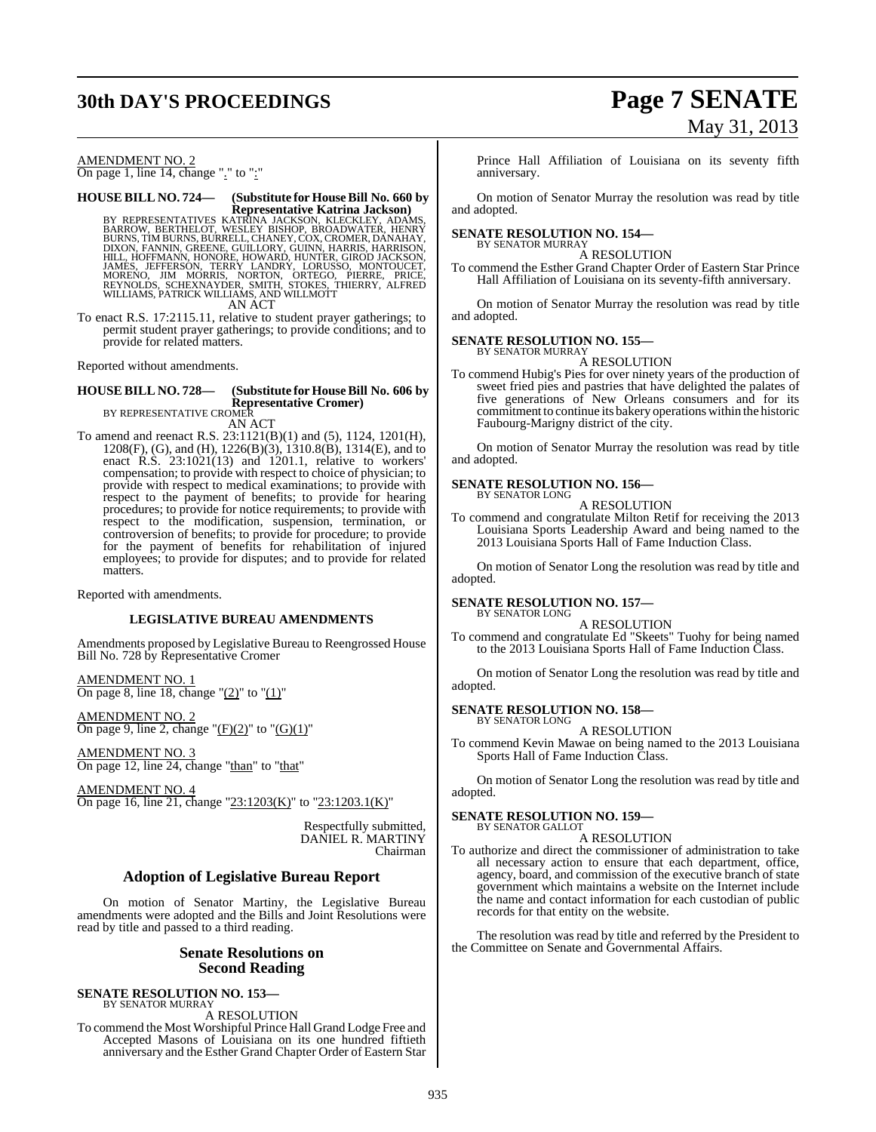# **30th DAY'S PROCEEDINGS Page 7 SENATE**

## AMENDMENT NO. 2

On page 1, line 14, change "." to ":"

**HOUSE BILL NO. 724— (Substitute for HouseBill No. 660 by Representative Katrina Jackson)** BY REPRESENTATIVES KATRĪNA JACKSON, KLECKLEY, ADAMS,<br>BARROW, BERTHELOT, WESLEY BISHOP, BROADWATER, HENRY<br>BURNS, TIM BURNS, BURRELL, CHANEY, COX, CROMER, DANAHAY,<br>DIXON, FANNIN, GREENE, GUILLORY, GUINN, HARRIS, HARRISON,<br>HI

AN ACT

To enact R.S. 17:2115.11, relative to student prayer gatherings; to permit student prayer gatherings; to provide conditions; and to provide for related matters.

Reported without amendments.

## **HOUSE BILL NO. 728— (Substitute for HouseBill No. 606 by Representative Cromer)** BY REPRESENTATIVE CROMER

AN ACT

To amend and reenact R.S. 23:1121(B)(1) and (5), 1124, 1201(H), 1208(F), (G), and (H), 1226(B)(3), 1310.8(B), 1314(E), and to enact R.S. 23:1021(13) and 1201.1, relative to workers' compensation; to provide with respect to choice of physician; to provide with respect to medical examinations; to provide with respect to the payment of benefits; to provide for hearing procedures; to provide for notice requirements; to provide with respect to the modification, suspension, termination, or controversion of benefits; to provide for procedure; to provide for the payment of benefits for rehabilitation of injured employees; to provide for disputes; and to provide for related matters.

Reported with amendments.

#### **LEGISLATIVE BUREAU AMENDMENTS**

Amendments proposed by Legislative Bureau to Reengrossed House Bill No. 728 by Representative Cromer

AMENDMENT NO. 1 On page 8, line 18, change " $(2)$ " to " $(1)$ "

AMENDMENT NO. 2 On page 9, line 2, change " $(F)(2)$ " to " $(G)(1)$ "

AMENDMENT NO. 3 On page 12, line 24, change "than" to "that"

AMENDMENT NO. 4 On page 16, line 21, change "23:1203(K)" to "23:1203.1(K)"

> Respectfully submitted, DANIEL R. MARTINY Chairman

#### **Adoption of Legislative Bureau Report**

On motion of Senator Martiny, the Legislative Bureau amendments were adopted and the Bills and Joint Resolutions were read by title and passed to a third reading.

#### **Senate Resolutions on Second Reading**

#### **SENATE RESOLUTION NO. 153—**

BY SENATOR MURRAY A RESOLUTION

To commend the Most Worshipful Prince Hall Grand Lodge Free and Accepted Masons of Louisiana on its one hundred fiftieth anniversary and the Esther Grand Chapter Order of Eastern Star

Prince Hall Affiliation of Louisiana on its seventy fifth anniversary.

On motion of Senator Murray the resolution was read by title and adopted.

#### **SENATE RESOLUTION NO. 154—** BY SENATOR MURRAY

A RESOLUTION

To commend the Esther Grand Chapter Order of Eastern Star Prince Hall Affiliation of Louisiana on its seventy-fifth anniversary.

On motion of Senator Murray the resolution was read by title and adopted.

#### **SENATE RESOLUTION NO. 155—**

BY SENATOR MURRAY A RESOLUTION

To commend Hubig's Pies for over ninety years of the production of sweet fried pies and pastries that have delighted the palates of five generations of New Orleans consumers and for its commitment to continue its bakery operations within the historic Faubourg-Marigny district of the city.

On motion of Senator Murray the resolution was read by title and adopted.

## **SENATE RESOLUTION NO. 156—** BY SENATOR LONG

A RESOLUTION

To commend and congratulate Milton Retif for receiving the 2013 Louisiana Sports Leadership Award and being named to the 2013 Louisiana Sports Hall of Fame Induction Class.

On motion of Senator Long the resolution was read by title and adopted.

#### **SENATE RESOLUTION NO. 157—** BY SENATOR LONG

A RESOLUTION

To commend and congratulate Ed "Skeets" Tuohy for being named to the 2013 Louisiana Sports Hall of Fame Induction Class.

On motion of Senator Long the resolution was read by title and adopted.

# **SENATE RESOLUTION NO. 158—** BY SENATOR LONG

A RESOLUTION

To commend Kevin Mawae on being named to the 2013 Louisiana Sports Hall of Fame Induction Class.

On motion of Senator Long the resolution was read by title and adopted.

## **SENATE RESOLUTION NO. 159—** BY SENATOR GALLOT

A RESOLUTION

To authorize and direct the commissioner of administration to take all necessary action to ensure that each department, office, agency, board, and commission of the executive branch of state government which maintains a website on the Internet include the name and contact information for each custodian of public records for that entity on the website.

The resolution was read by title and referred by the President to the Committee on Senate and Governmental Affairs.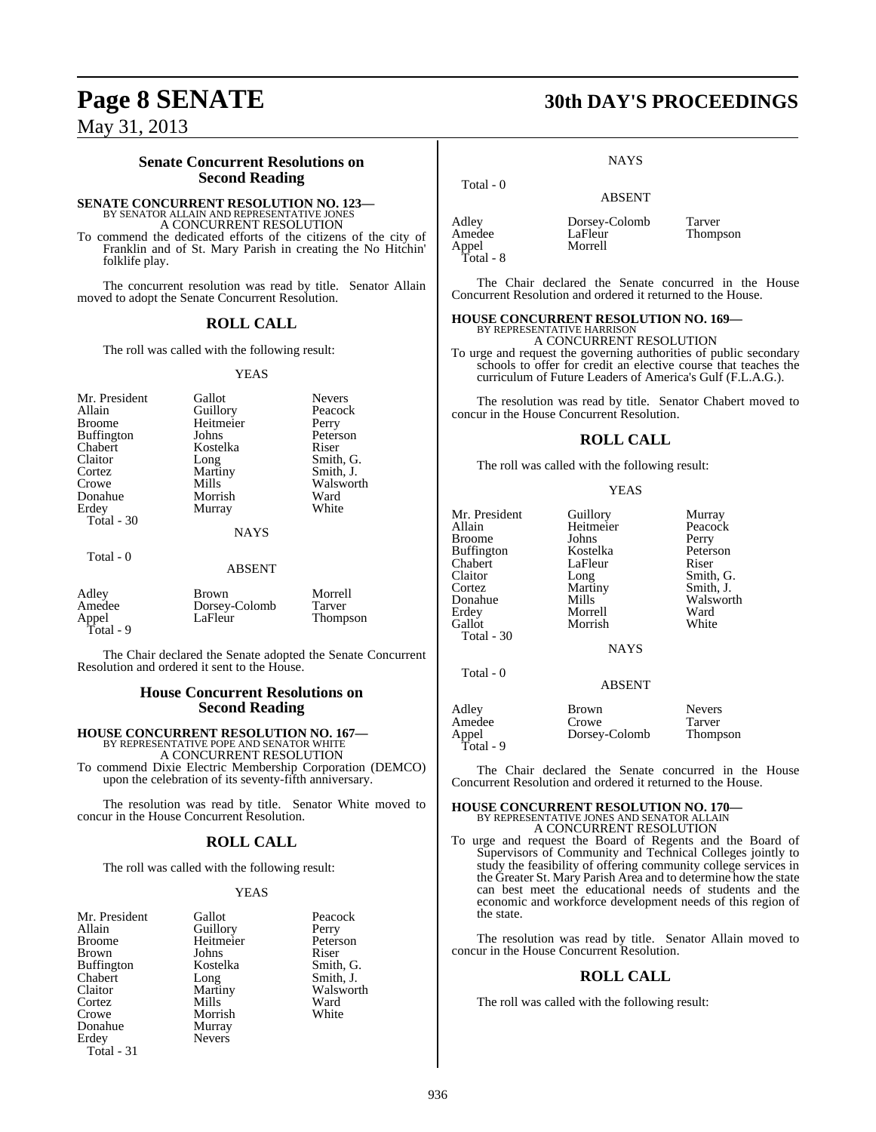Total - 9

### **Senate Concurrent Resolutions on Second Reading**

## **SENATE CONCURRENT RESOLUTION NO. 123—** BY SENATOR ALLAIN AND REPRESENTATIVE JONES A CONCURRENT RESOLUTION

To commend the dedicated efforts of the citizens of the city of Franklin and of St. Mary Parish in creating the No Hitchin' folklife play.

The concurrent resolution was read by title. Senator Allain moved to adopt the Senate Concurrent Resolution.

#### **ROLL CALL**

The roll was called with the following result:

#### YEAS

| Mr. President<br>Allain | Gallot<br>Guillory | <b>Nevers</b><br>Peacock |
|-------------------------|--------------------|--------------------------|
| <b>Broome</b>           | Heitmeier          | Perry                    |
| <b>Buffington</b>       | Johns              | Peterson                 |
| Chabert                 | Kostelka           | Riser                    |
| Claitor                 | Long               | Smith, G.                |
| Cortez                  | Martiny            | Smith, J.                |
| Crowe                   | Mills              | Walsworth                |
| Donahue                 | Morrish            | Ward                     |
| Erdey                   | Murray             | White                    |
| Total $-30$             |                    |                          |
|                         | <b>NAYS</b>        |                          |
| Total - 0               |                    |                          |
|                         | <b>ABSENT</b>      |                          |
| Adley                   | <b>Brown</b>       | Morrell                  |
| Amedee                  | Dorsey-Colomb      | Tarver                   |
| Appel                   | LaFleur            | Thompson                 |

The Chair declared the Senate adopted the Senate Concurrent Resolution and ordered it sent to the House.

#### **House Concurrent Resolutions on Second Reading**

## **HOUSE CONCURRENT RESOLUTION NO. 167—** BY REPRESENTATIVE POPE AND SENATOR WHITE

A CONCURRENT RESOLUTION

To commend Dixie Electric Membership Corporation (DEMCO) upon the celebration of its seventy-fifth anniversary.

The resolution was read by title. Senator White moved to concur in the House Concurrent Resolution.

#### **ROLL CALL**

The roll was called with the following result:

#### YEAS

| Mr. President | Gallot        | Peacc       |
|---------------|---------------|-------------|
| Allain        | Guillory      | Perry       |
| Broome        | Heitmeier     | Peter:      |
| Brown         | Johns         | Riser       |
| Buffington    | Kostelka      | Smith       |
| Chabert       | Long          | Smith       |
| Claitor       | Martiny       | <b>Wals</b> |
| Cortez        | Mills         | Ward        |
| Crowe         | Morrish       | White       |
| Donahue       | Murray        |             |
| Erdey         | <b>Nevers</b> |             |
| $Total - 31$  |               |             |

Peacock Perry Peterson Riser Smith, G. Smith, J. Walsworth<br>Ward White

## **Page 8 SENATE 30th DAY'S PROCEEDINGS**

**NAYS** 

# ABSENT Adley **Dorsey-Colomb** Tarver<br>Amedee LaFleur Thomp

Total - 0

Appel Total - 8 LaFleur Thompson<br>Morrell

The Chair declared the Senate concurred in the House Concurrent Resolution and ordered it returned to the House.

### **HOUSE CONCURRENT RESOLUTION NO. 169—**

BY REPRESENTATIVE HARRISON A CONCURRENT RESOLUTION

To urge and request the governing authorities of public secondary schools to offer for credit an elective course that teaches the curriculum of Future Leaders of America's Gulf (F.L.A.G.).

The resolution was read by title. Senator Chabert moved to concur in the House Concurrent Resolution.

#### **ROLL CALL**

The roll was called with the following result:

#### YEAS

| Mr. President     | Guillory      | Murray        |
|-------------------|---------------|---------------|
| Allain            | Heitmeier     | Peacock       |
| <b>Broome</b>     | Johns         | Perry         |
| <b>Buffington</b> | Kostelka      | Peterson      |
| Chabert           | LaFleur       | Riser         |
| Claitor           | Long          | Smith, G.     |
| Cortez            | Martiny       | Smith, J.     |
| Donahue           | Mills         | Walsworth     |
| Erdey             | Morrell       | Ward          |
| Gallot            | Morrish       | White         |
| Total $-30$       |               |               |
|                   | <b>NAYS</b>   |               |
|                   |               |               |
| Total - 0         |               |               |
|                   | ABSENT        |               |
| Adley             | Brown         | <b>Nevers</b> |
| Amedee            | Crowe         | Tarver        |
| Appel             | Dorsey-Colomb | Thompson      |
| Total - 9         |               |               |

The Chair declared the Senate concurred in the House Concurrent Resolution and ordered it returned to the House.

## **HOUSE CONCURRENT RESOLUTION NO. 170—** BY REPRESENTATIVE JONES AND SENATOR ALLAIN A CONCURRENT RESOLUTION

To urge and request the Board of Regents and the Board of Supervisors of Community and Technical Colleges jointly to study the feasibility of offering community college services in the Greater St. Mary Parish Area and to determine how the state can best meet the educational needs of students and the economic and workforce development needs of this region of the state.

The resolution was read by title. Senator Allain moved to concur in the House Concurrent Resolution.

#### **ROLL CALL**

The roll was called with the following result: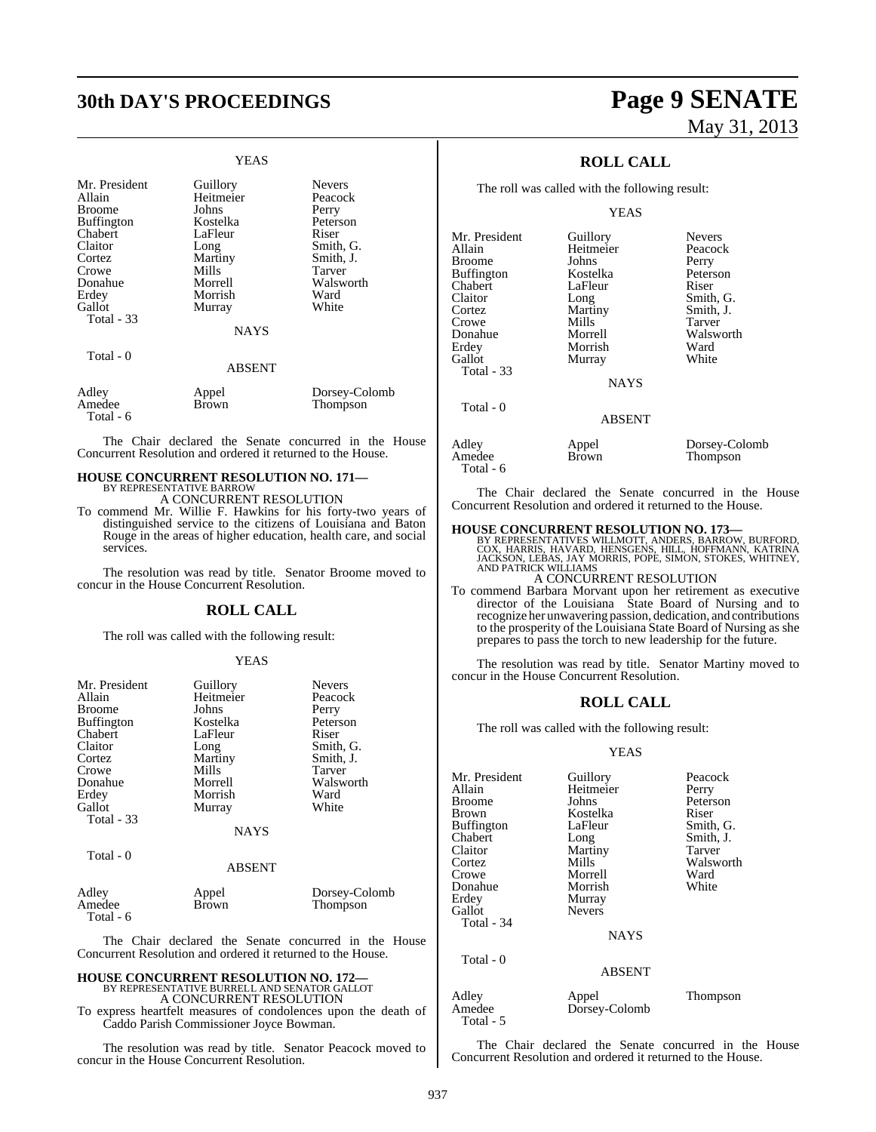# **30th DAY'S PROCEEDINGS Page 9 SENATE**

#### YEAS

| Mr. President | Guillory      | <b>Nevers</b> |
|---------------|---------------|---------------|
| Allain        | Heitmeier     | Peacock       |
| <b>Broome</b> | Johns         | Perry         |
| Buffington    | Kostelka      | Peterson      |
| Chabert       | LaFleur       | Riser         |
| Claitor       | Long          | Smith, G.     |
| Cortez        | Martiny       | Smith, J.     |
| Crowe         | Mills         | Tarver        |
| Donahue       | Morrell       | Walsworth     |
| Erdey         | Morrish       | Ward          |
| Gallot        | Murray        | White         |
| Total - 33    | <b>NAYS</b>   |               |
| Total - 0     | <b>ABSENT</b> |               |
| Adley         | Appel         | Dorsey-Colomb |
| Amedee        | Brown         | Thompson      |

The Chair declared the Senate concurred in the House Concurrent Resolution and ordered it returned to the House.

## **HOUSE CONCURRENT RESOLUTION NO. 171—** BY REPRESENTATIVE BARROW

Total - 6

A CONCURRENT RESOLUTION

To commend Mr. Willie F. Hawkins for his forty-two years of distinguished service to the citizens of Louisiana and Baton Rouge in the areas of higher education, health care, and social services.

The resolution was read by title. Senator Broome moved to concur in the House Concurrent Resolution.

#### **ROLL CALL**

The roll was called with the following result:

#### YEAS

| Mr. President<br>Allain<br><b>Broome</b><br><b>Buffington</b><br>Chabert<br>Claitor<br>Cortez<br>Crowe<br>Donahue<br>Erdey | Guillory<br>Heitmeier<br>Johns<br>Kostelka<br>LaFleur<br>Long<br>Martiny<br>Mills<br>Morrell<br>Morrish | <b>Nevers</b><br>Peacock<br>Perry<br>Peterson<br>Riser<br>Smith, G.<br>Smith, J.<br>Tarver<br>Walsworth<br>Ward |
|----------------------------------------------------------------------------------------------------------------------------|---------------------------------------------------------------------------------------------------------|-----------------------------------------------------------------------------------------------------------------|
| Gallot<br>Total - 33<br>Total - 0                                                                                          | Murray<br><b>NAYS</b><br>ABSENT                                                                         | White                                                                                                           |
| $\lambda$ 11                                                                                                               | $\mathbf{I}$<br>$\lambda$                                                                               | $\blacksquare$<br>r.<br>$\sim$ 1                                                                                |

| Adley     | Appel | Dorsey-Colomb |
|-----------|-------|---------------|
| Amedee    | Brown | Thompson      |
| Total - 6 |       |               |

The Chair declared the Senate concurred in the House Concurrent Resolution and ordered it returned to the House.

### **HOUSE CONCURRENT RESOLUTION NO. 172—**

BY REPRESENTATIVE BURRELL AND SENATOR GALLOT A CONCURRENT RESOLUTION

To express heartfelt measures of condolences upon the death of Caddo Parish Commissioner Joyce Bowman.

The resolution was read by title. Senator Peacock moved to concur in the House Concurrent Resolution.

# May 31, 2013

## **ROLL CALL**

The roll was called with the following result:

#### YEAS

| Mr. President<br>Allain | Guillory<br>Heitmeier | <b>Nevers</b><br>Peacock  |
|-------------------------|-----------------------|---------------------------|
| Broome                  | Johns                 | Perry                     |
| Buffington              | Kostelka              | Peterson                  |
| Chabert                 | LaFleur               | Riser                     |
| Claitor                 | Long                  | Smith, G.                 |
| Cortez                  | Martiny               | Smith, J.                 |
| Crowe                   | Mills                 | Tarver                    |
| Donahue                 | Morrell               | Walsworth                 |
| Erdev                   | Morrish               | Ward                      |
| Gallot                  | Murray                | White                     |
| Total - 33              |                       |                           |
|                         | <b>NAYS</b>           |                           |
| Total - 0               |                       |                           |
|                         | <b>ABSENT</b>         |                           |
| Adley<br>Amedee         | Appel<br>Brown        | Dorsey-Colomb<br>Thompson |

Total - 6

The Chair declared the Senate concurred in the House Concurrent Resolution and ordered it returned to the House.

**HOUSE CONCURRENT RESOLUTION NO. 173—**<br>BY REPRESENTATIVES WILLMOTT, ANDERS, BARROW, BURFORD, COX, HARRIS, HAVARD, HENSGENS, HILL, HOFFMANN, KATRINA<br>JACKSON, LEBAS, JAY MORRIS, POPE, SIMON, STOKES, WHITNEY,<br>AND PATRICK WILL

To commend Barbara Morvant upon her retirement as executive director of the Louisiana State Board of Nursing and to recognize her unwavering passion, dedication, and contributions to the prosperity of the Louisiana State Board of Nursing as she prepares to pass the torch to new leadership for the future.

The resolution was read by title. Senator Martiny moved to concur in the House Concurrent Resolution.

### **ROLL CALL**

The roll was called with the following result:

#### YEAS

| Mr. President     | Guillory      | Peacock   |
|-------------------|---------------|-----------|
| Allain            | Heitmeier     | Perry     |
| <b>Broome</b>     | Johns         | Peterson  |
| <b>Brown</b>      | Kostelka      | Riser     |
| <b>Buffington</b> | LaFleur       | Smith, G  |
| Chabert           | Long          | Smith, J. |
| Claitor           | Martiny       | Tarver    |
| Cortez            | Mills         | Walswor   |
| Crowe             | Morrell       | Ward      |
| Donahue           | Morrish       | White     |
| Erdey             | Murray        |           |
| Gallot            | <b>Nevers</b> |           |
| Total - 34        |               |           |
|                   |               |           |

Smith, J.<br>Tarver Walsworth<br>Ward

NAYS

ABSENT

Adley Appel Thompson<br>Amedee Dorsey-Colomb Total - 5

Total - 0

The Chair declared the Senate concurred in the House Concurrent Resolution and ordered it returned to the House.

Dorsey-Colomb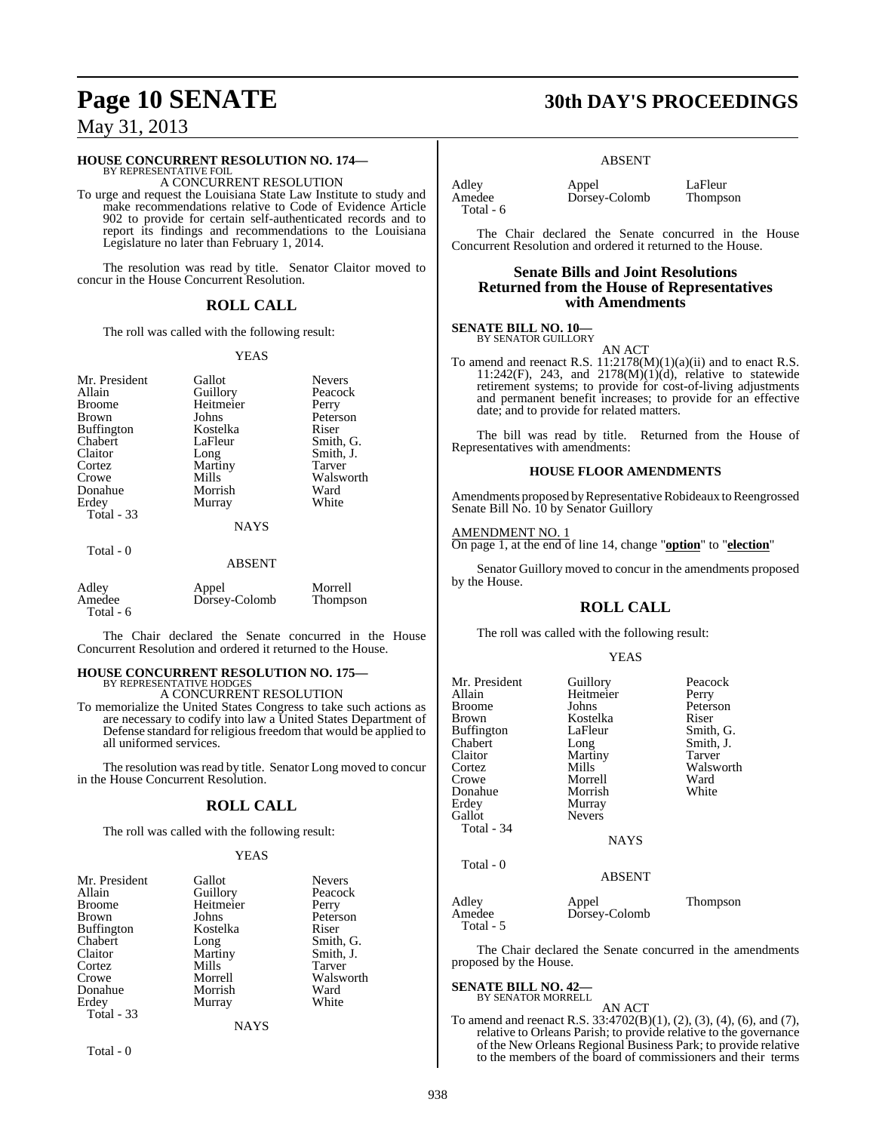#### **HOUSE CONCURRENT RESOLUTION NO. 174—**

BY REPRESENTATIVE FOIL A CONCURRENT RESOLUTION

To urge and request the Louisiana State Law Institute to study and make recommendations relative to Code of Evidence Article 902 to provide for certain self-authenticated records and to report its findings and recommendations to the Louisiana Legislature no later than February 1, 2014.

The resolution was read by title. Senator Claitor moved to concur in the House Concurrent Resolution.

#### **ROLL CALL**

The roll was called with the following result:

#### YEAS

| Mr. President<br>Allain<br><b>Broome</b><br><b>Brown</b><br><b>Buffington</b>  | Gallot<br>Guillory<br>Heitmeier<br>Johns<br>Kostelka     | <b>Nevers</b><br>Peacock<br>Perry<br>Peterson<br>Riser         |
|--------------------------------------------------------------------------------|----------------------------------------------------------|----------------------------------------------------------------|
| Chabert<br>Claitor<br>Cortez<br>Crowe<br>Donahue<br>Erdey<br><b>Total - 33</b> | LaFleur<br>Long<br>Martiny<br>Mills<br>Morrish<br>Murray | Smith, G.<br>Smith. J.<br>Tarver<br>Walsworth<br>Ward<br>White |
|                                                                                | <b>NAYS</b>                                              |                                                                |
| Total - 0                                                                      | ABSENT                                                   |                                                                |

| Adley<br>Amedee<br>Total - 6 | Appel<br>Dorsey-Colomb | Morrell<br>Thompson |
|------------------------------|------------------------|---------------------|
|------------------------------|------------------------|---------------------|

The Chair declared the Senate concurred in the House Concurrent Resolution and ordered it returned to the House.

#### **HOUSE CONCURRENT RESOLUTION NO. 175—** BY REPRESENTATIVE HODGE

A CONCURRENT RESOLUTION

To memorialize the United States Congress to take such actions as are necessary to codify into law a United States Department of Defense standard for religious freedom that would be applied to all uniformed services.

The resolution was read by title. Senator Long moved to concur in the House Concurrent Resolution.

#### **ROLL CALL**

The roll was called with the following result:

#### YEAS

| Mr. President     | Gallot    | <b>Nevers</b> |
|-------------------|-----------|---------------|
| Allain            | Guillory  | Peacock       |
| <b>Broome</b>     | Heitmeier | Perry         |
| Brown             | Johns     | Peterson      |
| <b>Buffington</b> | Kostelka  | Riser         |
| Chabert           | Long      | Smith, G.     |
| Claitor           | Martiny   | Smith, J.     |
| Cortez            | Mills     | Tarver        |
| Crowe             | Morrell   | Walsworth     |
| Donahue           | Morrish   | Ward          |
| Erdey             | Murray    | White         |
| Total - 33        |           |               |
|                   | NAYS      |               |

Total - 0

## **Page 10 SENATE 30th DAY'S PROCEEDINGS**

#### ABSENT

Total - 6

Adley Appel LaFleur<br>Amedee Dorsey-Colomb Thompson Dorsey-Colomb

The Chair declared the Senate concurred in the House Concurrent Resolution and ordered it returned to the House.

#### **Senate Bills and Joint Resolutions Returned from the House of Representatives with Amendments**

#### **SENATE BILL NO. 10—** BY SENATOR GUILLORY

AN ACT

To amend and reenact R.S. 11:2178(M)(1)(a)(ii) and to enact R.S. 11:242(F), 243, and 2178(M)(1)(d), relative to statewide retirement systems; to provide for cost-of-living adjustments and permanent benefit increases; to provide for an effective date; and to provide for related matters.

The bill was read by title. Returned from the House of Representatives with amendments:

#### **HOUSE FLOOR AMENDMENTS**

Amendments proposed by Representative Robideaux to Reengrossed Senate Bill No. 10 by Senator Guillory

#### AMENDMENT NO. 1

On page 1, at the end of line 14, change "**option**" to "**election**"

Senator Guillory moved to concur in the amendments proposed by the House.

#### **ROLL CALL**

The roll was called with the following result:

#### YEAS

| Mr. President<br>Allain<br>Broome<br>Brown<br>Buffington<br>Chabert<br>Claitor<br>Cortez<br>Crowe<br>Donahue<br>Erdey<br>Gallot<br>Total - 34 | Guillory<br>Heitmeier<br>Johns<br>Kostelka<br>LaFleur<br>Long<br>Martiny<br>Mills<br>Morrell<br>Morrish<br>Murray<br><b>Nevers</b><br><b>NAYS</b> | Peacock<br>Perry<br>Peterson<br>Riser<br>Smith, G.<br>Smith, J.<br>Tarver<br>Walsworth<br>Ward<br>White |
|-----------------------------------------------------------------------------------------------------------------------------------------------|---------------------------------------------------------------------------------------------------------------------------------------------------|---------------------------------------------------------------------------------------------------------|
| Total - 0                                                                                                                                     | <b>ABSENT</b>                                                                                                                                     |                                                                                                         |
| Adlev<br>Amedee                                                                                                                               | Appel<br>Dorsey-Colomb                                                                                                                            | Thompson                                                                                                |

The Chair declared the Senate concurred in the amendments proposed by the House.

## **SENATE BILL NO. 42—** BY SENATOR MORRELL

Total - 5

AN ACT To amend and reenact R.S. 33:4702(B)(1), (2), (3), (4), (6), and (7), relative to Orleans Parish; to provide relative to the governance of the New Orleans Regional Business Park; to provide relative to the members of the board of commissioners and their terms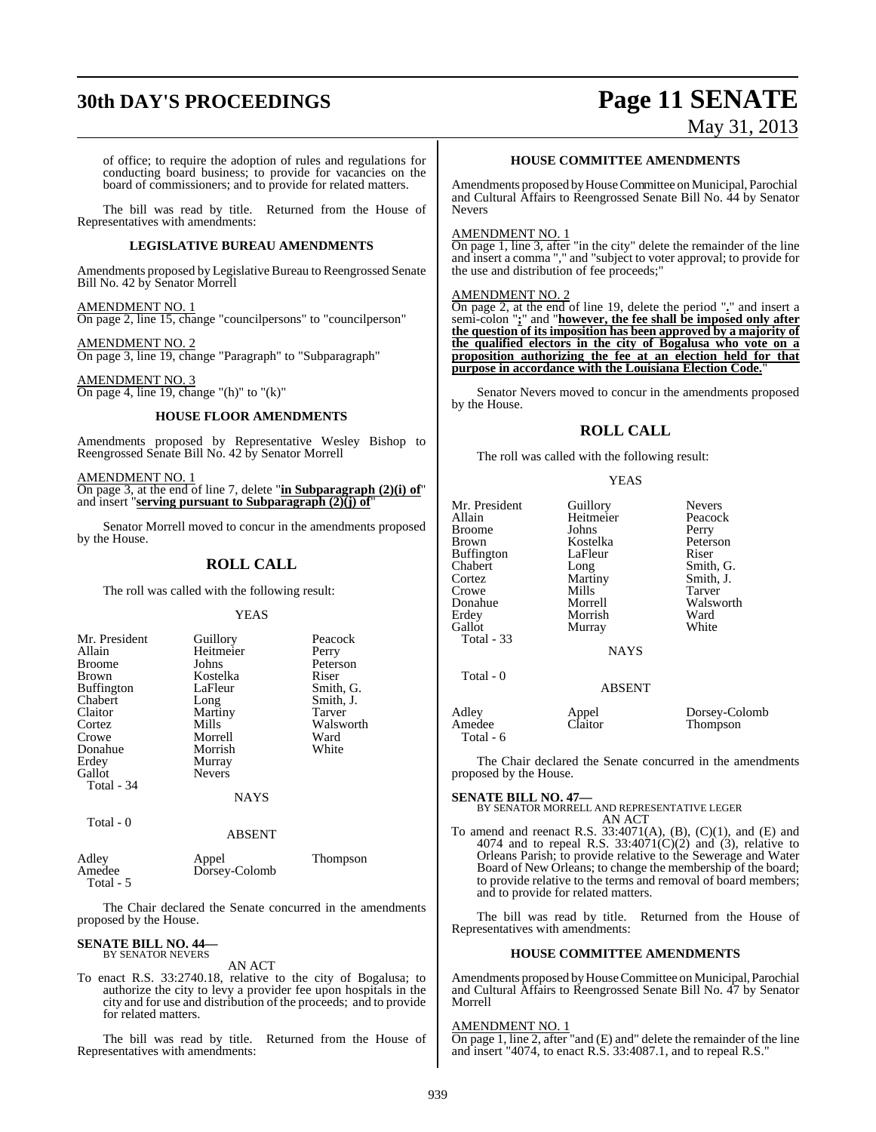# **30th DAY'S PROCEEDINGS Page 11 SENATE**

# May 31, 2013

of office; to require the adoption of rules and regulations for conducting board business; to provide for vacancies on the board of commissioners; and to provide for related matters.

The bill was read by title. Returned from the House of Representatives with amendments:

#### **LEGISLATIVE BUREAU AMENDMENTS**

Amendments proposed by Legislative Bureau to Reengrossed Senate Bill No. 42 by Senator Morrell

#### AMENDMENT NO. 1

On page 2, line 15, change "councilpersons" to "councilperson"

#### AMENDMENT NO. 2

On page 3, line 19, change "Paragraph" to "Subparagraph"

#### AMENDMENT NO. 3 On page 4, line 19, change "(h)" to "(k)"

#### **HOUSE FLOOR AMENDMENTS**

Amendments proposed by Representative Wesley Bishop to Reengrossed Senate Bill No. 42 by Senator Morrell

#### AMENDMENT NO. 1

On page 3, at the end of line 7, delete "**in Subparagraph (2)(i) of**" and insert "**serving pursuant to Subparagraph (2)(j) of**"

Senator Morrell moved to concur in the amendments proposed by the House.

#### **ROLL CALL**

The roll was called with the following result:

#### YEAS

| Mr. President<br>Allain<br><b>Broome</b><br><b>Brown</b><br><b>Buffington</b><br>Chabert<br>Claitor<br>Cortez | Guillory<br>Heitmeier<br>Johns<br>Kostelka<br>LaFleur<br>Long<br>Martiny<br>Mills | Peacock<br>Perry<br>Peterson<br>Riser<br>Smith, G.<br>Smith, J.<br>Tarver<br>Walsworth |
|---------------------------------------------------------------------------------------------------------------|-----------------------------------------------------------------------------------|----------------------------------------------------------------------------------------|
| Crowe<br>Donahue<br>Erdey<br>Gallot                                                                           | Morrell<br>Morrish<br>Murray<br><b>Nevers</b>                                     | Ward<br>White                                                                          |
| Total - 34                                                                                                    | NAYS                                                                              |                                                                                        |

Total - 0

#### ABSENT

| Adley     | Appel         | <b>Thompson</b> |  |
|-----------|---------------|-----------------|--|
| Amedee    | Dorsey-Colomb |                 |  |
| Total - 5 |               |                 |  |

The Chair declared the Senate concurred in the amendments proposed by the House.

# **SENATE BILL NO. 44—** BY SENATOR NEVERS

AN ACT

To enact R.S. 33:2740.18, relative to the city of Bogalusa; to authorize the city to levy a provider fee upon hospitals in the city and for use and distribution of the proceeds; and to provide for related matters.

The bill was read by title. Returned from the House of Representatives with amendments:

#### **HOUSE COMMITTEE AMENDMENTS**

Amendments proposed by House Committee on Municipal, Parochial and Cultural Affairs to Reengrossed Senate Bill No. 44 by Senator Nevers

#### AMENDMENT NO. 1

 $\overline{On}$  page 1, line 3, after "in the city" delete the remainder of the line and insert a comma "," and "subject to voter approval; to provide for the use and distribution of fee proceeds;"

#### AMENDMENT NO. 2

On page 2, at the end of line 19, delete the period "**.**" and insert a semi-colon "**;**" and "**however, the fee shall be imposed only after the question of its imposition has been approved by a majority of the qualified electors in the city of Bogalusa who vote on a proposition authorizing the fee at an election held for that purpose in accordance with the Louisiana Election Code.**"

Senator Nevers moved to concur in the amendments proposed by the House.

### **ROLL CALL**

The roll was called with the following result:

#### YEAS

| Mr. President<br>Allain      | Guillory<br>Heitmeier | <b>Nevers</b><br>Peacock  |
|------------------------------|-----------------------|---------------------------|
| Broome                       | Johns                 | Perry                     |
| Brown                        | Kostelka              | Peterson                  |
| Buffington                   | LaFleur               | Riser                     |
| Chabert                      | Long                  | Smith, G.                 |
| Cortez                       | Martiny               | Smith, J.                 |
| Crowe                        | Mills                 | Tarver                    |
| Donahue                      | Morrell               | Walsworth                 |
| Erdev                        | Morrish               | Ward                      |
| Gallot                       | Murray                | White                     |
| Total - 33                   |                       |                           |
|                              | <b>NAYS</b>           |                           |
| Total - 0                    |                       |                           |
|                              | <b>ABSENT</b>         |                           |
| Adley<br>Amedee<br>Total - 6 | Appel<br>Claitor      | Dorsey-Colomb<br>Thompson |

The Chair declared the Senate concurred in the amendments proposed by the House.

**SENATE BILL NO. 47—** BY SENATOR MORRELL AND REPRESENTATIVE LEGER AN ACT

To amend and reenact R.S.  $33:4071(A)$ , (B), (C)(1), and (E) and 4074 and to repeal R.S.  $33:4071(C)(2)$  and (3), relative to Orleans Parish; to provide relative to the Sewerage and Water Board of New Orleans; to change the membership of the board; to provide relative to the terms and removal of board members; and to provide for related matters.

The bill was read by title. Returned from the House of Representatives with amendments:

#### **HOUSE COMMITTEE AMENDMENTS**

Amendments proposed byHouseCommittee on Municipal, Parochial and Cultural Affairs to Reengrossed Senate Bill No. 47 by Senator Morrell

#### AMENDMENT NO. 1

On page 1, line 2, after "and (E) and" delete the remainder of the line and insert "4074, to enact R.S. 33:4087.1, and to repeal R.S."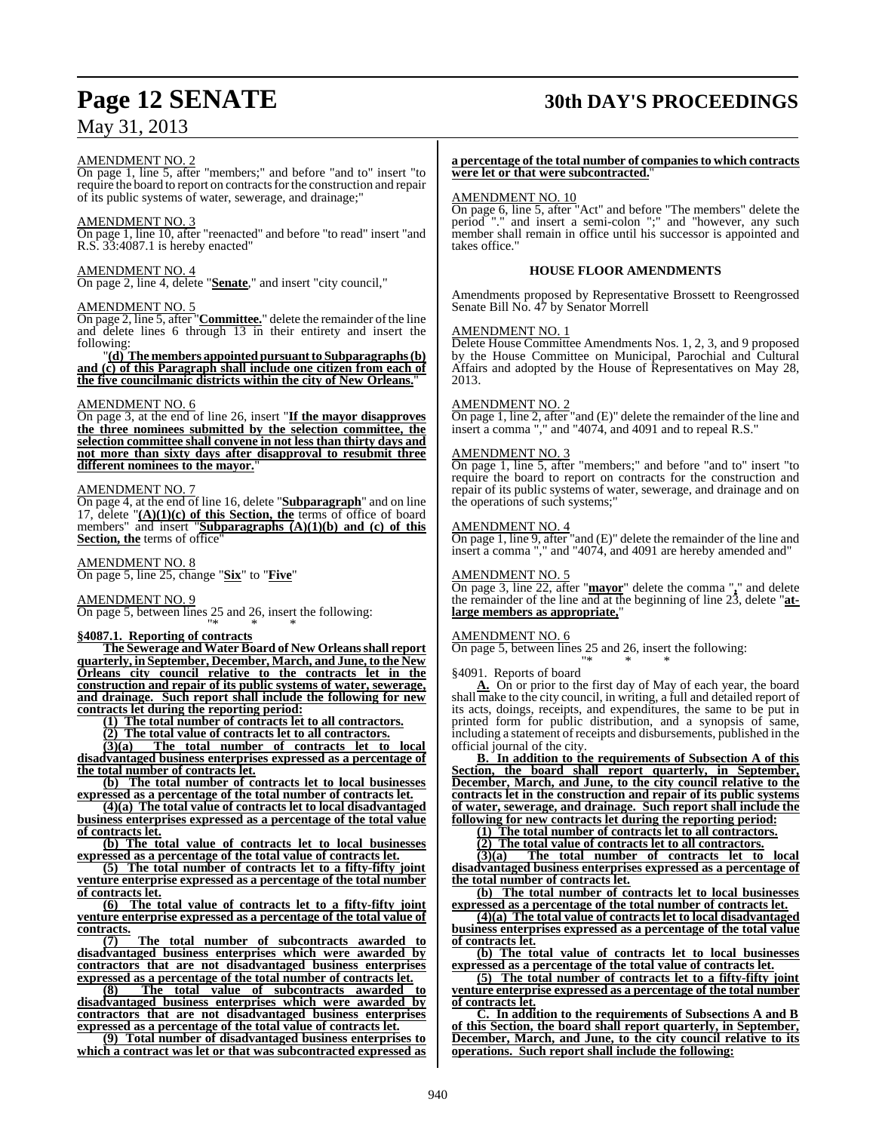## AMENDMENT NO. 2

On page 1, line 5, after "members;" and before "and to" insert "to require the board to report on contracts for the construction and repair of its public systems of water, sewerage, and drainage;"

#### AMENDMENT NO. 3

On page 1, line 10, after "reenacted" and before "to read" insert "and R.S. 33:4087.1 is hereby enacted"

#### AMENDMENT NO. 4

On page 2, line 4, delete "**Senate**," and insert "city council,"

### AMENDMENT NO. 5

On page 2, line 5, after "**Committee.**" delete the remainder ofthe line and delete lines 6 through 13 in their entirety and insert the following:

"**(d) The members appointed pursuant to Subparagraphs (b) and (c) of this Paragraph shall include one citizen from each of the five councilmanic districts within the city of New Orleans.**"

#### AMENDMENT NO. 6

On page 3, at the end of line 26, insert "**If the mayor disapproves the three nominees submitted by the selection committee, the selection committee shall convene in not less than thirty days and not more than sixty days after disapproval to resubmit three different nominees to the mayor.**"

#### AMENDMENT NO. 7

On page 4, at the end of line 16, delete "**Subparagraph**" and on line 17, delete "**(A)(1)(c) of this Section, the** terms of office of board members" and insert "**Subparagraphs (A)(1)(b) and (c) of this Section, the** terms of office"

### AMENDMENT NO. 8

On page 5, line 25, change "**Six**" to "**Five**"

#### AMENDMENT NO. 9

On page 5, between lines 25 and 26, insert the following:

#### "\* \* \* **§4087.1. Reporting of contracts**

**The Sewerage and Water Board of New Orleansshall report quarterly, in September, December, March, and June, to the New Orleans city council relative to the contracts let in the construction and repair of its public systems of water, sewerage, and drainage. Such report shall include the following for new contracts let during the reporting period:**

**(1) The total number of contracts let to all contractors.**

**(2) The total value of contracts let to all contractors.**

**(3)(a) The total number of contracts let to local disadvantaged business enterprises expressed as a percentage of**

**the total number of contracts let. (b) The total number of contracts let to local businesses**

**expressed as a percentage of the total number of contracts let. (4)(a) The total value of contracts let to local disadvantaged**

**business enterprises expressed as a percentage of the total value of contracts let.**

**(b) The total value of contracts let to local businesses expressed as a percentage of the total value of contracts let.**

**(5) The total number of contracts let to a fifty-fifty joint venture enterprise expressed as a percentage of the total number of contracts let.**

**(6) The total value of contracts let to a fifty-fifty joint venture enterprise expressed as a percentage of the total value of contracts.**

**(7) The total number of subcontracts awarded to disadvantaged business enterprises which were awarded by contractors that are not disadvantaged business enterprises expressed as a percentage of the total number of contracts let.**<br>(8) The total value of subcontracts awarded

**(8) The total value of subcontracts awarded to disadvantaged business enterprises which were awarded by contractors that are not disadvantaged business enterprises expressed as a percentage of the total value of contracts let.**

**(9) Total number of disadvantaged business enterprises to which a contract was let or that was subcontracted expressed as**

## **Page 12 SENATE 30th DAY'S PROCEEDINGS**

#### **a percentage of the total number of companiesto which contracts were let or that were subcontracted.**"

#### AMENDMENT NO. 10

On page 6, line 5, after "Act" and before "The members" delete the period "." and insert a semi-colon ";" and "however, any such member shall remain in office until his successor is appointed and takes office."

#### **HOUSE FLOOR AMENDMENTS**

Amendments proposed by Representative Brossett to Reengrossed Senate Bill No. 47 by Senator Morrell

#### AMENDMENT NO. 1

Delete House Committee Amendments Nos. 1, 2, 3, and 9 proposed by the House Committee on Municipal, Parochial and Cultural Affairs and adopted by the House of Representatives on May 28, 2013.

#### AMENDMENT NO. 2

On page 1, line 2, after "and (E)" delete the remainder of the line and insert a comma "," and "4074, and 4091 and to repeal R.S."

#### AMENDMENT NO. 3

On page 1, line 5, after "members;" and before "and to" insert "to require the board to report on contracts for the construction and repair of its public systems of water, sewerage, and drainage and on the operations of such systems;"

#### AMENDMENT NO. 4

On page 1, line 9, after "and (E)" delete the remainder of the line and insert a comma "," and "4074, and 4091 are hereby amended and"

#### AMENDMENT NO. 5

On page 3, line 22, after "**mayor**" delete the comma "**,**" and delete the remainder of the line and at the beginning of line 23, delete "**atlarge members as appropriate,**"

#### AMENDMENT NO. 6

On page 5, between lines 25 and 26, insert the following: "\* \* \*

§4091. Reports of board

**A.** On or prior to the first day of May of each year, the board shall make to the city council, in writing, a full and detailed report of its acts, doings, receipts, and expenditures, the same to be put in printed form for public distribution, and a synopsis of same, including a statement of receipts and disbursements, published in the official journal of the city.

**B. In addition to the requirements of Subsection A of this Section, the board shall report quarterly, in September, December, March, and June, to the city council relative to the contracts let in the construction and repair of its public systems of water, sewerage, and drainage. Such report shall include the following for new contracts let during the reporting period:**

**(1) The total number of contracts let to all contractors.**

**(2) The total value of contracts let to all contractors.**

**(3)(a) The total number of contracts let to local disadvantaged business enterprises expressed as a percentage of the total number of contracts let.**

**(b) The total number of contracts let to local businesses expressed as a percentage of the total number of contracts let.**

**(4)(a) The total value of contracts let to local disadvantaged business enterprises expressed as a percentage of the total value of contracts let.**

**(b) The total value of contracts let to local businesses expressed as a percentage of the total value of contracts let.**

**(5) The total number of contracts let to a fifty-fifty joint venture enterprise expressed as a percentage of the total number of contracts let.**

**C. In addition to the requirements of Subsections A and B of this Section, the board shall report quarterly, in September, December, March, and June, to the city council relative to its operations. Such report shall include the following:**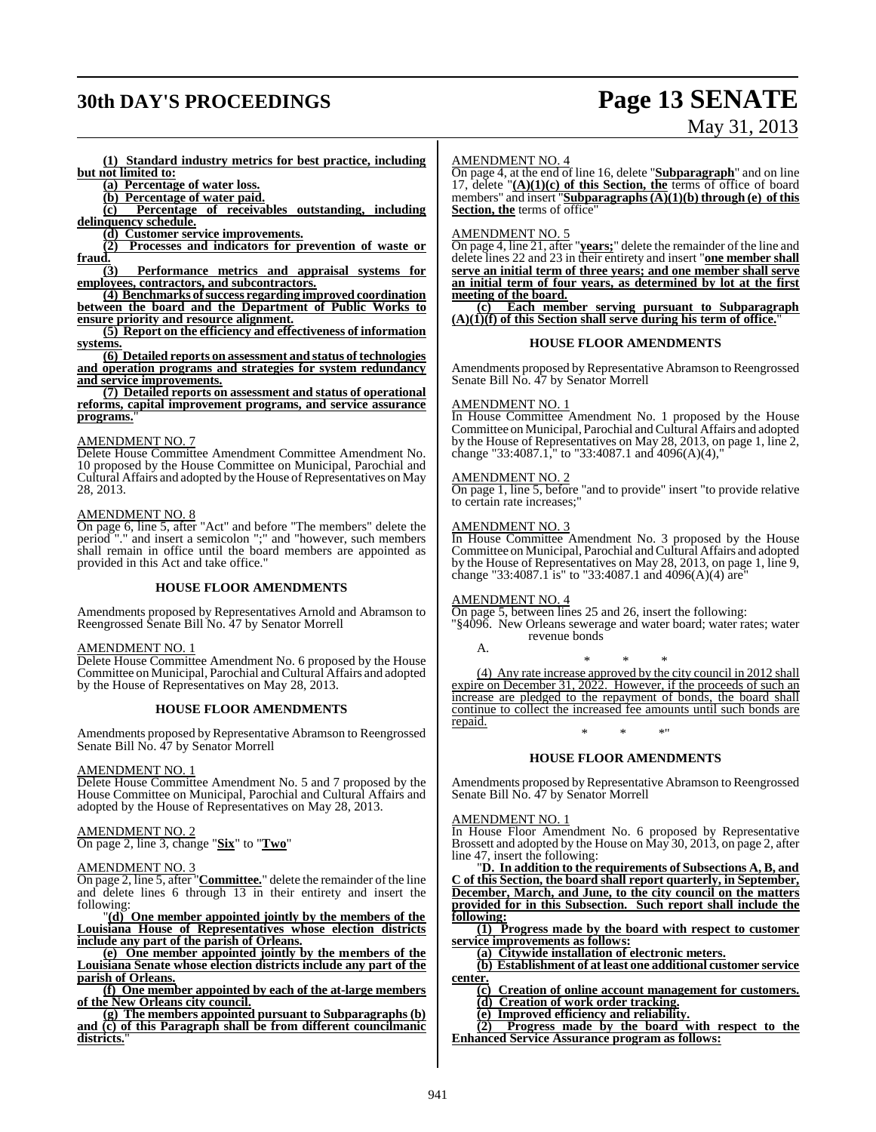# **30th DAY'S PROCEEDINGS Page 13 SENATE**

# May 31, 2013

**(1) Standard industry metrics for best practice, including but not limited to:**

**(a) Percentage of water loss.**

**(b) Percentage of water paid.**

**(c) Percentage of receivables outstanding, including delinquency schedule.**

**(d) Customer service improvements.**

**(2) Processes and indicators for prevention of waste or**  $\frac{\text{fraud.}}{3}$ 

**(3) Performance metrics and appraisal systems for employees, contractors, and subcontractors.**

**(4) Benchmarks of success regarding improved coordination between the board and the Department of Public Works to ensure priority and resource alignment.**

**(5) Report on the efficiency and effectiveness of information systems.**

**(6) Detailed reports on assessment and status of technologies and operation programs and strategies for system redundancy and service improvements.**

**(7) Detailed reports on assessment and status of operational reforms, capital improvement programs, and service assurance programs.**"

#### AMENDMENT NO. 7

Delete House Committee Amendment Committee Amendment No. 10 proposed by the House Committee on Municipal, Parochial and Cultural Affairs and adopted by the House of Representatives on May 28, 2013.

#### AMENDMENT NO. 8

On page 6, line 5, after "Act" and before "The members" delete the period "." and insert a semicolon ";" and "however, such members shall remain in office until the board members are appointed as provided in this Act and take office."

#### **HOUSE FLOOR AMENDMENTS**

Amendments proposed by Representatives Arnold and Abramson to Reengrossed Senate Bill No. 47 by Senator Morrell

#### AMENDMENT NO. 1

Delete House Committee Amendment No. 6 proposed by the House Committee on Municipal, Parochial and Cultural Affairs and adopted by the House of Representatives on May 28, 2013.

#### **HOUSE FLOOR AMENDMENTS**

Amendments proposed by Representative Abramson to Reengrossed Senate Bill No. 47 by Senator Morrell

#### AMENDMENT NO. 1

Delete House Committee Amendment No. 5 and 7 proposed by the House Committee on Municipal, Parochial and Cultural Affairs and adopted by the House of Representatives on May 28, 2013.

#### AMENDMENT NO. 2

On page 2, line 3, change "**Six**" to "**Two**"

#### AMENDMENT NO. 3

On page 2, line 5, after "**Committee.**" delete the remainder of the line and delete lines 6 through 13 in their entirety and insert the following:

"**(d) One member appointed jointly by the members of the Louisiana House of Representatives whose election districts include any part of the parish of Orleans.**

**(e) One member appointed jointly by the members of the Louisiana Senate whose election districts include any part of the parish of Orleans.**

**(f) One member appointed by each of the at-large members of the New Orleans city council.**

**(g) The members appointed pursuant to Subparagraphs (b) and (c) of this Paragraph shall be from different councilmanic districts.**"

#### AMENDMENT NO. 4

On page 4, at the end of line 16, delete "**Subparagraph**" and on line 17, delete "**(A)(1)(c) of this Section, the** terms of office of board members" and insert "**Subparagraphs(A)(1)(b) through (e) of this Section, the terms of office** 

#### AMENDMENT NO. 5

On page 4, line 21, after "**years;**" delete the remainder of the line and delete lines 22 and 23 in their entirety and insert "**one member shall serve an initial term of three years; and one member shall serve an initial term of four years, as determined by lot at the first meeting of the board.**

**(c) Each member serving pursuant to Subparagraph (A)(1)(f) of this Section shall serve during his term of office.**"

#### **HOUSE FLOOR AMENDMENTS**

Amendments proposed by Representative Abramson to Reengrossed Senate Bill No. 47 by Senator Morrell

## AMENDMENT NO. 1

In House Committee Amendment No. 1 proposed by the House Committee on Municipal, Parochial and Cultural Affairs and adopted by the House of Representatives on May 28, 2013, on page 1, line 2, change "33:4087.1," to "33:4087.1 and 4096(A)(4),"

#### AMENDMENT NO. 2

On page 1, line 5, before "and to provide" insert "to provide relative to certain rate increases;"

#### AMENDMENT NO. 3

In House Committee Amendment No. 3 proposed by the House Committee on Municipal, Parochial and Cultural Affairs and adopted by the House of Representatives on May 28, 2013, on page 1, line 9, change "33:4087.1 is" to "33:4087.1 and 4096(A)(4) are"

#### AMENDMENT NO. 4

On page 5, between lines 25 and 26, insert the following:

"§4096. New Orleans sewerage and water board; water rates; water revenue bonds A.

\* \* \*

(4) Any rate increase approved by the city council in 2012 shall expire on December 31, 2022. However, if the proceeds of such an increase are pledged to the repayment of bonds, the board shall continue to collect the increased fee amounts until such bonds are repaid. \* \* \*"

#### **HOUSE FLOOR AMENDMENTS**

Amendments proposed by Representative Abramson to Reengrossed Senate Bill No. 47 by Senator Morrell

#### AMENDMENT NO. 1

In House Floor Amendment No. 6 proposed by Representative Brossett and adopted by the House on May 30, 2013, on page 2, after line 47, insert the following:

"**D. In addition to the requirements of Subsections A, B, and C of this Section, the board shall report quarterly, in September, December, March, and June, to the city council on the matters provided for in this Subsection. Such report shall include the following:**

**(1) Progress made by the board with respect to customer service improvements as follows:**

**(a) Citywide installation of electronic meters.**

**(b) Establishment of at least one additional customer service center.**

**(c) Creation of online account management for customers.**

**(d) Creation of work order tracking.**

**(e) Improved efficiency and reliability.**

**(2) Progress made by the board with respect to the Enhanced Service Assurance program as follows:**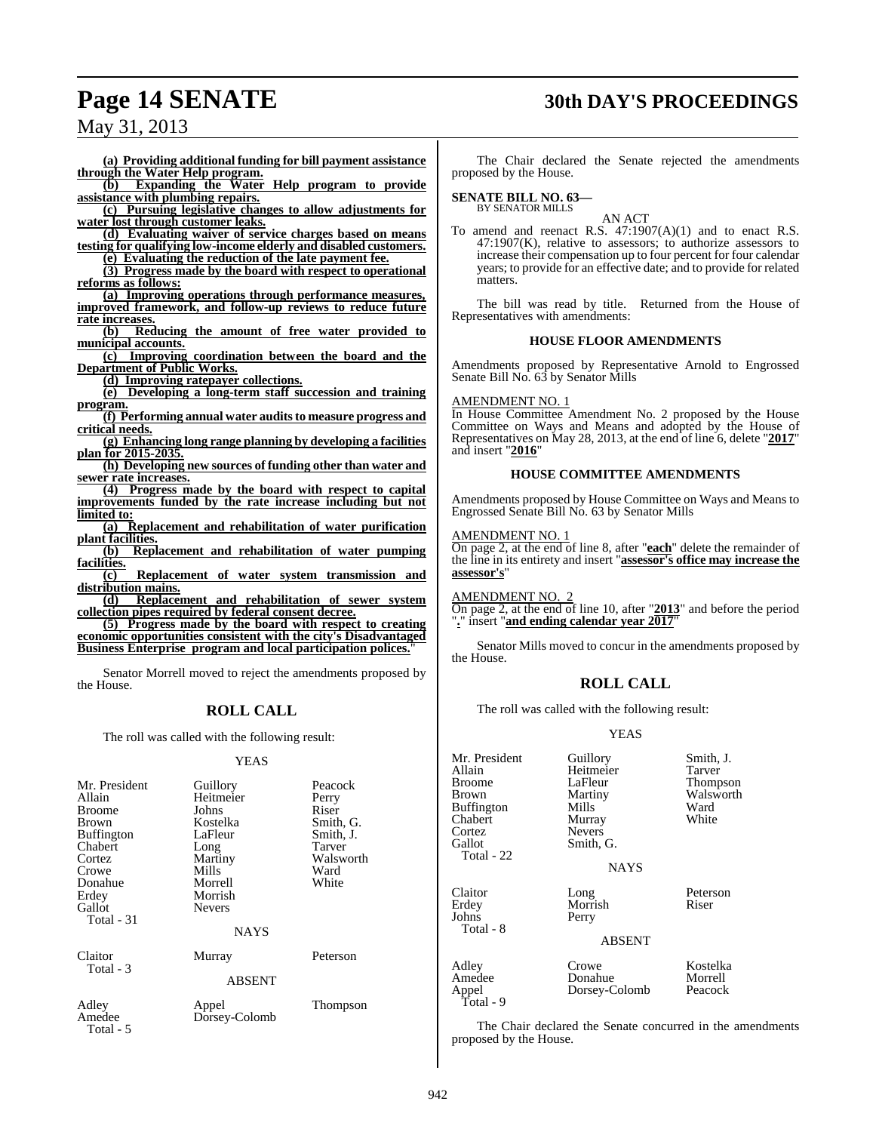## **Page 14 SENATE 30th DAY'S PROCEEDINGS**

## May 31, 2013

**(a) Providing additional funding for bill payment assistance through the Water Help program.**

**(b) Expanding the Water Help program to provide assistance with plumbing repairs.**

**(c) Pursuing legislative changes to allow adjustments for water lost through customer leaks.**

**(d) Evaluating waiver of service charges based on means testing for qualifying low-income elderly and disabled customers.**

**(e) Evaluating the reduction of the late payment fee.**

**(3) Progress made by the board with respect to operational reforms as follows:**

**(a) Improving operations through performance measures, improved framework, and follow-up reviews to reduce future rate increases.**<br>(b) **Red** 

**(b) Reducing the amount of free water provided to municipal accounts.**

**(c) Improving coordination between the board and the Department of Public Works.**

**(d) Improving ratepayer collections.**

**(e) Developing a long-term staff succession and training program.**

**(f) Performing annual water audits to measure progress and critical needs.**

**(g) Enhancing long range planning by developing a facilities plan for 2015-2035.**

**(h) Developing new sources of funding other than water and sewer rate increases.**

**(4) Progress made by the board with respect to capital improvements funded by the rate increase including but not limited to:**

**(a) Replacement and rehabilitation of water purification plant facilities.**<br>(b) **Rep.** 

**(b) Replacement and rehabilitation of water pumping facilities.**

**(c) Replacement of water system transmission and distribution mains.**

**(d) Replacement and rehabilitation of sewer system collection pipes required by federal consent decree.**

**(5) Progress made by the board with respect to creating economic opportunities consistent with the city's Disadvantaged Business Enterprise program and local participation polices.**"

Senator Morrell moved to reject the amendments proposed by the House.

## **ROLL CALL**

The roll was called with the following result:

#### YEAS

| Mr. President<br>Allain<br><b>Broome</b><br>Brown<br><b>Buffington</b><br>Chabert<br>Cortez<br>Crowe<br>Donahue<br>Erdey<br>Gallot<br>Total - 31 | Guillory<br>Heitmeier<br>Johns<br>Kostelka<br>LaFleur<br>Long<br>Martiny<br>Mills<br>Morrell<br>Morrish<br><b>Nevers</b><br><b>NAYS</b> | Peacock<br>Perry<br>Riser<br>Smith, G.<br>Smith, J.<br>Tarver<br>Walsworth<br>Ward<br>White |
|--------------------------------------------------------------------------------------------------------------------------------------------------|-----------------------------------------------------------------------------------------------------------------------------------------|---------------------------------------------------------------------------------------------|
| Claitor<br>Total - 3                                                                                                                             | Murray<br><b>ABSENT</b>                                                                                                                 | Peterson                                                                                    |
| Adley<br>Amedee<br>Total - 5                                                                                                                     | Appel<br>Dorsey-Colomb                                                                                                                  | Thompson                                                                                    |

The Chair declared the Senate rejected the amendments proposed by the House.

## **SENATE BILL NO. 63—**

BY SENATOR MILLS

AN ACT To amend and reenact R.S. 47:1907(A)(1) and to enact R.S.  $47:1907(K)$ , relative to assessors; to authorize assessors to increase their compensation up to four percent for four calendar years; to provide for an effective date; and to provide for related matters.

The bill was read by title. Returned from the House of Representatives with amendments:

#### **HOUSE FLOOR AMENDMENTS**

Amendments proposed by Representative Arnold to Engrossed Senate Bill No. 63 by Senator Mills

#### AMENDMENT NO. 1

In House Committee Amendment No. 2 proposed by the House Committee on Ways and Means and adopted by the House of Representatives on May 28, 2013, at the end of line 6, delete "2017" and insert "**2016**"

#### **HOUSE COMMITTEE AMENDMENTS**

Amendments proposed by House Committee on Ways and Means to Engrossed Senate Bill No. 63 by Senator Mills

#### AMENDMENT NO. 1

On page 2, at the end of line 8, after "**each**" delete the remainder of the line in its entirety and insert "**assessor's office may increase the assessor's**"

#### AMENDMENT NO. 2

On page 2, at the end of line 10, after "**2013**" and before the period "**.**" insert "**and ending calendar year 2017**"

Senator Mills moved to concur in the amendments proposed by the House.

#### **ROLL CALL**

The roll was called with the following result:

#### YEAS

| Mr. President<br>Allain<br><b>Broome</b><br>Brown<br><b>Buffington</b><br>Chabert<br>Cortez<br>Gallot<br>Total - 22 | Guillory<br>Heitmeier<br>LaFleur<br>Martiny<br>Mills<br>Murray<br><b>Nevers</b><br>Smith, G.<br><b>NAYS</b> | Smith, J.<br>Tarver<br>Thompson<br>Walsworth<br>Ward<br>White |
|---------------------------------------------------------------------------------------------------------------------|-------------------------------------------------------------------------------------------------------------|---------------------------------------------------------------|
| Claitor<br>Erdey<br>Johns<br>Total - 8                                                                              | Long<br>Morrish<br>Perry<br><b>ABSENT</b>                                                                   | Peterson<br>Riser                                             |
| Adley<br>Amedee<br>Appel<br>Total - 9                                                                               | Crowe<br>Donahue<br>Dorsey-Colomb                                                                           | Kostelka<br>Morrell<br>Peacock                                |

The Chair declared the Senate concurred in the amendments proposed by the House.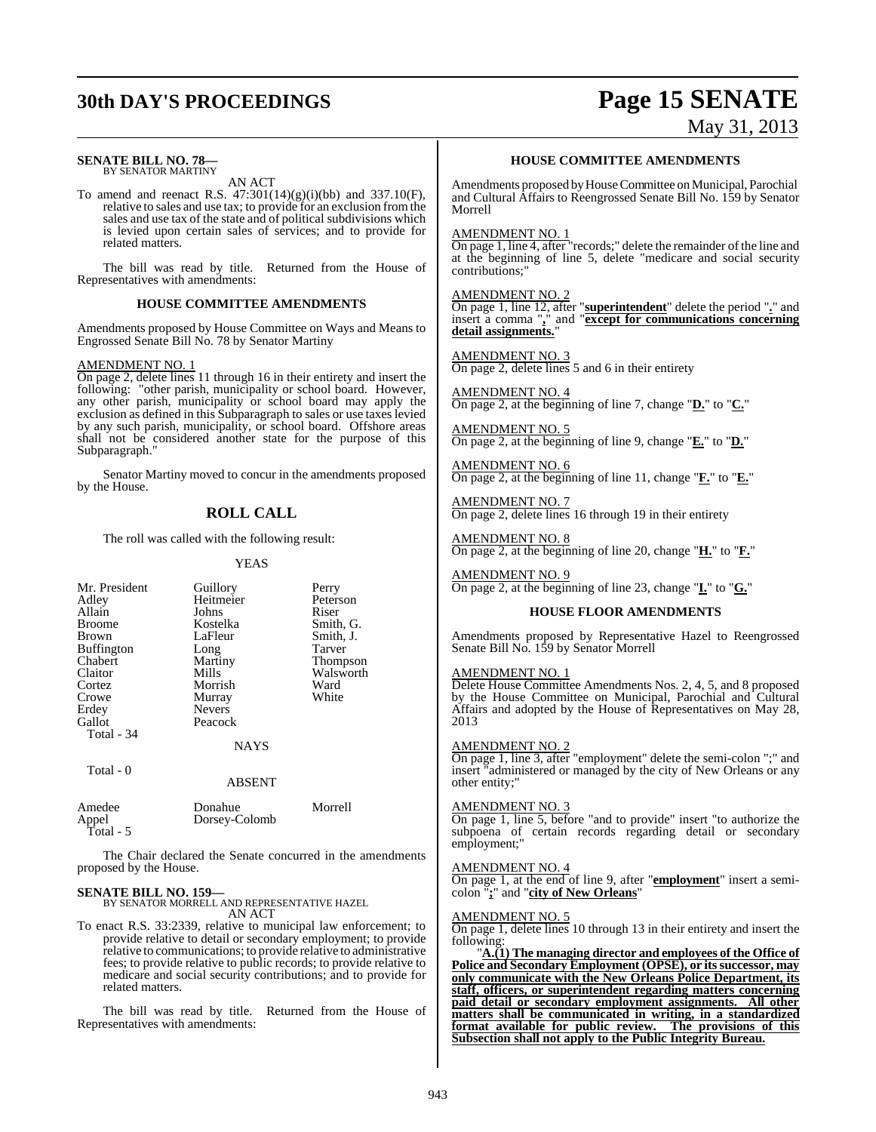# **30th DAY'S PROCEEDINGS Page 15 SENATE**

#### **SENATE BILL NO. 78—** BY SENATOR MARTINY

AN ACT

To amend and reenact R.S. 47:301(14)(g)(i)(bb) and 337.10(F), relative to sales and use tax; to provide for an exclusion fromthe sales and use tax of the state and of political subdivisions which is levied upon certain sales of services; and to provide for related matters.

The bill was read by title. Returned from the House of Representatives with amendments:

#### **HOUSE COMMITTEE AMENDMENTS**

Amendments proposed by House Committee on Ways and Means to Engrossed Senate Bill No. 78 by Senator Martiny

#### AMENDMENT NO. 1

On page 2, delete lines 11 through 16 in their entirety and insert the following: "other parish, municipality or school board. However, any other parish, municipality or school board may apply the exclusion as defined in this Subparagraph to sales or use taxes levied by any such parish, municipality, or school board. Offshore areas shall not be considered another state for the purpose of this Subparagraph."

Senator Martiny moved to concur in the amendments proposed by the House.

### **ROLL CALL**

The roll was called with the following result:

#### YEAS

| Mr. President<br>Adley<br>Allain<br><b>Broome</b><br>Brown<br><b>Buffington</b><br>Chabert<br>Claitor<br>Cortez<br>Crowe | Guillory<br>Heitmeier<br>Johns<br>Kostelka<br>LaFleur<br>Long<br>Martiny<br>Mills<br>Morrish<br>Murray | Perry<br>Peterson<br>Riser<br>Smith, G.<br>Smith, J.<br>Tarver<br>Thompson<br>Walsworth<br>Ward<br>White |
|--------------------------------------------------------------------------------------------------------------------------|--------------------------------------------------------------------------------------------------------|----------------------------------------------------------------------------------------------------------|
| Erdey<br>Gallot<br>Total - 34<br>Total - 0                                                                               | <b>Nevers</b><br>Peacock<br><b>NAYS</b>                                                                |                                                                                                          |
|                                                                                                                          | <b>ABSENT</b>                                                                                          |                                                                                                          |
| Amedee<br>Appel<br>Total - 5                                                                                             | Donahue<br>Dorsey-Colomb                                                                               | Morrell                                                                                                  |

The Chair declared the Senate concurred in the amendments proposed by the House.

#### **SENATE BILL NO. 159—**

BY SENATOR MORRELL AND REPRESENTATIVE HAZEL AN ACT

To enact R.S. 33:2339, relative to municipal law enforcement; to provide relative to detail or secondary employment; to provide relative to communications; to provide relative to administrative fees; to provide relative to public records; to provide relative to medicare and social security contributions; and to provide for related matters.

The bill was read by title. Returned from the House of Representatives with amendments:

#### **HOUSE COMMITTEE AMENDMENTS**

May 31, 2013

Amendments proposed by House Committee on Municipal, Parochial and Cultural Affairs to Reengrossed Senate Bill No. 159 by Senator Morrell

#### AMENDMENT NO. 1

On page 1, line 4, after "records;" delete the remainder of the line and at the beginning of line 5, delete "medicare and social security contributions;"

#### AMENDMENT NO. 2

On page 1, line 12, after "**superintendent**" delete the period "**.**" and insert a comma "**,**" and "**except for communications concerning detail assignments.**"

#### AMENDMENT NO. 3

On page 2, delete lines 5 and 6 in their entirety

AMENDMENT NO. 4 On page 2, at the beginning of line 7, change "**D.**" to "**C.**"

AMENDMENT NO. 5 On page 2, at the beginning of line 9, change "**E.**" to "**D.**"

AMENDMENT NO. 6 On page 2, at the beginning of line 11, change "**F.**" to "**E.**"

AMENDMENT NO. 7 On page 2, delete lines 16 through 19 in their entirety

AMENDMENT NO. 8 On page 2, at the beginning of line 20, change "**H.**" to "**F.**"

AMENDMENT NO. 9 On page 2, at the beginning of line 23, change "**I.**" to "**G.**"

#### **HOUSE FLOOR AMENDMENTS**

Amendments proposed by Representative Hazel to Reengrossed Senate Bill No. 159 by Senator Morrell

#### AMENDMENT NO. 1

Delete House Committee Amendments Nos. 2, 4, 5, and 8 proposed by the House Committee on Municipal, Parochial and Cultural Affairs and adopted by the House of Representatives on May 28, 2013

#### AMENDMENT NO. 2

On page 1, line 3, after "employment" delete the semi-colon ";" and insert "administered or managed by the city of New Orleans or any other entity;"

#### AMENDMENT NO. 3

On page 1, line 5, before "and to provide" insert "to authorize the subpoena of certain records regarding detail or secondary employment;"

#### AMENDMENT NO. 4

On page 1, at the end of line 9, after "**employment**" insert a semicolon "**;**" and "**city of New Orleans**"

#### AMENDMENT NO. 5

On page 1, delete lines 10 through 13 in their entirety and insert the following:

"**A.(1) The managing director and employees of the Office of Police and Secondary Employment (OPSE), or itssuccessor, may only communicate with the New Orleans Police Department, its staff, officers, or superintendent regarding matters concerning paid detail or secondary employment assignments. All other matters shall be communicated in writing, in a standardized format available for public review. The provisions of this Subsection shall not apply to the Public Integrity Bureau.**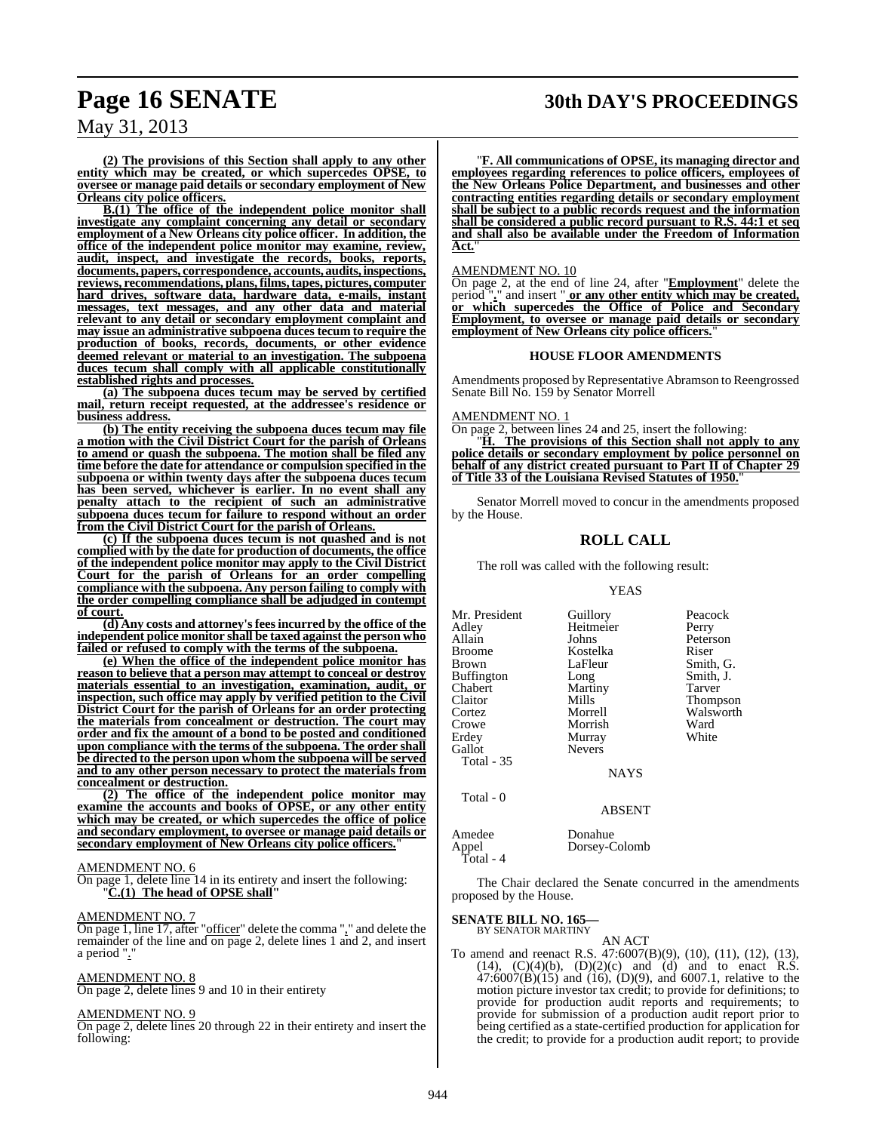## **Page 16 SENATE 30th DAY'S PROCEEDINGS**

May 31, 2013

**(2) The provisions of this Section shall apply to any other entity which may be created, or which supercedes OPSE, to oversee or manage paid details or secondary employment of New Orleans city police officers.**

**B.(1) The office of the independent police monitor shall investigate any complaint concerning any detail or secondary employment of a New Orleans city police officer. In addition, the office of the independent police monitor may examine, review, audit, inspect, and investigate the records, books, reports, documents, papers, correspondence, accounts, audits, inspections, reviews, recommendations, plans,films,tapes, pictures, computer hard drives, software data, hardware data, e-mails, instant messages, text messages, and any other data and material relevant to any detail or secondary employment complaint and may issue an administrative subpoena duces tecum to require the production of books, records, documents, or other evidence deemed relevant or material to an investigation. The subpoena duces tecum shall comply with all applicable constitutionally established rights and processes.**

**(a) The subpoena duces tecum may be served by certified mail, return receipt requested, at the addressee's residence or business address.**

**(b) The entity receiving the subpoena duces tecum may file a motion with the Civil District Court for the parish of Orleans to amend or quash the subpoena. The motion shall be filed any time before the date for attendance or compulsion specified in the subpoena or within twenty days after the subpoena duces tecum has been served, whichever is earlier. In no event shall any penalty attach to the recipient of such an administrative subpoena duces tecum for failure to respond without an order from the Civil District Court for the parish of Orleans.**

**(c) If the subpoena duces tecum is not quashed and is not complied with by the date for production of documents, the office of the independent police monitor may apply to the Civil District Court for the parish of Orleans for an order compelling compliance with the subpoena. Any person failing to comply with the order compelling compliance shall be adjudged in contempt of court.**

**(d) Any costs and attorney'sfeesincurred by the office of the independent police monitor shall be taxed against the person who failed or refused to comply with the terms of the subpoena.**

**(e) When the office of the independent police monitor has reason to believe that a person may attempt to conceal or destroy materials essential to an investigation, examination, audit, or inspection, such office may apply by verified petition to the Civil District Court for the parish of Orleans for an order protecting the materials from concealment or destruction. The court may order and fix the amount of a bond to be posted and conditioned upon compliance with the terms of the subpoena. The order shall be directed to the person upon whom the subpoena will be served and to any other person necessary to protect the materials from concealment or destruction.**

**(2) The office of the independent police monitor may examine the accounts and books of OPSE, or any other entity which may be created, or which supercedes the office of police and secondary employment, to oversee or manage paid details or secondary employment of New Orleans city police officers.**"

#### AMENDMENT NO. 6

On page 1, delete line 14 in its entirety and insert the following: "**C.(1) The head of OPSE shall"**

#### AMENDMENT NO. 7

On page 1, line 17, after "officer" delete the comma "," and delete the remainder of the line and on page 2, delete lines 1 and 2, and insert a period "."

#### AMENDMENT NO. 8

On page 2, delete lines 9 and 10 in their entirety

#### AMENDMENT NO. 9

On page 2, delete lines 20 through 22 in their entirety and insert the following:

"**F. All communications of OPSE, its managing director and employees regarding references to police officers, employees of the New Orleans Police Department, and businesses and other contracting entities regarding details or secondary employment shall be subject to a public records request and the information shall be considered a public record pursuant to R.S. 44:1 et seq and shall also be available under the Freedom of Information Act.**"

AMENDMENT NO. 10

On page 2, at the end of line 24, after "**Employment**" delete the period "**.**" and insert " **or any other entity which may be created, or which supercedes the Office of Police and Secondary Employment, to oversee or manage paid details or secondary employment of New Orleans city police officers.**"

#### **HOUSE FLOOR AMENDMENTS**

Amendments proposed by Representative Abramson to Reengrossed Senate Bill No. 159 by Senator Morrell

AMENDMENT NO. 1

On page 2, between lines 24 and 25, insert the following:

"**H. The provisions of this Section shall not apply to any police details or secondary employment by police personnel on behalf of any district created pursuant to Part II of Chapter 29 of Title 33 of the Louisiana Revised Statutes of 1950.**"

Senator Morrell moved to concur in the amendments proposed by the House.

#### **ROLL CALL**

The roll was called with the following result:

#### YEAS

Mr. President Guillory Peacock<br>Adley Heitmeier Perry Adley Heitmeier<br>Allain Johns Allain Johns Peterson Broome Kostelka<br>Brown LaFleur **Buffington** Chabert Martiny Tarver Claitor Mills Thompson<br>Cortez Morrell Walsworth Cortez Morrell Walsworth Erdey Murray<br>Gallot Nevers Gallot Total - 35

Total - 0

LaFleur Smith, G.<br>Long Smith, J. Morrish Ward<br>
Murray White

NAYS

#### ABSENT

| Amedee    | Donahue       |
|-----------|---------------|
| Appel     | Dorsey-Colomb |
| Total - 4 |               |

The Chair declared the Senate concurred in the amendments proposed by the House.

#### **SENATE BILL NO. 165—** BY SENATOR MARTINY

AN ACT

To amend and reenact R.S. 47:6007(B)(9), (10), (11), (12), (13),  $(14)$ ,  $(C)(4)(b)$ ,  $(D)(2)(c)$  and  $(d)$  and to enact R.S.  $47:6007(B)(15)$  and  $(16)$ ,  $(D)(9)$ , and  $6007.1$ , relative to the motion picture investor tax credit; to provide for definitions; to provide for production audit reports and requirements; to provide for submission of a production audit report prior to being certified as a state-certified production for application for the credit; to provide for a production audit report; to provide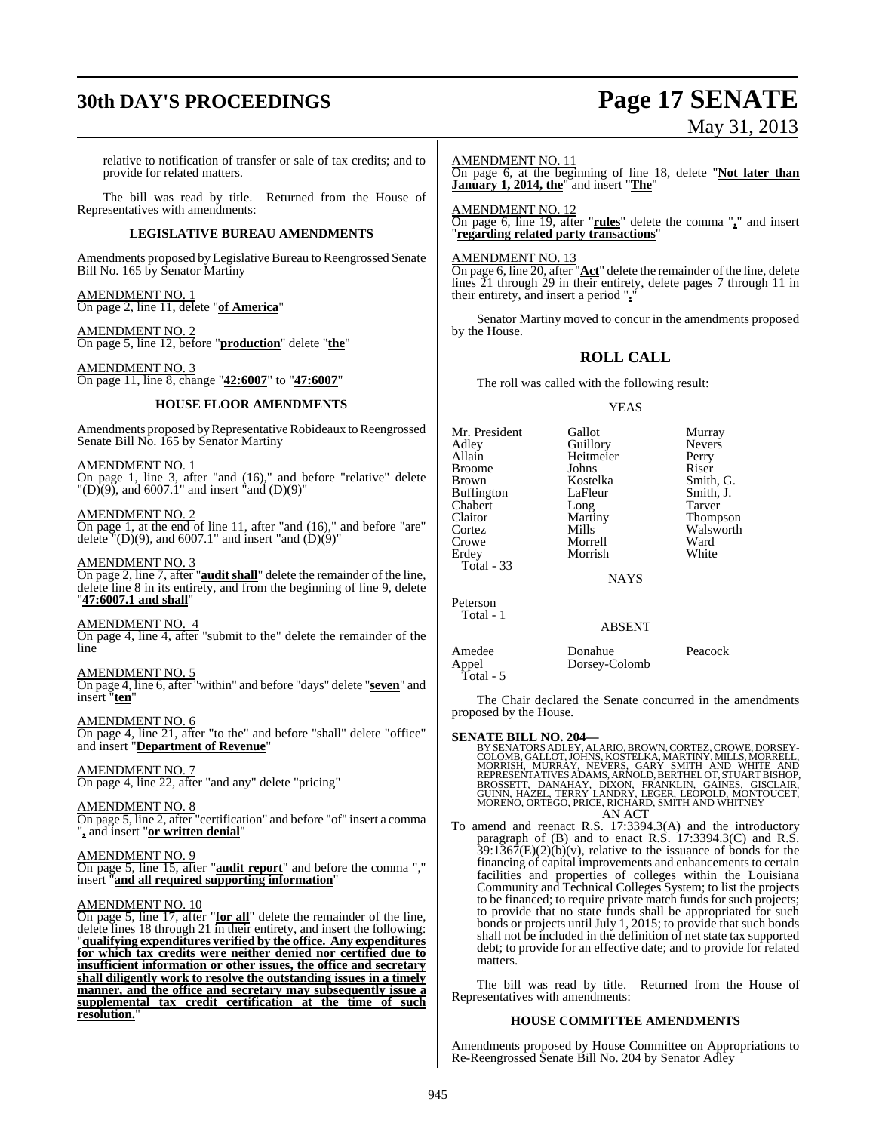# **30th DAY'S PROCEEDINGS Page 17 SENATE**

# May 31, 2013

relative to notification of transfer or sale of tax credits; and to provide for related matters.

The bill was read by title. Returned from the House of Representatives with amendments:

#### **LEGISLATIVE BUREAU AMENDMENTS**

Amendments proposed by Legislative Bureau to Reengrossed Senate Bill No. 165 by Senator Martiny

AMENDMENT NO. 1 On page 2, line 11, delete "**of America**"

AMENDMENT NO. 2 On page 5, line 12, before "**production**" delete "**the**"

AMENDMENT NO. 3 On page 11, line 8, change "**42:6007**" to "**47:6007**"

#### **HOUSE FLOOR AMENDMENTS**

Amendments proposed by Representative Robideaux to Reengrossed Senate Bill No. 165 by Senator Martiny

AMENDMENT NO. 1 On page 1, line 3, after "and (16)," and before "relative" delete  $T(D)(9)$ , and 6007.1" and insert  $\text{and}$  (D)(9)"

AMEND<u>MENT NO. 2</u> On page 1, at the end of line 11, after "and (16)," and before "are" delete  $\sqrt{T(D)(9)}$ , and 6007.1" and insert "and  $(D)(9)$ "

AMENDMENT NO. 3 On page 2, line 7, after "**audit shall**" delete the remainder of the line, delete line 8 in its entirety, and from the beginning of line 9, delete "**47:6007.1 and shall**"

AMENDMENT NO. 4 On page 4, line 4, after "submit to the" delete the remainder of the line

AMENDMENT NO. 5 On page 4, line 6, after "within" and before "days" delete "**seven**" and insert "**ten**"

AMENDMENT NO. 6 On page 4, line 21, after "to the" and before "shall" delete "office" and insert "**Department of Revenue**"

AMENDMENT NO. 7 On page 4, line 22, after "and any" delete "pricing"

AMENDMENT NO. 8 On page 5, line 2, after "certification" and before "of" insert a comma "**,** and insert "**or written denial**"

#### AMENDMENT NO. 9

On page 5, line 15, after "**audit report**" and before the comma "," insert "**and all required supporting information**"

#### AMENDMENT NO. 10

On page 5, line 17, after "**for all**" delete the remainder of the line, delete lines 18 through 21 in their entirety, and insert the following: "**qualifying expenditures verified by the office. Any expenditures for which tax credits were neither denied nor certified due to insufficient information or other issues, the office and secretary shall diligently work to resolve the outstanding issues in a timely manner, and the office and secretary may subsequently issue a supplemental tax credit certification at the time of such resolution.**"

AMENDMENT NO. 11

On page 6, at the beginning of line 18, delete "**Not later than January 1, 2014, the**" and insert "**The**"

AMENDMENT NO. 12 On page 6, line 19, after "**rules**" delete the comma "**,**" and insert "**regarding related party transactions**"

#### AMENDMENT NO. 13

On page 6, line 20, after "Act" delete the remainder of the line, delete lines 21 through 29 in their entirety, delete pages 7 through 11 in their entirety, and insert a period ".

Senator Martiny moved to concur in the amendments proposed by the House.

#### **ROLL CALL**

The roll was called with the following result:

#### YEAS

| Mr. President     | Gallot      | Murray          |
|-------------------|-------------|-----------------|
| Adley             | Guillory    | <b>Nevers</b>   |
| Allain            | Heitmeier   | Perry           |
| Broome            | Johns       | Riser           |
| Brown             | Kostelka    | Smith, G.       |
| <b>Buffington</b> | LaFleur     | Smith, J.       |
| Chabert           | Long        | Tarver          |
| Claitor           | Martiny     | <b>Thompson</b> |
| Cortez            | Mills       | Walsworth       |
| Crowe             | Morrell     | Ward            |
| Erdey             | Morrish     | White           |
| Total - 33        |             |                 |
|                   | <b>NAYS</b> |                 |
| Peterson          |             |                 |
| Total - 1         |             |                 |

#### ABSENT

### Amedee Donahue Peacock<br>Appel<br>
Corsey-Colomb<br>
Peacock<br>
The Peacock Dorsey-Colomb

The Chair declared the Senate concurred in the amendments proposed by the House.

Total - 5

**SENATE BILL NO. 204—**<br>BY SENATORS ADLEY, ALARIO, BROWN, CORTEZ, CROWE, DORSEY-<br>COLOMB, GALLOT, JOHNS, KOSTELKA, MARTINY, MILLS, MORRELL,<br>MORRISH, MURRAY, NEVERS, GARY SMITH AND WHITE AND<br>REPRESENTATIVES ADAMS, ARNOLD, BER AN ACT

To amend and reenact R.S. 17:3394.3(A) and the introductory paragraph of  $(B)$  and to enact R.S. 17:3394.3 $(C)$  and R.S.  $39:1367(E)(2)(b)(v)$ , relative to the issuance of bonds for the financing of capital improvements and enhancements to certain facilities and properties of colleges within the Louisiana Community and Technical Colleges System; to list the projects to be financed; to require private match funds for such projects; to provide that no state funds shall be appropriated for such bonds or projects until July 1, 2015; to provide that such bonds shall not be included in the definition of net state tax supported debt; to provide for an effective date; and to provide for related matters.

The bill was read by title. Returned from the House of Representatives with amendments:

#### **HOUSE COMMITTEE AMENDMENTS**

Amendments proposed by House Committee on Appropriations to Re-Reengrossed Senate Bill No. 204 by Senator Adley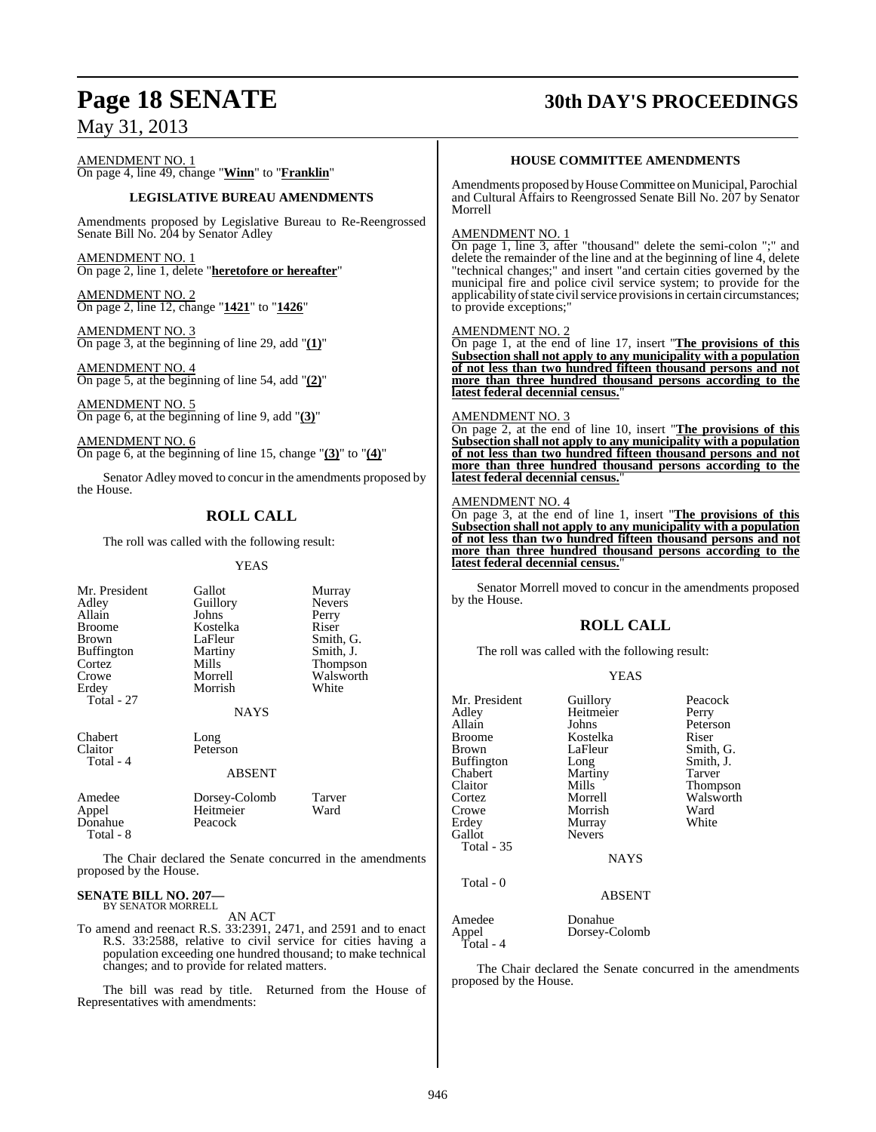## **Page 18 SENATE 30th DAY'S PROCEEDINGS**

## May 31, 2013

AMENDMENT NO. 1 On page 4, line 49, change "**Winn**" to "**Franklin**"

#### **LEGISLATIVE BUREAU AMENDMENTS**

Amendments proposed by Legislative Bureau to Re-Reengrossed Senate Bill No. 204 by Senator Adley

AMENDMENT NO. 1 On page 2, line 1, delete "**heretofore or hereafter**"

AMENDMENT NO. 2 On page 2, line 12, change "**1421**" to "**1426**"

AMENDMENT NO. 3 On page 3, at the beginning of line 29, add "**(1)**"

AMENDMENT NO. 4 On page 5, at the beginning of line 54, add "**(2)**"

AMENDMENT NO. 5 On page 6, at the beginning of line 9, add "**(3)**"

AMENDMENT NO. 6 On page 6, at the beginning of line 15, change "**(3)**" to "**(4)**"

Senator Adley moved to concur in the amendments proposed by the House.

## **ROLL CALL**

The roll was called with the following result:

YEAS

| Mr. President<br>Adley<br>Allain<br><b>Broome</b><br>Brown<br><b>Buffington</b><br>Cortez<br>Crowe<br>Erdey<br>Total - 27 | Gallot<br>Guillory<br>Johns<br>Kostelka<br>LaFleur<br>Martiny<br>Mills<br>Morrell<br>Morrish<br><b>NAYS</b> | Murray<br><b>Nevers</b><br>Perry<br>Riser<br>Smith, G.<br>Smith, J.<br>Thompson<br>Walsworth<br>White |
|---------------------------------------------------------------------------------------------------------------------------|-------------------------------------------------------------------------------------------------------------|-------------------------------------------------------------------------------------------------------|
| Chabert<br>Claitor<br>Total - 4                                                                                           | Long<br>Peterson<br><b>ABSENT</b>                                                                           |                                                                                                       |
| Amedee<br>Appel<br>Donahue<br>Total - 8                                                                                   | Dorsey-Colomb<br>Heitmeier<br>Peacock                                                                       | Tarver<br>Ward                                                                                        |

The Chair declared the Senate concurred in the amendments proposed by the House.

#### **SENATE BILL NO. 207—** BY SENATOR MORRELL

AN ACT

To amend and reenact R.S. 33:2391, 2471, and 2591 and to enact R.S. 33:2588, relative to civil service for cities having a population exceeding one hundred thousand; to make technical changes; and to provide for related matters.

The bill was read by title. Returned from the House of Representatives with amendments:

#### **HOUSE COMMITTEE AMENDMENTS**

Amendments proposed by House Committee on Municipal, Parochial and Cultural Affairs to Reengrossed Senate Bill No. 207 by Senator Morrell

#### AMENDMENT NO. 1

On page 1, line 3, after "thousand" delete the semi-colon ";" and delete the remainder of the line and at the beginning of line 4, delete "technical changes;" and insert "and certain cities governed by the municipal fire and police civil service system; to provide for the applicability of state civil service provisions in certain circumstances; to provide exceptions;"

#### AMENDMENT NO. 2

On page 1, at the end of line 17, insert "**The provisions of this Subsection shall not apply to any municipality with a population of not less than two hundred fifteen thousand persons and not more than three hundred thousand persons according to the latest federal decennial census.**"

#### AMENDMENT NO. 3

On page 2, at the end of line 10, insert "**The provisions of this Subsection shall not apply to any municipality with a population of not less than two hundred fifteen thousand persons and not more than three hundred thousand persons according to the latest federal decennial census.**"

#### AMENDMENT NO. 4

On page 3, at the end of line 1, insert "**The provisions of this Subsection shall not apply to any municipality with a population of not less than two hundred fifteen thousand persons and not more than three hundred thousand persons according to the latest federal decennial census.**"

Senator Morrell moved to concur in the amendments proposed by the House.

#### **ROLL CALL**

The roll was called with the following result:

#### YEAS

| Mr. President<br>Adley | Guillory<br>Heitmeier | Peacock<br>Perry |
|------------------------|-----------------------|------------------|
| Allain                 | Johns                 | Peterson         |
| <b>Broome</b>          | Kostelka              | Riser            |
| Brown                  | LaFleur               | Smith, G.        |
| <b>Buffington</b>      | Long                  | Smith, J.        |
| Chabert                | Martiny               | Tarver           |
| Claitor                | Mills                 | Thompson         |
| Cortez                 | Morrell               | Walsworth        |
| Crowe                  | Morrish               | Ward             |
| Erdey                  | Murray                | White            |
| Gallot                 | <b>Nevers</b>         |                  |
| <b>Total - 35</b>      |                       |                  |
|                        | <b>NAYS</b>           |                  |
| Total - 0              |                       |                  |
|                        | ABSENT                |                  |
| Amedee                 | Donahue               |                  |
| Appel<br>Total - 4     | Dorsey-Colomb         |                  |

The Chair declared the Senate concurred in the amendments proposed by the House.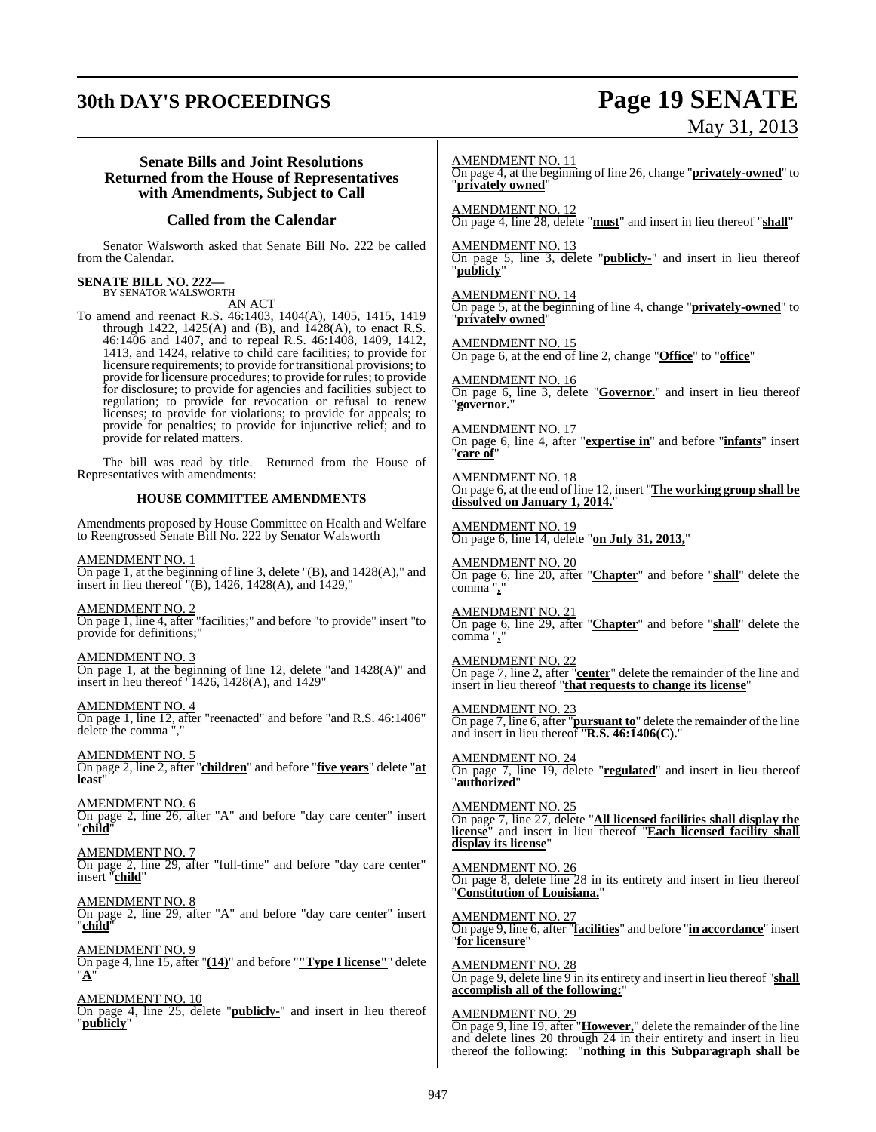# **30th DAY'S PROCEEDINGS Page 19 SENATE** May 31, 2013

| <b>Senate Bills and Joint Resolutions</b>                                                                                                                                                                                                                                                                                                                                                                                                                                                                                                                                                                                                                                                                                                                                                                                                                                                 | <b>AMENDMENT NO. 11</b>                                                                                                                                                                                                                                                                                                                                                                                                                        |
|-------------------------------------------------------------------------------------------------------------------------------------------------------------------------------------------------------------------------------------------------------------------------------------------------------------------------------------------------------------------------------------------------------------------------------------------------------------------------------------------------------------------------------------------------------------------------------------------------------------------------------------------------------------------------------------------------------------------------------------------------------------------------------------------------------------------------------------------------------------------------------------------|------------------------------------------------------------------------------------------------------------------------------------------------------------------------------------------------------------------------------------------------------------------------------------------------------------------------------------------------------------------------------------------------------------------------------------------------|
| <b>Returned from the House of Representatives</b>                                                                                                                                                                                                                                                                                                                                                                                                                                                                                                                                                                                                                                                                                                                                                                                                                                         | On page 4, at the beginning of line 26, change " <b>privately-owned</b> " to                                                                                                                                                                                                                                                                                                                                                                   |
| with Amendments, Subject to Call                                                                                                                                                                                                                                                                                                                                                                                                                                                                                                                                                                                                                                                                                                                                                                                                                                                          | "privately owned"                                                                                                                                                                                                                                                                                                                                                                                                                              |
| <b>Called from the Calendar</b>                                                                                                                                                                                                                                                                                                                                                                                                                                                                                                                                                                                                                                                                                                                                                                                                                                                           | $\frac{\text{AMENDMENT NO. 12}}{\text{On page 4, line 28, delete "must" and insert in lieu thereof "shall" }$                                                                                                                                                                                                                                                                                                                                  |
| Senator Walsworth asked that Senate Bill No. 222 be called<br>from the Calendar.                                                                                                                                                                                                                                                                                                                                                                                                                                                                                                                                                                                                                                                                                                                                                                                                          | <b>AMENDMENT NO. 13</b><br>On page 5, line 3, delete " <b>publicly-</b> " and insert in lieu thereof<br>"publicly"                                                                                                                                                                                                                                                                                                                             |
| <b>SENATE BILL NO. 222—</b><br>BY SENATOR WALSWORTH<br>AN ACT<br>To amend and reenact R.S. 46:1403, 1404(A), 1405, 1415, 1419<br>through $1422$ , $1425(A)$ and $(B)$ , and $1428(A)$ , to enact R.S.<br>46:1406 and 1407, and to repeal R.S. 46:1408, 1409, 1412,<br>1413, and 1424, relative to child care facilities; to provide for<br>licensure requirements; to provide for transitional provisions; to<br>provide for licensure procedures; to provide for rules; to provide<br>for disclosure; to provide for agencies and facilities subject to<br>regulation; to provide for revocation or refusal to renew<br>licenses; to provide for violations; to provide for appeals; to<br>provide for penalties; to provide for injunctive relief; and to<br>provide for related matters.<br>The bill was read by title. Returned from the House of<br>Representatives with amendments: | AMENDMENT NO. 14<br>On page 5, at the beginning of line 4, change " <b>privately-owned</b> " to<br>"privately owned"<br><b>AMENDMENT NO. 15</b><br>On page 6, at the end of line 2, change "Office" to "office"<br><b>AMENDMENT NO. 16</b><br>On page 6, line 3, delete " <b>Governor</b> ," and insert in lieu thereof<br>"governor."<br>AMENDMENT NO. 17<br>On page 6, line 4, after "expertise in" and before "infants" insert<br>"care of" |
| <b>HOUSE COMMITTEE AMENDMENTS</b>                                                                                                                                                                                                                                                                                                                                                                                                                                                                                                                                                                                                                                                                                                                                                                                                                                                         | <b>AMENDMENT NO. 18</b><br>On page 6, at the end of line 12, insert "The working group shall be<br>dissolved on January 1, 2014."                                                                                                                                                                                                                                                                                                              |
| Amendments proposed by House Committee on Health and Welfare                                                                                                                                                                                                                                                                                                                                                                                                                                                                                                                                                                                                                                                                                                                                                                                                                              | <b>AMENDMENT NO. 19</b>                                                                                                                                                                                                                                                                                                                                                                                                                        |
| to Reengrossed Senate Bill No. 222 by Senator Walsworth                                                                                                                                                                                                                                                                                                                                                                                                                                                                                                                                                                                                                                                                                                                                                                                                                                   | On page 6, line 14, delete "on July 31, 2013,"                                                                                                                                                                                                                                                                                                                                                                                                 |
| AMENDMENT NO. 1                                                                                                                                                                                                                                                                                                                                                                                                                                                                                                                                                                                                                                                                                                                                                                                                                                                                           | <b>AMENDMENT NO. 20</b>                                                                                                                                                                                                                                                                                                                                                                                                                        |
| On page 1, at the beginning of line 3, delete $"({\rm B})$ , and $1428({\rm A})$ ," and                                                                                                                                                                                                                                                                                                                                                                                                                                                                                                                                                                                                                                                                                                                                                                                                   | On page 6, line 20, after "Chapter" and before "shall" delete the                                                                                                                                                                                                                                                                                                                                                                              |
| insert in lieu thereof $"({\rm B})$ , 1426, 1428(A), and 1429,"                                                                                                                                                                                                                                                                                                                                                                                                                                                                                                                                                                                                                                                                                                                                                                                                                           | $comma$ ","                                                                                                                                                                                                                                                                                                                                                                                                                                    |
| <u>AMENDMENT NO. 2</u>                                                                                                                                                                                                                                                                                                                                                                                                                                                                                                                                                                                                                                                                                                                                                                                                                                                                    | <b>AMENDMENT NO. 21</b>                                                                                                                                                                                                                                                                                                                                                                                                                        |
| On page 1, line 4, after "facilities;" and before "to provide" insert "to                                                                                                                                                                                                                                                                                                                                                                                                                                                                                                                                                                                                                                                                                                                                                                                                                 | On page 6, line 29, after "Chapter" and before "shall" delete the                                                                                                                                                                                                                                                                                                                                                                              |
| provide for definitions;"                                                                                                                                                                                                                                                                                                                                                                                                                                                                                                                                                                                                                                                                                                                                                                                                                                                                 | comma","                                                                                                                                                                                                                                                                                                                                                                                                                                       |
| AMENDMENT NO. 3                                                                                                                                                                                                                                                                                                                                                                                                                                                                                                                                                                                                                                                                                                                                                                                                                                                                           | <b>AMENDMENT NO. 22</b>                                                                                                                                                                                                                                                                                                                                                                                                                        |
| On page 1, at the beginning of line 12, delete "and $1428(A)$ " and                                                                                                                                                                                                                                                                                                                                                                                                                                                                                                                                                                                                                                                                                                                                                                                                                       | On page 7, line 2, after "center" delete the remainder of the line and                                                                                                                                                                                                                                                                                                                                                                         |
| insert in lieu thereof $1426$ , 1428(A), and 1429"                                                                                                                                                                                                                                                                                                                                                                                                                                                                                                                                                                                                                                                                                                                                                                                                                                        | insert in lieu thereof "that requests to change its license"                                                                                                                                                                                                                                                                                                                                                                                   |
| <b>AMENDMENT NO. 4</b>                                                                                                                                                                                                                                                                                                                                                                                                                                                                                                                                                                                                                                                                                                                                                                                                                                                                    | <b>AMENDMENT NO. 23</b>                                                                                                                                                                                                                                                                                                                                                                                                                        |
| On page 1, line 12, after "reenacted" and before "and R.S. 46:1406"                                                                                                                                                                                                                                                                                                                                                                                                                                                                                                                                                                                                                                                                                                                                                                                                                       | On page 7, line 6, after "pursuant to" delete the remainder of the line                                                                                                                                                                                                                                                                                                                                                                        |
| delete the comma ","                                                                                                                                                                                                                                                                                                                                                                                                                                                                                                                                                                                                                                                                                                                                                                                                                                                                      | and insert in lieu thereof "R.S. $46:1406(C)$ ."                                                                                                                                                                                                                                                                                                                                                                                               |
| AMENDMENT NO. 5                                                                                                                                                                                                                                                                                                                                                                                                                                                                                                                                                                                                                                                                                                                                                                                                                                                                           | <b>AMENDMENT NO. 24</b>                                                                                                                                                                                                                                                                                                                                                                                                                        |
| On page 2, line 2, after "children" and before "five years" delete "at                                                                                                                                                                                                                                                                                                                                                                                                                                                                                                                                                                                                                                                                                                                                                                                                                    | On page 7, line 19, delete "regulated" and insert in lieu thereof                                                                                                                                                                                                                                                                                                                                                                              |
| least"                                                                                                                                                                                                                                                                                                                                                                                                                                                                                                                                                                                                                                                                                                                                                                                                                                                                                    | " <u>authorized</u> "                                                                                                                                                                                                                                                                                                                                                                                                                          |
| AMENDMENT NO. 6<br>On page 2, line 26, after "A" and before "day care center" insert<br>"child"                                                                                                                                                                                                                                                                                                                                                                                                                                                                                                                                                                                                                                                                                                                                                                                           | <b>AMENDMENT NO. 25</b><br>On page 7, line 27, delete "All licensed facilities shall display the<br>license" and insert in lieu thereof "Each licensed facility shall<br>display its license"                                                                                                                                                                                                                                                  |
| <b>AMENDMENT NO. 7</b><br>On page 2, line 29, after "full-time" and before "day care center"<br>insert " <b>child</b> "                                                                                                                                                                                                                                                                                                                                                                                                                                                                                                                                                                                                                                                                                                                                                                   | AMENDMENT NO. 26<br>On page 8, delete line 28 in its entirety and insert in lieu thereof<br>"Constitution of Louisiana."                                                                                                                                                                                                                                                                                                                       |
| AMENDMENT NO. 8                                                                                                                                                                                                                                                                                                                                                                                                                                                                                                                                                                                                                                                                                                                                                                                                                                                                           | <u>AMENDMENT NO. 27</u>                                                                                                                                                                                                                                                                                                                                                                                                                        |
| On page 2, line 29, after "A" and before "day care center" insert                                                                                                                                                                                                                                                                                                                                                                                                                                                                                                                                                                                                                                                                                                                                                                                                                         | On page 9, line 6, after "facilities" and before "in accordance" insert                                                                                                                                                                                                                                                                                                                                                                        |
| <u>"child"</u>                                                                                                                                                                                                                                                                                                                                                                                                                                                                                                                                                                                                                                                                                                                                                                                                                                                                            | "for licensure"                                                                                                                                                                                                                                                                                                                                                                                                                                |
| <b>AMENDMENT NO. 9</b>                                                                                                                                                                                                                                                                                                                                                                                                                                                                                                                                                                                                                                                                                                                                                                                                                                                                    | <b>AMENDMENT NO. 28</b>                                                                                                                                                                                                                                                                                                                                                                                                                        |
| On page 4, line 15, after "(14)" and before ""Type I license"" delete                                                                                                                                                                                                                                                                                                                                                                                                                                                                                                                                                                                                                                                                                                                                                                                                                     | On page 9, delete line 9 in its entirety and insert in lieu thereof "shall                                                                                                                                                                                                                                                                                                                                                                     |
| " <u>A</u> "                                                                                                                                                                                                                                                                                                                                                                                                                                                                                                                                                                                                                                                                                                                                                                                                                                                                              | accomplish all of the following:"                                                                                                                                                                                                                                                                                                                                                                                                              |
| <b>AMENDMENT NO. 10</b><br>On page 4, line 25, delete " <b>publicly</b> -" and insert in lieu thereof<br>"publicly"                                                                                                                                                                                                                                                                                                                                                                                                                                                                                                                                                                                                                                                                                                                                                                       | <b>AMENDMENT NO. 29</b><br>On page 9, line 19, after " <b>However</b> ," delete the remainder of the line<br>and delete lines 20 through 24 in their entirety and insert in lieu<br>thereof the following: "nothing in this Subparagraph shall be                                                                                                                                                                                              |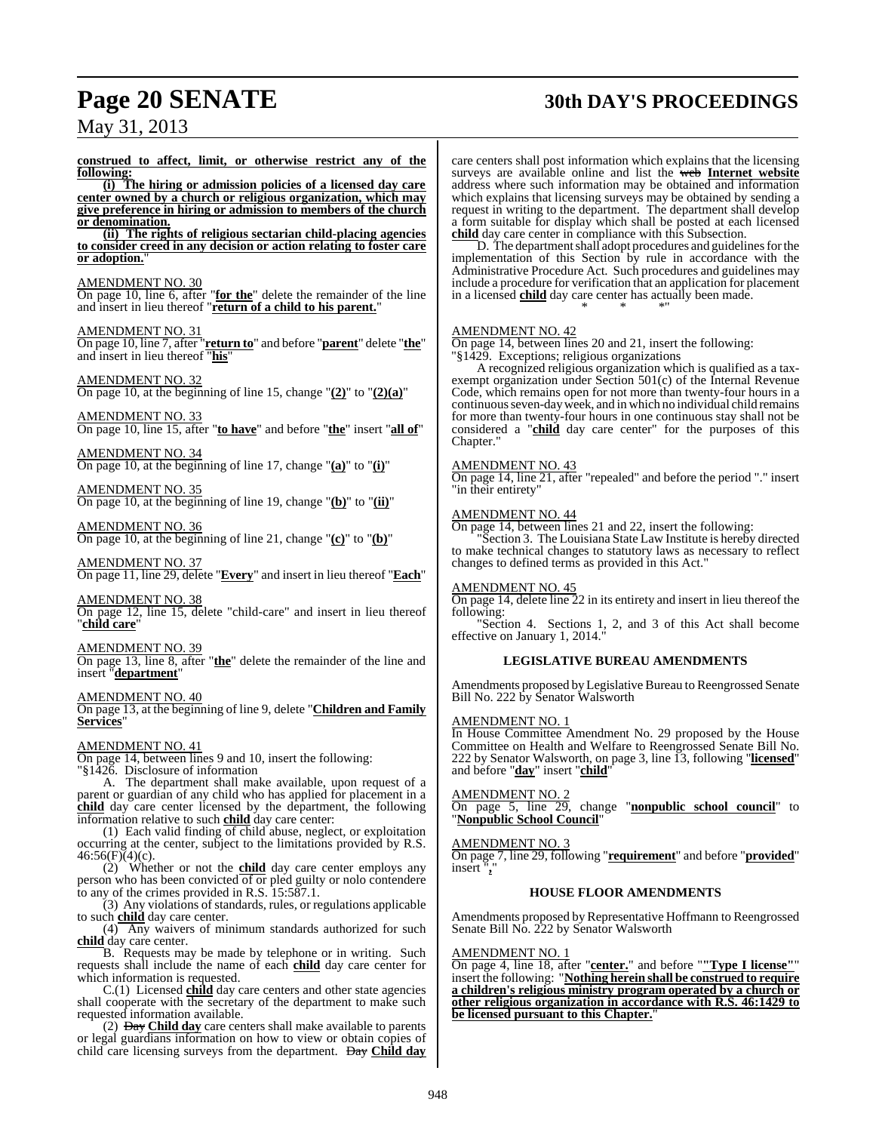# **Page 20 SENATE 30th DAY'S PROCEEDINGS**

May 31, 2013

**construed to affect, limit, or otherwise restrict any of the following: (i) The hiring or admission policies of a licensed day care center owned by a church or religious organization, which may give preference in hiring or admission to members of the church or denomination. (ii) The rights of religious sectarian child-placing agencies to consider creed in any decision or action relating to foster care or adoption.**" AMENDMENT NO. 30 On page 10, line 6, after "**for the**" delete the remainder of the line and insert in lieu thereof "**return of a child to his parent.**" AMENDMENT NO. 31 On page 10, line 7, after "**return to**" and before "**parent**" delete "**the**" and insert in lieu thereof "**his**" AMENDMENT NO. 32 On page 10, at the beginning of line 15, change "**(2)**" to "**(2)(a)**" AMENDMENT NO. 33 On page 10, line 15, after "**to have**" and before "**the**" insert "**all of**" AMENDMENT NO. 34 On page 10, at the beginning of line 17, change "**(a)**" to "**(i)**" AMENDMENT NO. 35 On page 10, at the beginning of line 19, change "**(b)**" to "**(ii)**" AMENDMENT NO. 36 On page 10, at the beginning of line 21, change "**(c)**" to "**(b)**" AMENDMENT NO. 37 On page 11, line 29, delete "**Every**" and insert in lieu thereof "**Each**" AMENDMENT NO. 38 On page 12, line 15, delete "child-care" and insert in lieu thereof "**child care**" AMENDMENT NO. 39 On page 13, line 8, after "**the**" delete the remainder of the line and insert "**department**" AMENDMENT NO. 40 On page 13, at the beginning of line 9, delete "**Children and Family Services**" AMENDMENT NO. 41 On page 14, between lines 9 and 10, insert the following: "§1426. Disclosure of information A. The department shall make available, upon request of a parent or guardian of any child who has applied for placement in a **child** day care center licensed by the department, the following information relative to such **child** day care center: (1) Each valid finding  $\overline{of}$  child abuse, neglect, or exploitation occurring at the center, subject to the limitations provided by R.S.  $46:56(F)(4)(c)$ . (2) Whether or not the **child** day care center employs any person who has been convicted of or pled guilty or nolo contendere to any of the crimes provided in R.S. 15:587.1. (3) Any violations of standards, rules, or regulations applicable to such **child** day care center. (4) Any waivers of minimum standards authorized for such **child** day care center. B. Requests may be made by telephone or in writing. Such requests shall include the name of each **child** day care center for which information is requested. C.(1) Licensed **child** day care centers and other state agencies shall cooperate with the secretary of the department to make such requested information available. (2) Day **Child day** care centers shall make available to parents

care centers shall post information which explains that the licensing surveys are available online and list the web **Internet website** address where such information may be obtained and information which explains that licensing surveys may be obtained by sending a request in writing to the department. The department shall develop a form suitable for display which shall be posted at each licensed **child** day care center in compliance with this Subsection.

D. The department shall adopt procedures and guidelines for the implementation of this Section by rule in accordance with the Administrative Procedure Act. Such procedures and guidelines may include a procedure for verification that an application for placement in a licensed **child** day care center has actually been made. \* \* \*"

#### AMENDMENT NO. 42

On page 14, between lines 20 and 21, insert the following: "§1429. Exceptions; religious organizations

A recognized religious organization which is qualified as a taxexempt organization under Section 501(c) of the Internal Revenue Code, which remains open for not more than twenty-four hours in a continuous seven-day week, and in which no individual child remains for more than twenty-four hours in one continuous stay shall not be considered a "**child** day care center" for the purposes of this Chapter."

#### AMENDMENT NO. 43

On page 14, line 21, after "repealed" and before the period "." insert "in their entirety"

#### AMENDMENT NO. 44

On page 14, between lines 21 and 22, insert the following:

"Section 3. The Louisiana State Law Institute is hereby directed to make technical changes to statutory laws as necessary to reflect changes to defined terms as provided in this Act."

#### AMENDMENT NO. 45

On page 14, delete line 22 in its entirety and insert in lieu thereof the following:

"Section 4. Sections 1, 2, and 3 of this Act shall become effective on January 1, 2014."

#### **LEGISLATIVE BUREAU AMENDMENTS**

Amendments proposed byLegislative Bureau to Reengrossed Senate Bill No. 222 by Senator Walsworth

#### AMENDMENT NO. 1

In House Committee Amendment No. 29 proposed by the House Committee on Health and Welfare to Reengrossed Senate Bill No. 222 by Senator Walsworth, on page 3, line 13, following "**licensed**" and before "**day**" insert "**child**"

#### AMENDMENT NO. 2

On page 5, line 29, change "**nonpublic school council**" to "**Nonpublic School Council**"

#### AMENDMENT NO. 3

On page 7, line 29, following "**requirement**" and before "**provided**" insert "**,**"

#### **HOUSE FLOOR AMENDMENTS**

Amendments proposed by Representative Hoffmann to Reengrossed Senate Bill No. 222 by Senator Walsworth

#### AMENDMENT NO. 1

On page 4, line 18, after "**center.**" and before "**"Type I license"**" insert the following: "**Nothing herein shall be construed to require a children's religious ministry program operated by a church or other religious organization in accordance with R.S. 46:1429 to be licensed pursuant to this Chapter.**"

or legal guardians information on how to view or obtain copies of child care licensing surveys from the department. Day **Child day**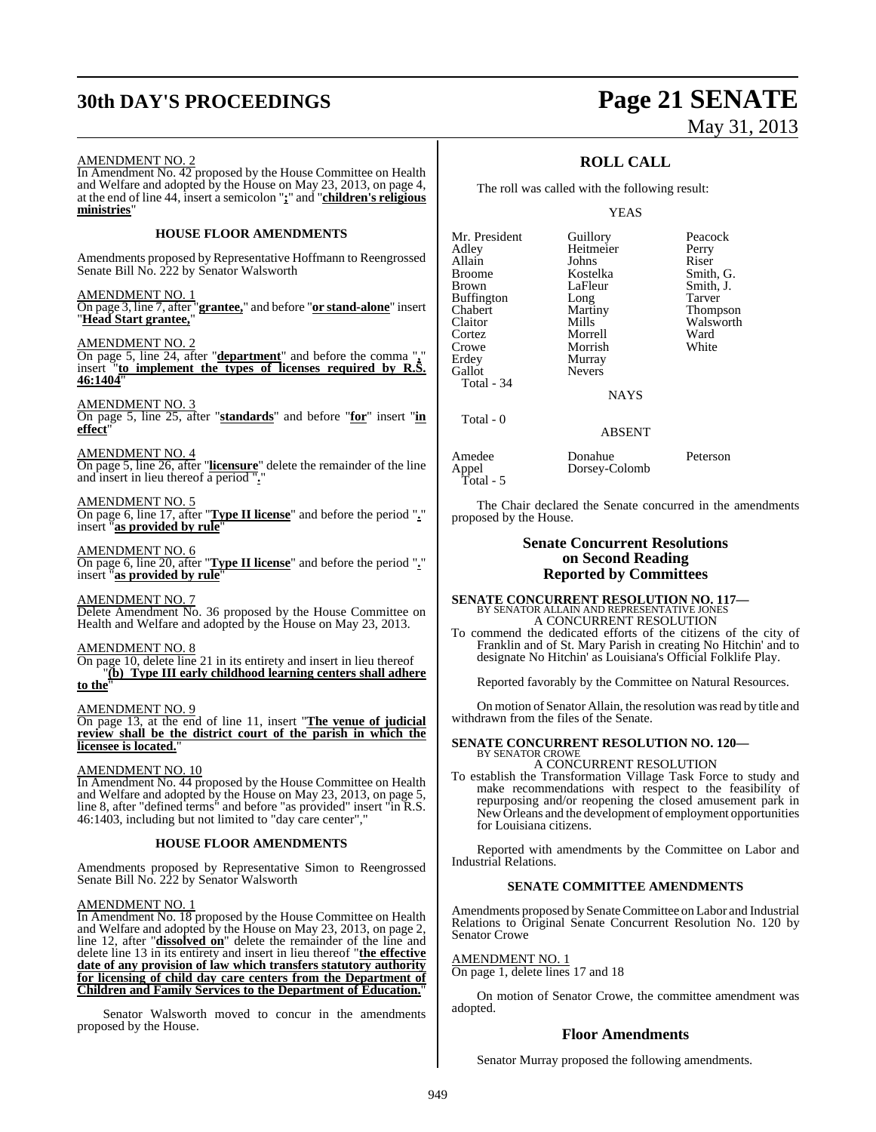## **30th DAY'S PROCEEDINGS Page 21 SENATE**

# May 31, 2013

#### AMENDMENT NO. 2

In Amendment No. 42 proposed by the House Committee on Health and Welfare and adopted by the House on May 23, 2013, on page 4, at the end of line 44, insert a semicolon "**;**" and "**children's religious ministries**"

#### **HOUSE FLOOR AMENDMENTS**

Amendments proposed by Representative Hoffmann to Reengrossed Senate Bill No. 222 by Senator Walsworth

#### AMENDMENT NO. 1

On page 3, line 7, after "**grantee,**" and before "**or stand-alone**" insert "**Head Start grantee,**"

#### AMENDMENT NO. 2

On page 5, line 24, after "**department**" and before the comma "**,**" insert "**to implement the types of licenses required by R.S. 46:1404**"

#### AMENDMENT NO. 3

On page 5, line 25, after "**standards**" and before "**for**" insert "**in effect**"

#### AMENDMENT NO. 4

On page 5, line 26, after "**licensure**" delete the remainder of the line and insert in lieu thereof a period ".

#### AMENDMENT NO. 5

On page 6, line 17, after "**Type II license**" and before the period "**.**" insert "**as provided by rule**"

#### AMENDMENT NO. 6

On page 6, line 20, after "**Type II license**" and before the period "**.**" insert "**as provided by rule**"

#### AMENDMENT NO. 7

Delete Amendment No. 36 proposed by the House Committee on Health and Welfare and adopted by the House on May 23, 2013.

#### AMENDMENT NO. 8

On page 10, delete line 21 in its entirety and insert in lieu thereof "**(b) Type III early childhood learning centers shall adhere**

## **to the**"

AMENDMENT NO. 9

On page 13, at the end of line 11, insert "**The venue of judicial review shall be the district court of the parish in which the licensee is located.**"

#### AMENDMENT NO. 10

In Amendment No. 44 proposed by the House Committee on Health and Welfare and adopted by the House on May 23, 2013, on page 5, line 8, after "defined terms" and before "as provided" insert "in R.S. 46:1403, including but not limited to "day care center","

#### **HOUSE FLOOR AMENDMENTS**

Amendments proposed by Representative Simon to Reengrossed Senate Bill No. 222 by Senator Walsworth

#### AMENDMENT NO. 1

In Amendment No. 18 proposed by the House Committee on Health and Welfare and adopted by the House on May 23, 2013, on page 2, line 12, after "**dissolved on**" delete the remainder of the line and delete line 13 in its entirety and insert in lieu thereof "**the effective date of any provision of law which transfers statutory authority for licensing of child day care centers from the Department of Children and Family Services to the Department of Education.**"

Senator Walsworth moved to concur in the amendments proposed by the House.

### **ROLL CALL**

The roll was called with the following result:

#### YEAS

| Mr. President<br>Adley<br>Allain<br><b>Broome</b><br>Brown<br><b>Buffington</b><br>Chabert<br>Claitor<br>Cortez<br>Crowe<br>Erdey<br>Gallot<br><b>Total - 34</b> | Guillory<br>Heitmeier<br>Johns<br>Kostelka<br>LaFleur<br>Long<br>Martiny<br>Mills<br>Morrell<br>Morrish<br>Murray<br><b>Nevers</b> | Peacock<br>Perry<br>Riser<br>Smith, G.<br>Smith, J.<br>Tarver<br>Thompson<br>Walsworth<br>Ward<br>White |
|------------------------------------------------------------------------------------------------------------------------------------------------------------------|------------------------------------------------------------------------------------------------------------------------------------|---------------------------------------------------------------------------------------------------------|
|                                                                                                                                                                  | <b>NAYS</b>                                                                                                                        |                                                                                                         |
| Total - 0                                                                                                                                                        |                                                                                                                                    |                                                                                                         |

#### ABSENT

| Amedee    | Donahue       | Peterson |
|-----------|---------------|----------|
| Appel     | Dorsey-Colomb |          |
| Total - 5 |               |          |

The Chair declared the Senate concurred in the amendments proposed by the House.

#### **Senate Concurrent Resolutions on Second Reading Reported by Committees**

## **SENATE CONCURRENT RESOLUTION NO. 117—** BY SENATOR ALLAIN AND REPRESENTATIVE JONES A CONCURRENT RESOLUTION

To commend the dedicated efforts of the citizens of the city of Franklin and of St. Mary Parish in creating No Hitchin' and to designate No Hitchin' as Louisiana's Official Folklife Play.

Reported favorably by the Committee on Natural Resources.

On motion of Senator Allain, the resolution wasread by title and withdrawn from the files of the Senate.

#### **SENATE CONCURRENT RESOLUTION NO. 120—** BY SENATOR CROWE

A CONCURRENT RESOLUTION

To establish the Transformation Village Task Force to study and make recommendations with respect to the feasibility of repurposing and/or reopening the closed amusement park in New Orleans and the development of employment opportunities for Louisiana citizens.

Reported with amendments by the Committee on Labor and Industrial Relations.

#### **SENATE COMMITTEE AMENDMENTS**

Amendments proposed by SenateCommittee on Labor and Industrial Relations to Original Senate Concurrent Resolution No. 120 by Senator Crowe

#### AMENDMENT NO. 1

On page 1, delete lines 17 and 18

On motion of Senator Crowe, the committee amendment was adopted.

#### **Floor Amendments**

Senator Murray proposed the following amendments.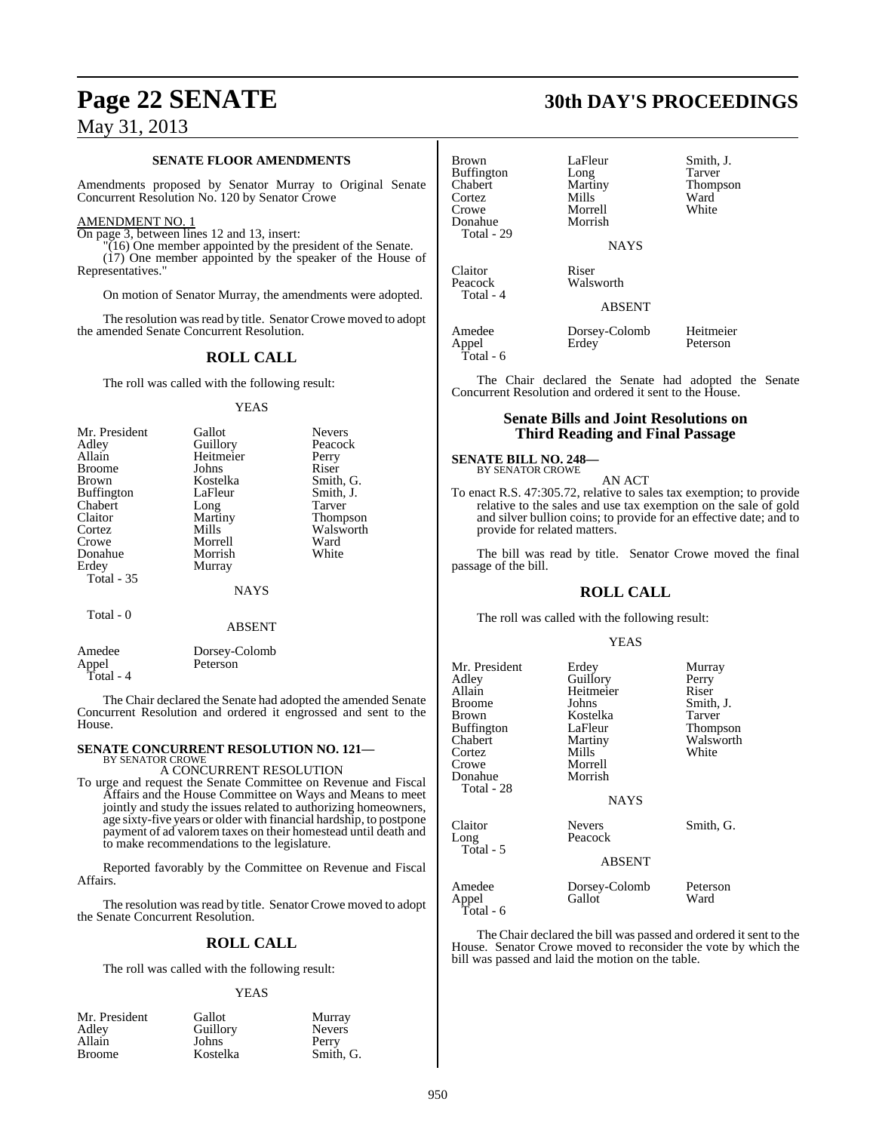#### **SENATE FLOOR AMENDMENTS**

Amendments proposed by Senator Murray to Original Senate Concurrent Resolution No. 120 by Senator Crowe

#### AMENDMENT NO. 1

On page 3, between lines 12 and 13, insert:

"(16) One member appointed by the president of the Senate. (17) One member appointed by the speaker of the House of Representatives."

On motion of Senator Murray, the amendments were adopted.

The resolution was read by title. Senator Crowe moved to adopt the amended Senate Concurrent Resolution.

#### **ROLL CALL**

The roll was called with the following result:

#### YEAS

| Mr. President     | Gallot      | <b>Nevers</b> |
|-------------------|-------------|---------------|
| Adley             | Guillory    | Peacock       |
| Allain            | Heitmeier   | Perry         |
| <b>Broome</b>     | Johns       | Riser         |
| <b>Brown</b>      | Kostelka    | Smith, G.     |
| <b>Buffington</b> | LaFleur     | Smith, J.     |
| Chabert           | Long        | Tarver        |
| Claitor           | Martiny     | Thompson      |
| Cortez            | Mills       | Walsworth     |
| Crowe             | Morrell     | Ward          |
| Donahue           | Morrish     | White         |
| Erdey             | Murray      |               |
| <b>Total - 35</b> |             |               |
|                   | <b>NAYS</b> |               |
| Total - 0         |             |               |
|                   | ABSENT      |               |

| Amedee    | Dorsey-Colomb |
|-----------|---------------|
| Appel     | Peterson      |
| Total - 4 |               |

The Chair declared the Senate had adopted the amended Senate Concurrent Resolution and ordered it engrossed and sent to the House.

## **SENATE CONCURRENT RESOLUTION NO. 121—** BY SENATOR CROWE

A CONCURRENT RESOLUTION

To urge and request the Senate Committee on Revenue and Fiscal Affairs and the House Committee on Ways and Means to meet jointly and study the issues related to authorizing homeowners, age sixty-five years or older with financial hardship, to postpone payment of ad valorem taxes on their homestead until death and to make recommendations to the legislature.

Reported favorably by the Committee on Revenue and Fiscal Affairs.

The resolution was read by title. Senator Crowe moved to adopt the Senate Concurrent Resolution.

#### **ROLL CALL**

The roll was called with the following result:

#### YEAS

| Gallot   | Murray        |
|----------|---------------|
| Guillory | <b>Nevers</b> |
| Johns    | Perry         |
| Kostelka | Smith, G.     |
|          |               |

## **Page 22 SENATE 30th DAY'S PROCEEDINGS**

| Brown<br>Buffington<br>Chabert<br>Cortez<br>Crowe<br>Donahue<br>Total - 29 | LaFleur<br>Long<br>Martiny<br>Mills<br>Morrell<br>Morrish<br><b>NAYS</b> | Smith, J.<br>Tarver<br>Thompson<br>Ward<br>White |
|----------------------------------------------------------------------------|--------------------------------------------------------------------------|--------------------------------------------------|
| Claitor<br>Peacock<br>Total - 4                                            | Riser<br>Walsworth<br><b>ABSENT</b>                                      |                                                  |
| Amedee<br>Appel<br>Total - 6                                               | Dorsey-Colomb<br>Erdey                                                   | Heitmeier<br>Peterson                            |

The Chair declared the Senate had adopted the Senate Concurrent Resolution and ordered it sent to the House.

#### **Senate Bills and Joint Resolutions on Third Reading and Final Passage**

#### **SENATE BILL NO. 248—** BY SENATOR CROWE

AN ACT

To enact R.S. 47:305.72, relative to sales tax exemption; to provide relative to the sales and use tax exemption on the sale of gold and silver bullion coins; to provide for an effective date; and to provide for related matters.

The bill was read by title. Senator Crowe moved the final passage of the bill.

#### **ROLL CALL**

The roll was called with the following result:

#### YEAS

| Mr. President | Erdey         | Murray    |
|---------------|---------------|-----------|
| Adlev         | Guillory      | Perry     |
| Allain        | Heitmeier     | Riser     |
| Broome        | Johns         | Smith, J. |
| Brown         | Kostelka      | Tarver    |
| Buffington    | LaFleur       | Thompson  |
| Chabert       | Martiny       | Walsworth |
| Cortez        | Mills         | White     |
| Crowe         | Morrell       |           |
| Donahue       | Morrish       |           |
| Total - 28    |               |           |
|               | <b>NAYS</b>   |           |
| Claitor       | <b>Nevers</b> | Smith, G. |
| Long          | Peacock       |           |
| Total - 5     |               |           |
|               | <b>ABSENT</b> |           |
| Amedee        | Dorsey-Colomb | Peterson  |
| Appel         | Gallot        | Ward      |
| Total - 6     |               |           |

The Chair declared the bill was passed and ordered it sent to the House. Senator Crowe moved to reconsider the vote by which the bill was passed and laid the motion on the table.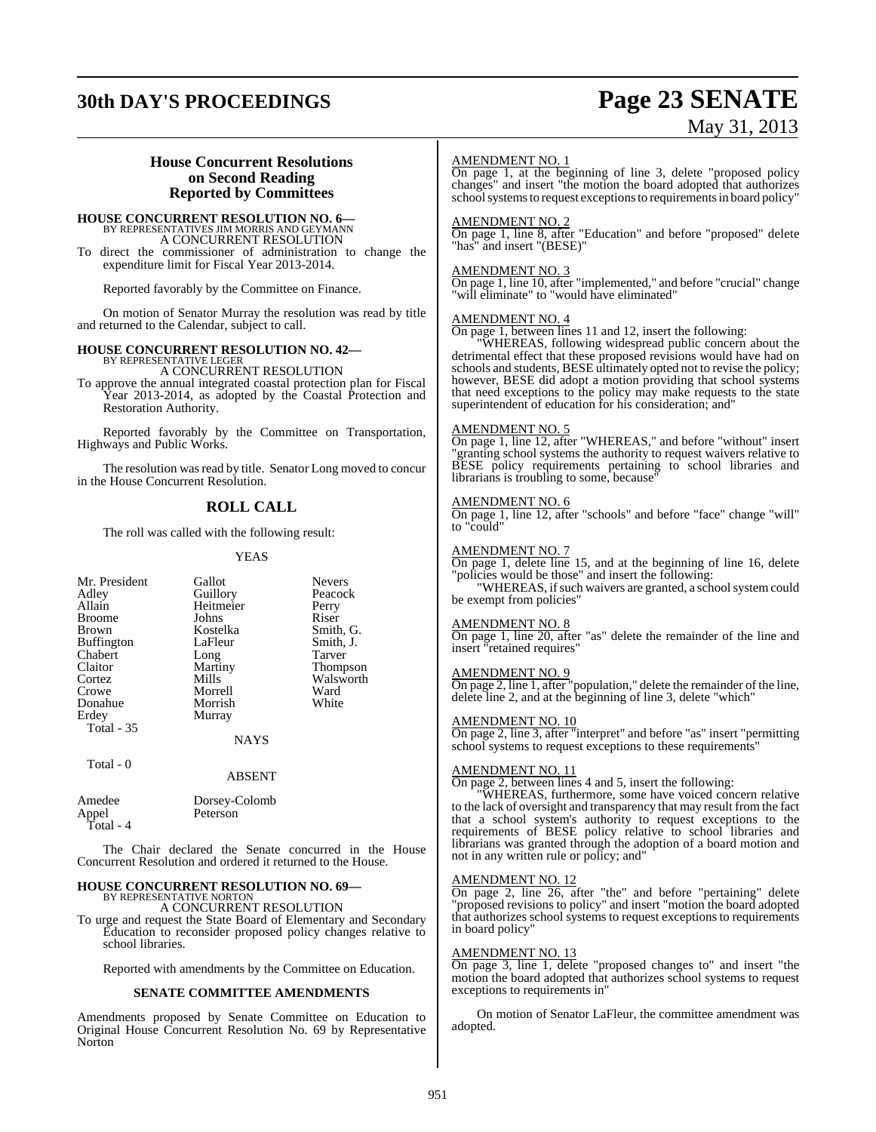# **30th DAY'S PROCEEDINGS Page 23 SENATE**

# May 31, 2013

### **House Concurrent Resolutions on Second Reading Reported by Committees**

## **HOUSE CONCURRENT RESOLUTION NO. 6—** BY REPRESENTATIVES JIM MORRIS AND GEYMANN A CONCURRENT RESOLUTION

To direct the commissioner of administration to change the expenditure limit for Fiscal Year 2013-2014.

Reported favorably by the Committee on Finance.

On motion of Senator Murray the resolution was read by title and returned to the Calendar, subject to call.

# **HOUSE CONCURRENT RESOLUTION NO. 42—** BY REPRESENTATIVE LEGER

A CONCURRENT RESOLUTION

To approve the annual integrated coastal protection plan for Fiscal Year 2013-2014, as adopted by the Coastal Protection and Restoration Authority.

Reported favorably by the Committee on Transportation, Highways and Public Works.

The resolution was read by title. Senator Long moved to concur in the House Concurrent Resolution.

### **ROLL CALL**

The roll was called with the following result:

#### YEAS

| Mr. President<br>Adley<br>Allain<br><b>Broome</b><br><b>Brown</b><br><b>Buffington</b><br>Chabert<br>Claitor<br>Cortez<br>Crowe | Gallot<br>Guillory<br>Heitmeier<br>Johns<br>Kostelka<br>LaFleur<br>Long<br>Martiny<br>Mills<br>Morrell | <b>Nevers</b><br>Peacock<br>Perry<br>Riser<br>Smith, G.<br>Smith, J.<br>Tarver<br><b>Thompson</b><br>Walsworth<br>Ward |
|---------------------------------------------------------------------------------------------------------------------------------|--------------------------------------------------------------------------------------------------------|------------------------------------------------------------------------------------------------------------------------|
|                                                                                                                                 |                                                                                                        |                                                                                                                        |
|                                                                                                                                 |                                                                                                        |                                                                                                                        |
|                                                                                                                                 |                                                                                                        |                                                                                                                        |
|                                                                                                                                 |                                                                                                        |                                                                                                                        |
| Donahue                                                                                                                         | Morrish                                                                                                | White                                                                                                                  |
| Erdey                                                                                                                           | Murray                                                                                                 |                                                                                                                        |
| <b>Total - 35</b>                                                                                                               |                                                                                                        |                                                                                                                        |
|                                                                                                                                 | <b>NAYS</b>                                                                                            |                                                                                                                        |
|                                                                                                                                 |                                                                                                        |                                                                                                                        |

Total - 0

| Amedee    | Dorsey-Colomb |
|-----------|---------------|
| Appel     | Peterson      |
| Total - 4 |               |

The Chair declared the Senate concurred in the House Concurrent Resolution and ordered it returned to the House.

ABSENT

#### **HOUSE CONCURRENT RESOLUTION NO. 69—** BY REPRESENTATIVE NORTON

A CONCURRENT RESOLUTION

To urge and request the State Board of Elementary and Secondary Education to reconsider proposed policy changes relative to school libraries.

Reported with amendments by the Committee on Education.

#### **SENATE COMMITTEE AMENDMENTS**

Amendments proposed by Senate Committee on Education to Original House Concurrent Resolution No. 69 by Representative Norton

#### AMENDMENT NO. 1

On page 1, at the beginning of line 3, delete "proposed policy changes" and insert "the motion the board adopted that authorizes school systems to request exceptions to requirements in board policy"

#### AMENDMENT NO. 2

On page 1, line 8, after "Education" and before "proposed" delete "has" and insert "(BESE)"

#### AMENDMENT NO. 3

On page 1, line 10, after "implemented," and before "crucial" change "will eliminate" to "would have eliminated"

#### AMENDMENT NO. 4

On page 1, between lines 11 and 12, insert the following:

"WHEREAS, following widespread public concern about the detrimental effect that these proposed revisions would have had on schools and students, BESE ultimately opted not to revise the policy; however, BESE did adopt a motion providing that school systems that need exceptions to the policy may make requests to the state superintendent of education for his consideration; and"

#### AMENDMENT NO. 5

On page 1, line 12, after "WHEREAS," and before "without" insert extracting school systems the authority to request waivers relative to BESE policy requirements pertaining to school libraries and librarians is troubling to some, because'

#### AMENDMENT NO. 6

On page 1, line 12, after "schools" and before "face" change "will" to "could"

#### AMENDMENT NO. 7

On page 1, delete line 15, and at the beginning of line 16, delete "policies would be those" and insert the following: "WHEREAS, if such waivers are granted, a school system could

be exempt from policies"

#### AMENDMENT NO. 8

On page 1, line 20, after "as" delete the remainder of the line and insert "retained requires"

#### AMENDMENT NO. 9

On page 2, line 1, after "population," delete the remainder of the line, delete line 2, and at the beginning of line 3, delete "which"

#### AMENDMENT NO. 10

On page 2, line 3, after "interpret" and before "as" insert "permitting school systems to request exceptions to these requirements'

#### AMENDMENT NO. 11

On page 2, between lines 4 and 5, insert the following:

"WHEREAS, furthermore, some have voiced concern relative to the lack of oversight and transparency that may result from the fact that a school system's authority to request exceptions to the requirements of BESE policy relative to school libraries and librarians was granted through the adoption of a board motion and not in any written rule or policy; and"

#### AMENDMENT NO. 12

On page 2, line 26, after "the" and before "pertaining" delete "proposed revisions to policy" and insert "motion the board adopted that authorizes school systems to request exceptions to requirements in board policy"

#### AMENDMENT NO. 13

On page 3, line 1, delete "proposed changes to" and insert "the motion the board adopted that authorizes school systems to request exceptions to requirements in"

On motion of Senator LaFleur, the committee amendment was adopted.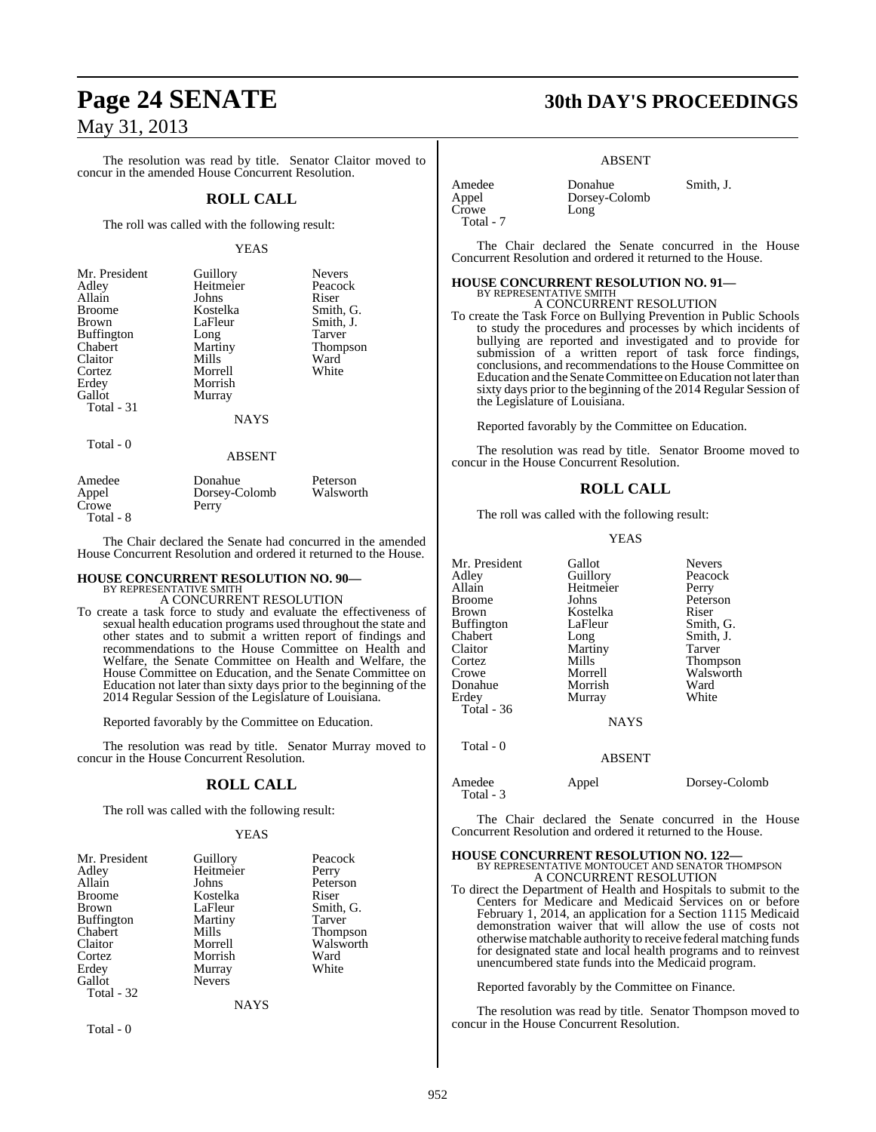The resolution was read by title. Senator Claitor moved to concur in the amended House Concurrent Resolution.

#### **ROLL CALL**

The roll was called with the following result:

#### YEAS

| Mr. President     | Guillory    | <b>Nevers</b>   |
|-------------------|-------------|-----------------|
| Adley             | Heitmeier   | Peacock         |
| Allain            | Johns       | Riser           |
| <b>Broome</b>     | Kostelka    | Smith, G.       |
| <b>Brown</b>      | LaFleur     | Smith, J.       |
| <b>Buffington</b> | Long        | Tarver          |
| Chabert           | Martiny     | <b>Thompson</b> |
| Claitor           | Mills       | Ward            |
| Cortez            | Morrell     | White           |
| Erdey             | Morrish     |                 |
| Gallot            | Murray      |                 |
| Total - 31        |             |                 |
|                   | <b>NAYS</b> |                 |
| Total - 0         |             |                 |

#### ABSENT

| Amedee    | Donahue       | Peterson  |
|-----------|---------------|-----------|
| Appel     | Dorsey-Colomb | Walsworth |
| Crowe     | Perry         |           |
| Total - 8 |               |           |

The Chair declared the Senate had concurred in the amended House Concurrent Resolution and ordered it returned to the House.

## **HOUSE CONCURRENT RESOLUTION NO. 90—** BY REPRESENTATIVE SMITH

A CONCURRENT RESOLUTION

To create a task force to study and evaluate the effectiveness of sexual health education programs used throughout the state and other states and to submit a written report of findings and recommendations to the House Committee on Health and Welfare, the Senate Committee on Health and Welfare, the House Committee on Education, and the Senate Committee on Education not later than sixty days prior to the beginning of the 2014 Regular Session of the Legislature of Louisiana.

Reported favorably by the Committee on Education.

The resolution was read by title. Senator Murray moved to concur in the House Concurrent Resolution.

#### **ROLL CALL**

The roll was called with the following result:

#### YEAS

| Mr. President<br>Adley<br>Allain<br><b>Broome</b><br><b>Brown</b><br><b>Buffington</b> | Guillory<br>Heitmeier<br>Johns<br>Kostelka<br>LaFleur<br>Martiny | Peacock<br>Perry<br>Peterson<br>Riser<br>Smith, G.<br>Tarver |
|----------------------------------------------------------------------------------------|------------------------------------------------------------------|--------------------------------------------------------------|
| Chabert                                                                                | Mills                                                            | <b>Thompson</b>                                              |
| Claitor                                                                                | Morrell                                                          | Walsworth                                                    |
| Cortez                                                                                 | Morrish                                                          | Ward                                                         |
| Erdey                                                                                  | Murray                                                           | White                                                        |
| Gallot                                                                                 | <b>Nevers</b>                                                    |                                                              |
| Total - 32                                                                             |                                                                  |                                                              |
|                                                                                        | <b>NAYS</b>                                                      |                                                              |

Total - 0

## **Page 24 SENATE 30th DAY'S PROCEEDINGS**

#### ABSENT

| Amedee    | Donahue       |
|-----------|---------------|
| Appel     | Dorsey-Colomb |
| Crowe     | Long          |
| Total - 7 |               |

Donahue Smith, J.

The Chair declared the Senate concurred in the House Concurrent Resolution and ordered it returned to the House.

## **HOUSE CONCURRENT RESOLUTION NO. 91—** BY REPRESENTATIVE SMITH A CONCURRENT RESOLUTION

To create the Task Force on Bullying Prevention in Public Schools to study the procedures and processes by which incidents of bullying are reported and investigated and to provide for submission of a written report of task force findings, conclusions, and recommendations to the House Committee on Education and the Senate Committee on Education not later than sixty days prior to the beginning of the 2014 Regular Session of the Legislature of Louisiana.

Reported favorably by the Committee on Education.

The resolution was read by title. Senator Broome moved to concur in the House Concurrent Resolution.

#### **ROLL CALL**

The roll was called with the following result:

#### YEAS

| Mr. President<br>Adley<br>Allain<br><b>Broome</b><br><b>Brown</b><br><b>Buffington</b><br>Chabert<br>Claitor<br>Cortez<br>Crowe<br>Donahue<br>Erdey<br>Total - 36<br>Total - 0 | Gallot<br>Guillory<br>Heitmeier<br>Johns<br>Kostelka<br>LaFleur<br>Long<br>Martiny<br>Mills<br>Morrell<br>Morrish<br>Murray<br><b>NAYS</b><br><b>ABSENT</b> | <b>Nevers</b><br>Peacock<br>Perry<br>Peterson<br>Riser<br>Smith, G.<br>Smith, J.<br>Tarver<br>Thompson<br>Walsworth<br>Ward<br>White |
|--------------------------------------------------------------------------------------------------------------------------------------------------------------------------------|-------------------------------------------------------------------------------------------------------------------------------------------------------------|--------------------------------------------------------------------------------------------------------------------------------------|
|                                                                                                                                                                                |                                                                                                                                                             |                                                                                                                                      |
| Amedee<br>Total - 3                                                                                                                                                            | Appel                                                                                                                                                       | Dorsey-Colomb                                                                                                                        |

The Chair declared the Senate concurred in the House Concurrent Resolution and ordered it returned to the House.

# **HOUSE CONCURRENT RESOLUTION NO. 122—** BY REPRESENTATIVE MONTOUCET AND SENATOR THOMPSON A CONCURRENT RESOLUTION

To direct the Department of Health and Hospitals to submit to the Centers for Medicare and Medicaid Services on or before February 1, 2014, an application for a Section 1115 Medicaid demonstration waiver that will allow the use of costs not otherwisematchable authority to receive federal matching funds for designated state and local health programs and to reinvest unencumbered state funds into the Medicaid program.

Reported favorably by the Committee on Finance.

The resolution was read by title. Senator Thompson moved to concur in the House Concurrent Resolution.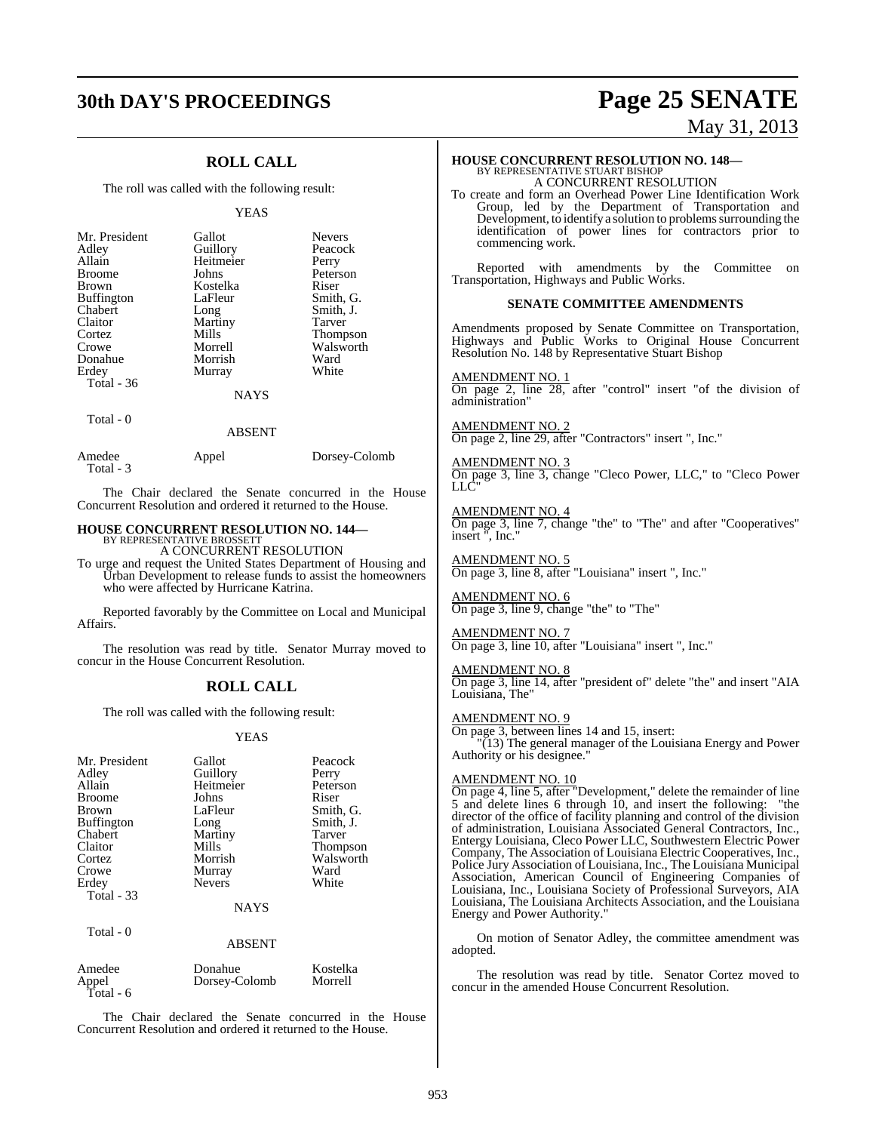## **ROLL CALL**

The roll was called with the following result:

#### YEAS

| Mr. President             | Gallot      | <b>Nevers</b> |
|---------------------------|-------------|---------------|
| Adley                     | Guillory    | Peacock       |
| Allain                    | Heitmeier   | Perry         |
| <b>Broome</b>             | Johns       | Peterson      |
| <b>Brown</b>              | Kostelka    | Riser         |
| Buffington                | LaFleur     | Smith, G.     |
| Chabert                   | Long        | Smith, J.     |
| Claitor                   | Martiny     | Tarver        |
| Cortez                    | Mills       | Thompson      |
| Crowe                     | Morrell     | Walsworth     |
| Donahue                   | Morrish     | Ward          |
| Erdey                     | Murray      | White         |
| Total - 36<br>$Total - 0$ | <b>NAYS</b> |               |

|                     | ABSEN I |               |
|---------------------|---------|---------------|
| Amedee<br>Total - 3 | Appel   | Dorsey-Colomb |

The Chair declared the Senate concurred in the House Concurrent Resolution and ordered it returned to the House.

 $\overline{A}$ 

## **HOUSE CONCURRENT RESOLUTION NO. 144—** BY REPRESENTATIVE BROSSETT

A CONCURRENT RESOLUTION

To urge and request the United States Department of Housing and Urban Development to release funds to assist the homeowners who were affected by Hurricane Katrina.

Reported favorably by the Committee on Local and Municipal Affairs.

The resolution was read by title. Senator Murray moved to concur in the House Concurrent Resolution.

## **ROLL CALL**

The roll was called with the following result:

#### YEAS

| Mr. President<br>Adley<br>Allain<br><b>Broome</b><br>Brown<br><b>Buffington</b><br>Chabert<br>Claitor<br>Cortez<br>Crowe<br>Erdey<br><b>Total - 33</b><br>Total - 0 | Gallot<br>Guillory<br>Heitmeier<br>Johns<br>LaFleur<br>Long<br>Martiny<br>Mills<br>Morrish<br>Murray<br><b>Nevers</b><br><b>NAYS</b><br><b>ABSENT</b> | Peacock<br>Perry<br>Peterson<br>Riser<br>Smith, G.<br>Smith, J.<br>Tarver<br>Thompson<br>Walsworth<br>Ward<br>White |
|---------------------------------------------------------------------------------------------------------------------------------------------------------------------|-------------------------------------------------------------------------------------------------------------------------------------------------------|---------------------------------------------------------------------------------------------------------------------|
| Amedee                                                                                                                                                              | Donahue                                                                                                                                               | Kostelka                                                                                                            |
| Appel                                                                                                                                                               | Dorsey-Colomb                                                                                                                                         | Morrell                                                                                                             |

The Chair declared the Senate concurred in the House Concurrent Resolution and ordered it returned to the House.

Total - 6

# **30th DAY'S PROCEEDINGS Page 25 SENATE** May 31, 2013

# **HOUSE CONCURRENT RESOLUTION NO. 148—** BY REPRESENTATIVE STUART BISHOP A CONCURRENT RESOLUTION

To create and form an Overhead Power Line Identification Work Group, led by the Department of Transportation and Development, to identify a solution to problems surrounding the identification of power lines for contractors prior to commencing work.

Reported with amendments by the Committee on Transportation, Highways and Public Works.

#### **SENATE COMMITTEE AMENDMENTS**

Amendments proposed by Senate Committee on Transportation, Highways and Public Works to Original House Concurrent Resolution No. 148 by Representative Stuart Bishop

#### AMENDMENT NO. 1

On page 2, line 28, after "control" insert "of the division of administration"

AMENDMENT NO. 2 On page 2, line 29, after "Contractors" insert ", Inc."

#### AMENDMENT NO. 3

On page 3, line 3, change "Cleco Power, LLC," to "Cleco Power LLC"

#### AMENDMENT NO. 4

On page 3, line 7, change "the" to "The" and after "Cooperatives" insert ", Inc."

AMENDMENT NO. 5 On page 3, line 8, after "Louisiana" insert ", Inc."

#### AMENDMENT NO. 6 On page 3, line 9, change "the" to "The"

AMENDMENT NO. 7 On page 3, line 10, after "Louisiana" insert ", Inc."

#### AMENDMENT NO. 8

On page 3, line 14, after "president of" delete "the" and insert "AIA Louisiana, The"

#### AMENDMENT NO. 9

On page 3, between lines 14 and 15, insert: "(13) The general manager of the Louisiana Energy and Power Authority or his designee."

#### AMENDMENT NO. 10

On page 4, line 5, after "Development," delete the remainder of line 5 and delete lines 6 through 10, and insert the following: "the director of the office of facility planning and control of the division of administration, Louisiana Associated General Contractors, Inc., Entergy Louisiana, Cleco Power LLC, Southwestern Electric Power Company, The Association of Louisiana Electric Cooperatives, Inc., Police Jury Association of Louisiana, Inc., The Louisiana Municipal Association, American Council of Engineering Companies of Louisiana, Inc., Louisiana Society of Professional Surveyors, AIA Louisiana, The Louisiana Architects Association, and the Louisiana Energy and Power Authority."

On motion of Senator Adley, the committee amendment was adopted.

The resolution was read by title. Senator Cortez moved to concur in the amended House Concurrent Resolution.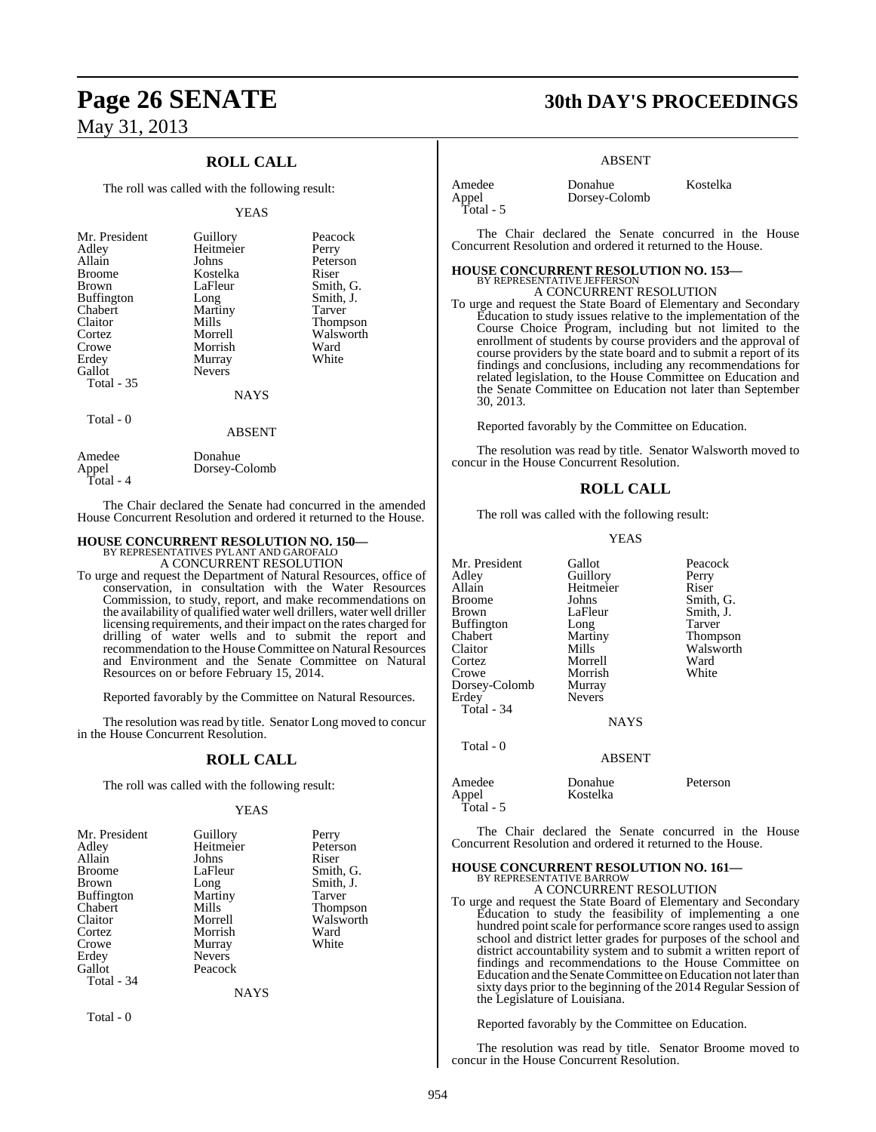## **ROLL CALL**

The roll was called with the following result:

#### YEAS

| Mr. President<br>Adley<br>Allain<br><b>Broome</b><br><b>Brown</b><br><b>Buffington</b><br>Chabert<br>Claitor<br>Cortez<br>Crowe<br>Erdey<br>Gallot<br>Total $-35$ | Guillory<br>Heitmeier<br>Johns<br>Kostelka<br>LaFleur<br>Long<br>Martiny<br>Mills<br>Morrell<br>Morrish<br>Murray<br><b>Nevers</b><br><b>NAYS</b> | Peacock<br>Perry<br>Peterson<br>Riser<br>Smith, G.<br>Smith, J.<br>Tarver<br><b>Thompson</b><br>Walsworth<br>Ward<br>White |
|-------------------------------------------------------------------------------------------------------------------------------------------------------------------|---------------------------------------------------------------------------------------------------------------------------------------------------|----------------------------------------------------------------------------------------------------------------------------|
| Total - 0                                                                                                                                                         | <b>ABSENT</b>                                                                                                                                     |                                                                                                                            |

Amedee Donahue<br>Appel Dorsey-C Dorsey-Colomb Total - 4

The Chair declared the Senate had concurred in the amended House Concurrent Resolution and ordered it returned to the House.

# **HOUSE CONCURRENT RESOLUTION NO. 150—** BY REPRESENTATIVES PYLANT AND GAROFALO A CONCURRENT RESOLUTION

To urge and request the Department of Natural Resources, office of conservation, in consultation with the Water Resources Commission, to study, report, and make recommendations on the availability of qualified water well drillers, water well driller licensing requirements, and their impact on the rates charged for drilling of water wells and to submit the report and recommendation to the House Committee on Natural Resources and Environment and the Senate Committee on Natural Resources on or before February 15, 2014.

Reported favorably by the Committee on Natural Resources.

The resolution was read by title. Senator Long moved to concur in the House Concurrent Resolution.

#### **ROLL CALL**

The roll was called with the following result:

#### YEAS

| Mr. President | Guillory      | Perry     |
|---------------|---------------|-----------|
| Adlev         | Heitmeier     | Peterson  |
| Allain        | Johns         | Riser     |
| Broome        | LaFleur       | Smith, G. |
| Brown         | Long          | Smith, J. |
| Buffington    | Martiny       | Tarver    |
| Chabert       | Mills         | Thompson  |
| Claitor       | Morrell       | Walsworth |
| Cortez        | Morrish       | Ward      |
| Crowe         | Murray        | White     |
| Erdey         | <b>Nevers</b> |           |
| Gallot        | Peacock       |           |
| Total - 34    |               |           |
|               | <b>NAYS</b>   |           |
|               |               |           |

Total - 0

## **Page 26 SENATE 30th DAY'S PROCEEDINGS**

#### ABSENT

Dorsey-Colomb

Amedee Donahue Kostelka<br>Appel Dorsey-Colomb Total - 5

The Chair declared the Senate concurred in the House Concurrent Resolution and ordered it returned to the House.

## **HOUSE CONCURRENT RESOLUTION NO. 153—** BY REPRESENTATIVE JEFFERSON A CONCURRENT RESOLUTION

To urge and request the State Board of Elementary and Secondary Education to study issues relative to the implementation of the Course Choice Program, including but not limited to the enrollment of students by course providers and the approval of course providers by the state board and to submit a report of its findings and conclusions, including any recommendations for related legislation, to the House Committee on Education and the Senate Committee on Education not later than September 30, 2013.

Reported favorably by the Committee on Education.

The resolution was read by title. Senator Walsworth moved to concur in the House Concurrent Resolution.

#### **ROLL CALL**

The roll was called with the following result:

#### YEAS

| Mr. President<br>Adley<br>Allain<br>Broome<br>Brown<br>Buffington<br>Chabert<br>Claitor<br>Cortez<br>Crowe<br>Dorsey-Colomb<br>Erdey<br>Total - 34 | Gallot<br>Guillory<br>Heitmeier<br>Johns<br>LaFleur<br>Long<br>Martiny<br>Mills<br>Morrell<br>Morrish<br>Murray<br><b>Nevers</b> | Peacock<br>Perry<br>Riser<br>Smith, G.<br>Smith, J.<br>Tarver<br>Thompson<br>Walsworth<br>Ward<br>White |
|----------------------------------------------------------------------------------------------------------------------------------------------------|----------------------------------------------------------------------------------------------------------------------------------|---------------------------------------------------------------------------------------------------------|
|                                                                                                                                                    | <b>NAYS</b>                                                                                                                      |                                                                                                         |
| Total - 0                                                                                                                                          | <b>ABSENT</b>                                                                                                                    |                                                                                                         |
| Amedee<br>Appel<br>Total - 5                                                                                                                       | Donahue<br>Kostelka                                                                                                              | Peterson                                                                                                |

The Chair declared the Senate concurred in the House Concurrent Resolution and ordered it returned to the House.

#### **HOUSE CONCURRENT RESOLUTION NO. 161—** BY REPRESENTATIVE BARROW A CONCURRENT RESOLUTION

To urge and request the State Board of Elementary and Secondary Education to study the feasibility of implementing a one hundred point scale for performance score ranges used to assign school and district letter grades for purposes of the school and district accountability system and to submit a written report of findings and recommendations to the House Committee on Education and the Senate Committee on Education not later than sixty days prior to the beginning of the 2014 Regular Session of the Legislature of Louisiana.

Reported favorably by the Committee on Education.

The resolution was read by title. Senator Broome moved to concur in the House Concurrent Resolution.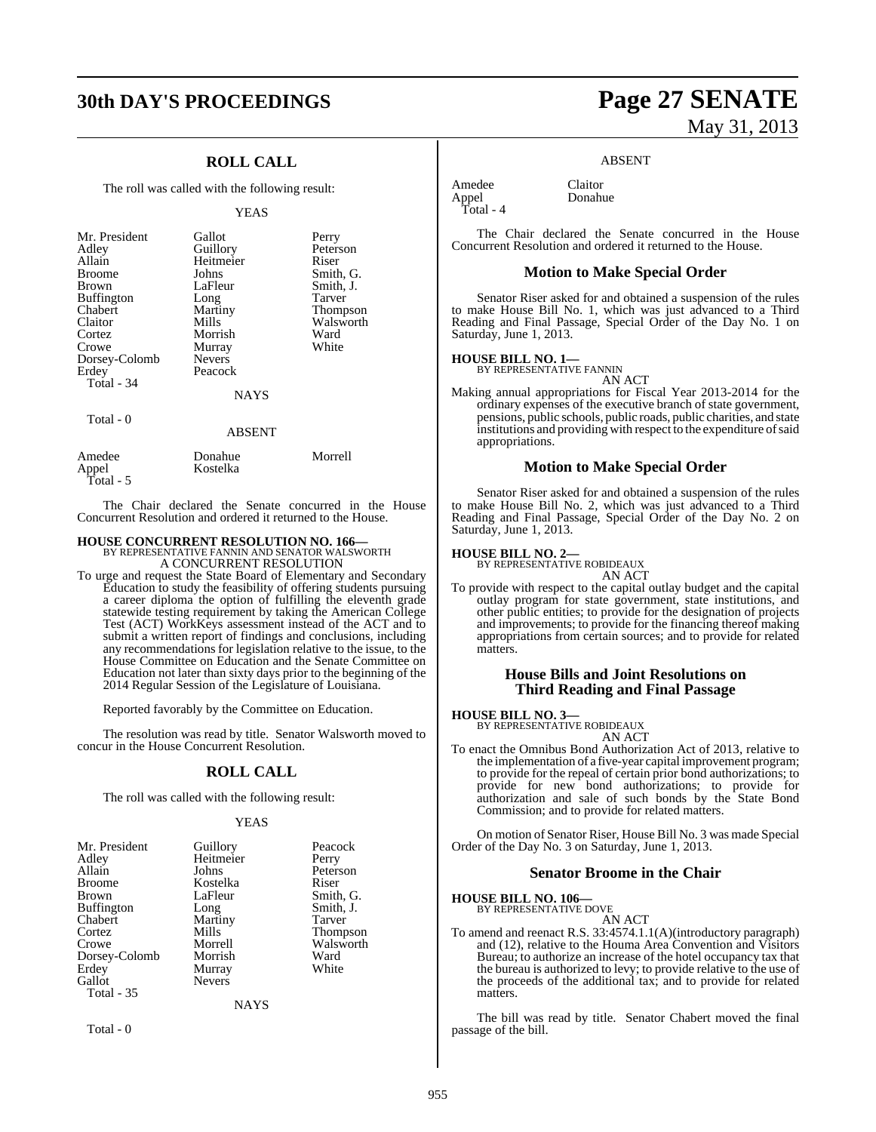## **30th DAY'S PROCEEDINGS Page 27 SENATE**

## **ROLL CALL**

The roll was called with the following result:

#### YEAS

| Mr. President<br>Adley<br>Allain<br><b>Broome</b><br><b>Brown</b><br><b>Buffington</b><br>Chabert<br>Claitor<br>Cortez<br>Crowe<br>Dorsey-Colomb<br>Erdey | Gallot<br>Guillory<br>Heitmeier<br>Johns<br>LaFleur<br>Long<br>Martiny<br>Mills<br>Morrish<br>Murray<br><b>Nevers</b><br>Peacock | Perry<br>Peterson<br>Riser<br>Smith, G.<br>Smith, J.<br>Tarver<br><b>Thompson</b><br>Walsworth<br>Ward<br>White |
|-----------------------------------------------------------------------------------------------------------------------------------------------------------|----------------------------------------------------------------------------------------------------------------------------------|-----------------------------------------------------------------------------------------------------------------|
| Total - 34                                                                                                                                                | <b>NAYS</b>                                                                                                                      |                                                                                                                 |
| Total $-0$                                                                                                                                                | <b>ABSENT</b>                                                                                                                    |                                                                                                                 |

|                              | .                   |         |
|------------------------------|---------------------|---------|
| Amedee<br>Appel<br>Total - 5 | Donahue<br>Kostelka | Morrell |

The Chair declared the Senate concurred in the House Concurrent Resolution and ordered it returned to the House.

# **HOUSE CONCURRENT RESOLUTION NO. 166—** BY REPRESENTATIVE FANNIN AND SENATOR WALSWORTH A CONCURRENT RESOLUTION

To urge and request the State Board of Elementary and Secondary Education to study the feasibility of offering students pursuing a career diploma the option of fulfilling the eleventh grade statewide testing requirement by taking the American College Test (ACT) WorkKeys assessment instead of the ACT and to submit a written report of findings and conclusions, including any recommendations for legislation relative to the issue, to the House Committee on Education and the Senate Committee on Education not later than sixty days prior to the beginning of the 2014 Regular Session of the Legislature of Louisiana.

Reported favorably by the Committee on Education.

The resolution was read by title. Senator Walsworth moved to concur in the House Concurrent Resolution.

#### **ROLL CALL**

The roll was called with the following result:

#### YEAS

| Mr. President | Guillory      | Peacock         |
|---------------|---------------|-----------------|
| Adley         | Heitmeier     | Perry           |
| Allain        | Johns         | Peterson        |
| Broome        | Kostelka      | Riser           |
| Brown         | LaFleur       | Smith, G.       |
| Buffington    | Long          | Smith, J.       |
| Chabert       | Martiny       | Tarver          |
| Cortez        | Mills         | <b>Thompson</b> |
| Crowe         | Morrell       | Walsworth       |
| Dorsey-Colomb | Morrish       | Ward            |
| Erdey         | Murray        | White           |
| Gallot        | <b>Nevers</b> |                 |
| Total - 35    |               |                 |
|               | NAYS          |                 |

Total - 0

# May 31, 2013

#### ABSENT

Donahue

Amedee Claitor<br>
Appel Donahu Total - 4

The Chair declared the Senate concurred in the House Concurrent Resolution and ordered it returned to the House.

#### **Motion to Make Special Order**

Senator Riser asked for and obtained a suspension of the rules to make House Bill No. 1, which was just advanced to a Third Reading and Final Passage, Special Order of the Day No. 1 on Saturday, June 1, 2013.

#### **HOUSE BILL NO. 1—**

BY REPRESENTATIVE FANNIN

- AN ACT
- Making annual appropriations for Fiscal Year 2013-2014 for the ordinary expenses of the executive branch of state government, pensions, public schools, public roads, public charities, and state institutions and providing with respect to the expenditure of said appropriations.

#### **Motion to Make Special Order**

Senator Riser asked for and obtained a suspension of the rules to make House Bill No. 2, which was just advanced to a Third Reading and Final Passage, Special Order of the Day No. 2 on Saturday, June 1, 2013.

**HOUSE BILL NO. 2—** BY REPRESENTATIVE ROBIDEAUX

- AN ACT
- To provide with respect to the capital outlay budget and the capital outlay program for state government, state institutions, and other public entities; to provide for the designation of projects and improvements; to provide for the financing thereof making appropriations from certain sources; and to provide for related matters.

#### **House Bills and Joint Resolutions on Third Reading and Final Passage**

## **HOUSE BILL NO. 3—** BY REPRESENTATIVE ROBIDEAUX

AN ACT

To enact the Omnibus Bond Authorization Act of 2013, relative to the implementation of a five-year capital improvement program; to provide for the repeal of certain prior bond authorizations; to provide for new bond authorizations; to provide for authorization and sale of such bonds by the State Bond Commission; and to provide for related matters.

On motion of Senator Riser, House Bill No. 3 was made Special Order of the Day No. 3 on Saturday, June 1, 2013.

#### **Senator Broome in the Chair**

**HOUSE BILL NO. 106—**

BY REPRESENTATIVE DOVE

AN ACT

To amend and reenact R.S. 33:4574.1.1(A)(introductory paragraph) and (12), relative to the Houma Area Convention and Visitors Bureau; to authorize an increase of the hotel occupancy tax that the bureau is authorized to levy; to provide relative to the use of the proceeds of the additional tax; and to provide for related matters.

The bill was read by title. Senator Chabert moved the final passage of the bill.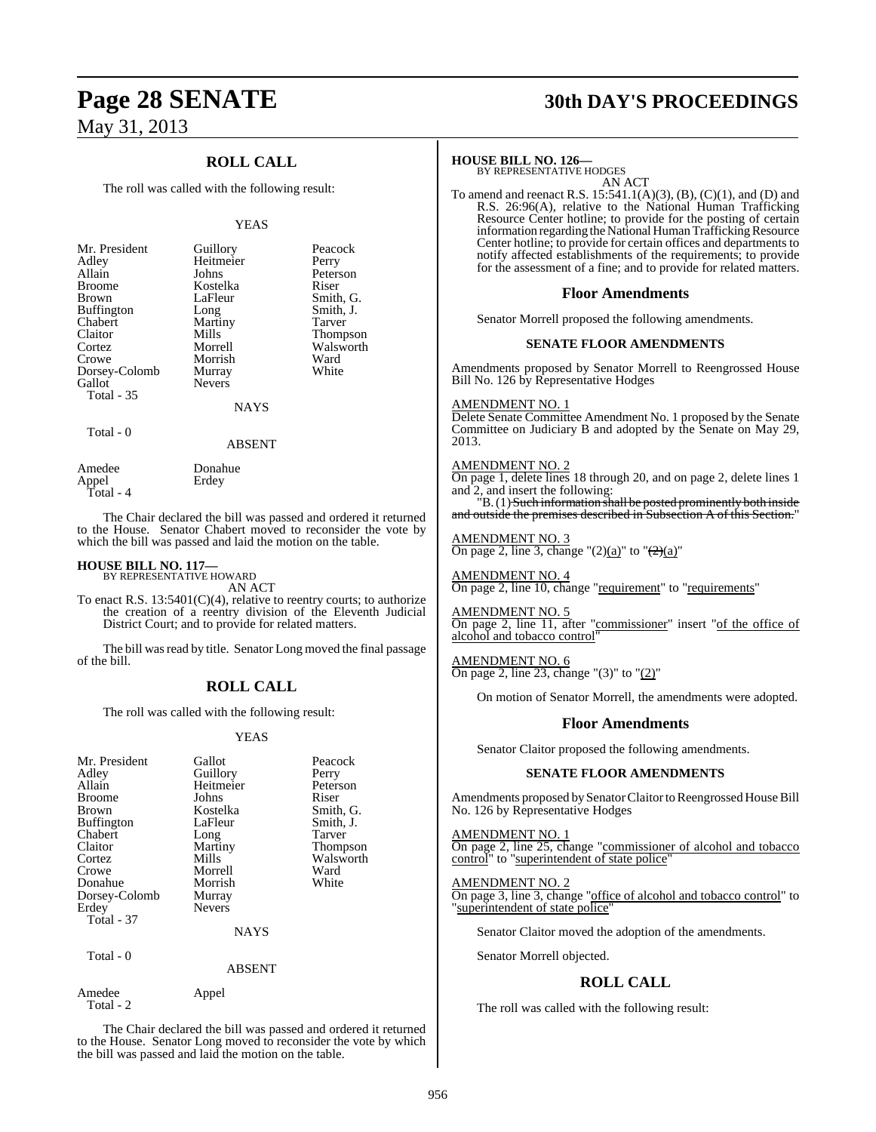## **ROLL CALL**

The roll was called with the following result:

#### YEAS

|               | Peacock                         |
|---------------|---------------------------------|
|               |                                 |
|               | Perry                           |
| Johns         | Peterson                        |
| Kostelka      | Riser                           |
| LaFleur       | Smith, G.                       |
| Long          | Smith, J.                       |
| Martiny       | Tarver                          |
| Mills         | <b>Thompson</b>                 |
| Morrell       | Walsworth                       |
| Morrish       | Ward                            |
|               | White                           |
| <b>Nevers</b> |                                 |
|               |                                 |
| NAYS          |                                 |
|               | Guillory<br>Heitmeier<br>Murray |

Total - 0

Amedee Donahue<br>Appel Erdey Appel Erdey Total - 4

The Chair declared the bill was passed and ordered it returned to the House. Senator Chabert moved to reconsider the vote by which the bill was passed and laid the motion on the table.

ABSENT

## **HOUSE BILL NO. 117—** BY REPRESENTATIVE HOWARD

Amedee Appel

Total - 2

AN ACT

To enact R.S. 13:5401(C)(4), relative to reentry courts; to authorize the creation of a reentry division of the Eleventh Judicial District Court; and to provide for related matters.

The bill was read by title. Senator Long moved the final passage of the bill.

## **ROLL CALL**

The roll was called with the following result:

#### YEAS

| Mr. President<br>Adley<br>Allain<br><b>Broome</b><br><b>Brown</b><br><b>Buffington</b><br>Chabert<br>Claitor<br>Cortez<br>Crowe<br>Donahue<br>Dorsey-Colomb<br>Erdey<br><b>Total - 37</b> | Gallot<br>Guillory<br>Heitmeier<br>Johns<br>Kostelka<br>LaFleur<br>Long<br>Martiny<br>Mills<br>Morrell<br>Morrish<br>Murray<br><b>Nevers</b> | Peacock<br>Perry<br>Peterson<br>Riser<br>Smith, G.<br>Smith, J.<br><b>Tarver</b><br>Thompson<br>Walsworth<br>Ward<br>White |
|-------------------------------------------------------------------------------------------------------------------------------------------------------------------------------------------|----------------------------------------------------------------------------------------------------------------------------------------------|----------------------------------------------------------------------------------------------------------------------------|
|                                                                                                                                                                                           | <b>NAYS</b>                                                                                                                                  |                                                                                                                            |
| Total - 0                                                                                                                                                                                 | ABSENT                                                                                                                                       |                                                                                                                            |

The Chair declared the bill was passed and ordered it returned to the House. Senator Long moved to reconsider the vote by which the bill was passed and laid the motion on the table.

## **Page 28 SENATE 30th DAY'S PROCEEDINGS**

## **HOUSE BILL NO. 126—** BY REPRESENTATIVE HODGES

AN ACT

To amend and reenact R.S. 15:541.1(A)(3), (B), (C)(1), and (D) and R.S. 26:96(A), relative to the National Human Trafficking Resource Center hotline; to provide for the posting of certain information regarding the National Human Trafficking Resource Center hotline; to provide for certain offices and departments to notify affected establishments of the requirements; to provide for the assessment of a fine; and to provide for related matters.

#### **Floor Amendments**

Senator Morrell proposed the following amendments.

#### **SENATE FLOOR AMENDMENTS**

Amendments proposed by Senator Morrell to Reengrossed House Bill No. 126 by Representative Hodges

#### AMENDMENT NO. 1

Delete Senate Committee Amendment No. 1 proposed by the Senate Committee on Judiciary B and adopted by the Senate on May 29, 2013.

#### AMENDMENT NO. 2

On page 1, delete lines 18 through 20, and on page 2, delete lines 1 and 2, and insert the following:

"B. (1) Such information shall be posted prominently both inside and outside the premises described in Subsection A of this Section."

#### AMENDMENT NO. 3

On page 2, line 3, change " $(2)(a)$ " to " $\left(\frac{2}{a}\right)'$ "

AMENDMENT NO. 4 On page 2, line 10, change "requirement" to "requirements"

AMENDMENT NO. 5 On page 2, line 11, after "commissioner" insert "of the office of alcohol and tobacco control"

AMENDMENT NO. 6 On page 2, line 23, change " $(3)$ " to " $(2)$ "

On motion of Senator Morrell, the amendments were adopted.

#### **Floor Amendments**

Senator Claitor proposed the following amendments.

#### **SENATE FLOOR AMENDMENTS**

Amendments proposed by Senator Claitor to Reengrossed House Bill No. 126 by Representative Hodges

#### AMENDMENT NO. 1

On page 2, line 25, change "commissioner of alcohol and tobacco control" to "superintendent of state police"

#### AMENDMENT NO. 2

On page 3, line 3, change "office of alcohol and tobacco control" to "superintendent of state police"

Senator Claitor moved the adoption of the amendments.

Senator Morrell objected.

## **ROLL CALL**

The roll was called with the following result: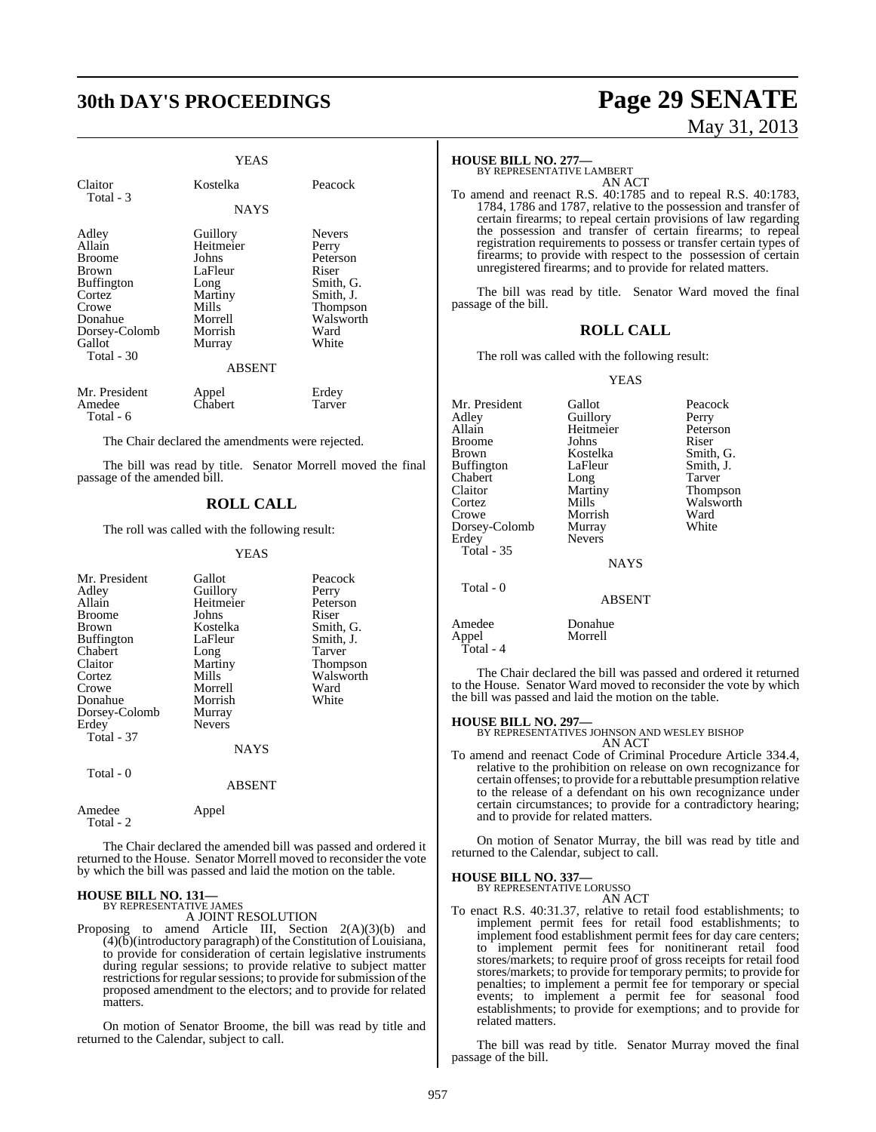# **30th DAY'S PROCEEDINGS Page 29 SENATE**

|                                                                                                                                       | YEAS                                                                                                            |                                                                                                                 |
|---------------------------------------------------------------------------------------------------------------------------------------|-----------------------------------------------------------------------------------------------------------------|-----------------------------------------------------------------------------------------------------------------|
| Claitor<br>Total - 3                                                                                                                  | Kostelka                                                                                                        | Peacock                                                                                                         |
|                                                                                                                                       | <b>NAYS</b>                                                                                                     |                                                                                                                 |
| Adley<br>Allain<br><b>Broome</b><br>Brown<br><b>Buffington</b><br>Cortez<br>Crowe<br>Donahue<br>Dorsey-Colomb<br>Gallot<br>Total - 30 | Guillory<br>Heitmeier<br>Johns<br>LaFleur<br>Long<br>Martiny<br>Mills<br>Morrell<br>Morrish<br>Murray<br>ABSENT | <b>Nevers</b><br>Perry<br>Peterson<br>Riser<br>Smith, G.<br>Smith, J.<br>Thompson<br>Walsworth<br>Ward<br>White |
| Mr. President<br>Amedee<br>Total - 6                                                                                                  | Appel<br>Chabert                                                                                                | Erdey<br>Tarver                                                                                                 |

The Chair declared the amendments were rejected.

The bill was read by title. Senator Morrell moved the final passage of the amended bill.

#### **ROLL CALL**

The roll was called with the following result:

#### YEAS

| Mr. President<br>Adley<br>Allain<br><b>Broome</b><br>Brown<br><b>Buffington</b><br>Chabert<br>Claitor<br>Cortez<br>Crowe<br>Donahue<br>Dorsey-Colomb<br>Erdey<br><b>Total - 37</b> | Gallot<br>Guillory<br>Heitmeier<br>Johns<br>Kostelka<br>LaFleur<br>Long<br>Martiny<br>Mills<br>Morrell<br>Morrish<br>Murray<br><b>Nevers</b><br><b>NAYS</b> | Peacock<br>Perry<br>Peterson<br>Riser<br>Smith, G.<br>Smith, J.<br>Tarver<br>Thompson<br>Walsworth<br>Ward<br>White |
|------------------------------------------------------------------------------------------------------------------------------------------------------------------------------------|-------------------------------------------------------------------------------------------------------------------------------------------------------------|---------------------------------------------------------------------------------------------------------------------|
| Total - 0                                                                                                                                                                          | <b>ABSENT</b>                                                                                                                                               |                                                                                                                     |
| Amedee                                                                                                                                                                             | Appel                                                                                                                                                       |                                                                                                                     |

The Chair declared the amended bill was passed and ordered it returned to the House. Senator Morrell moved to reconsider the vote by which the bill was passed and laid the motion on the table.

#### **HOUSE BILL NO. 131—** BY REPRESENTATIVE JAMES

Total - 2

A JOINT RESOLUTION

Proposing to amend Article III, Section 2(A)(3)(b) and  $(4)(\bar{b})$ (introductory paragraph) of the Constitution of Louisiana, to provide for consideration of certain legislative instruments during regular sessions; to provide relative to subject matter restrictions for regular sessions; to provide for submission of the proposed amendment to the electors; and to provide for related matters.

On motion of Senator Broome, the bill was read by title and returned to the Calendar, subject to call.

# May 31, 2013

#### **HOUSE BILL NO. 277—**

BY REPRESENTATIVE LAMBERT AN ACT

To amend and reenact R.S. 40:1785 and to repeal R.S. 40:1783, 1784, 1786 and 1787, relative to the possession and transfer of certain firearms; to repeal certain provisions of law regarding the possession and transfer of certain firearms; to repeal registration requirements to possess or transfer certain types of firearms; to provide with respect to the possession of certain unregistered firearms; and to provide for related matters.

The bill was read by title. Senator Ward moved the final passage of the bill.

#### **ROLL CALL**

The roll was called with the following result:

YEAS

Mr. President Gallot Peacock Adley Guillory Perry Heitmeier Peters<br>
Johns Riser Broome<br>Brown Kostelka Smith, G.<br>LaFleur Smith, J. Buffington LaFleur Smith,<br>
Chabert Long Tarver Chabert Long<br>Claitor Martiny Claitor Martiny Thompson Cortez Mills Walsworth<br>Crowe Morrish Ward Morrish Dorsey-Colomb Murray White<br>
Erdey Nevers Nevers Total - 35 **NAYS**  Total - 0 ABSENT Amedee Donahue<br>Annel Morrell Appel Morrell

The Chair declared the bill was passed and ordered it returned to the House. Senator Ward moved to reconsider the vote by which the bill was passed and laid the motion on the table.

Total - 4

**HOUSE BILL NO. 297—** BY REPRESENTATIVES JOHNSON AND WESLEY BISHOP AN ACT

To amend and reenact Code of Criminal Procedure Article 334.4, relative to the prohibition on release on own recognizance for certain offenses; to provide for a rebuttable presumption relative to the release of a defendant on his own recognizance under certain circumstances; to provide for a contradictory hearing; and to provide for related matters.

On motion of Senator Murray, the bill was read by title and returned to the Calendar, subject to call.

#### **HOUSE BILL NO. 337—**

BY REPRESENTATIVE LORUSSO AN ACT

To enact R.S. 40:31.37, relative to retail food establishments; to implement permit fees for retail food establishments; to implement food establishment permit fees for day care centers; to implement permit fees for nonitinerant retail food stores/markets; to require proof of gross receipts for retail food stores/markets; to provide for temporary permits; to provide for penalties; to implement a permit fee for temporary or special events; to implement a permit fee for seasonal food establishments; to provide for exemptions; and to provide for related matters.

The bill was read by title. Senator Murray moved the final passage of the bill.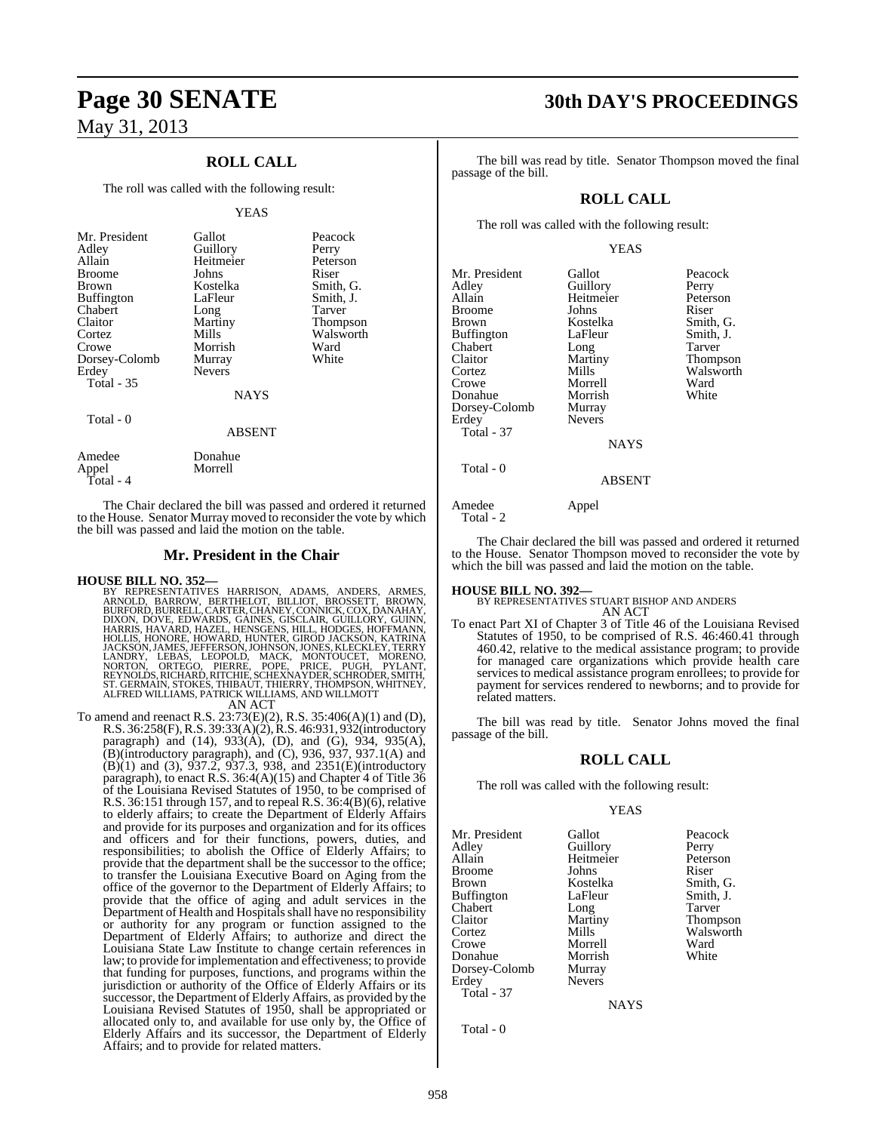## **ROLL CALL**

The roll was called with the following result:

#### YEAS

| Mr. President<br>Adley<br>Allain<br><b>Broome</b><br>Brown<br><b>Buffington</b><br>Chabert<br>Claitor<br>Cortez<br>Crowe<br>Dorsey-Colomb<br>Erdey<br><b>Total - 35</b> | Gallot<br>Guillory<br>Heitmeier<br>Johns<br>Kostelka<br>LaFleur<br>Long<br>Martiny<br>Mills<br>Morrish<br>Murray<br><b>Nevers</b><br><b>NAYS</b> | Peacock<br>Perry<br>Peterson<br>Riser<br>Smith, G.<br>Smith, J.<br>Tarver<br>Thompson<br>Walsworth<br>Ward<br>White |
|-------------------------------------------------------------------------------------------------------------------------------------------------------------------------|--------------------------------------------------------------------------------------------------------------------------------------------------|---------------------------------------------------------------------------------------------------------------------|
| Total - 0                                                                                                                                                               | <b>ABSENT</b>                                                                                                                                    |                                                                                                                     |
| Amedee<br>Annel                                                                                                                                                         | Donahue<br>Morrell                                                                                                                               |                                                                                                                     |

The Chair declared the bill was passed and ordered it returned to the House. Senator Murray moved to reconsider the vote by which the bill was passed and laid the motion on the table.

#### **Mr. President in the Chair**

Appel Total - 4

HOUSE BILL NO. 352—<br>
BY REPRESENTATIVES HARRISON, ADAMS, ANDERS, ARMES,<br>
ARNOLD, BARROW, BERTHELOT, BILLIOT, BROSSETT, BROWN,<br>
BURFORD, BURRELL, CARTER, CHANEY, CONNICK, COX, DANAHAY,<br>
DIXON, DOVE, EDWARDS, GAINES, GISCLAI

#### AN ACT

To amend and reenact R.S. 23:73(E)(2), R.S. 35:406(A)(1) and (D), R.S. 36:258(F),R.S. 39:33(A)(2), R.S. 46:931, 932(introductory paragraph) and (14), 933(A), (D), and (G), 934, 935(A),  $(B)$ (introductory paragraph), and  $(C)$ , 936, 937, 937.1 $(A)$  and (B)(1) and (3), 937.2, 937.3, 938, and 2351(E)(introductory paragraph), to enact R.S. 36:4(A)(15) and Chapter 4 of Title 36 of the Louisiana Revised Statutes of 1950, to be comprised of R.S. 36:151 through 157, and to repeal R.S. 36:4(B)(6), relative to elderly affairs; to create the Department of Elderly Affairs and provide for its purposes and organization and for its offices and officers and for their functions, powers, duties, and responsibilities; to abolish the Office of Elderly Affairs; to provide that the department shall be the successor to the office; to transfer the Louisiana Executive Board on Aging from the office of the governor to the Department of Elderly Affairs; to provide that the office of aging and adult services in the Department of Health and Hospitals shall have no responsibility or authority for any program or function assigned to the Department of Elderly Affairs; to authorize and direct the Louisiana State Law Institute to change certain references in law; to provide forimplementation and effectiveness; to provide that funding for purposes, functions, and programs within the jurisdiction or authority of the Office of Elderly Affairs or its successor, the Department of Elderly Affairs, as provided by the Louisiana Revised Statutes of 1950, shall be appropriated or allocated only to, and available for use only by, the Office of Elderly Affairs and its successor, the Department of Elderly Affairs; and to provide for related matters.

## **Page 30 SENATE 30th DAY'S PROCEEDINGS**

Tarver Thompson Walsworth<br>Ward

The bill was read by title. Senator Thompson moved the final passage of the bill.

### **ROLL CALL**

The roll was called with the following result:

#### YEAS

| Mr. President<br>Adley<br>Allain<br><b>Broome</b><br>Brown<br><b>Buffington</b><br>Chabert<br>Claitor<br>Cortez<br>Crowe<br>Donahue<br>Dorsey-Colomb<br>Erdey<br>Total - 37 | Gallot<br>Guillory<br>Heitmeier<br>Johns<br>Kostelka<br>LaFleur<br>Long<br>Martiny<br>Mills<br>Morrell<br>Morrish<br>Murray<br><b>Nevers</b> | Peacock<br>Perry<br>Peterson<br>Riser<br>Smith, G.<br>Smith, J.<br>Tarver<br>Thompson<br>Walswort<br>Ward<br>White |
|-----------------------------------------------------------------------------------------------------------------------------------------------------------------------------|----------------------------------------------------------------------------------------------------------------------------------------------|--------------------------------------------------------------------------------------------------------------------|
|                                                                                                                                                                             | NAYS                                                                                                                                         |                                                                                                                    |
| Total - 0                                                                                                                                                                   | <b>ABSENT</b>                                                                                                                                |                                                                                                                    |
| Amedee<br>Total - 2                                                                                                                                                         | Appel                                                                                                                                        |                                                                                                                    |

The Chair declared the bill was passed and ordered it returned to the House. Senator Thompson moved to reconsider the vote by which the bill was passed and laid the motion on the table.

**HOUSE BILL NO. 392—** BY REPRESENTATIVES STUART BISHOP AND ANDERS AN ACT

To enact Part XI of Chapter 3 of Title 46 of the Louisiana Revised Statutes of 1950, to be comprised of R.S. 46:460.41 through 460.42, relative to the medical assistance program; to provide for managed care organizations which provide health care services to medical assistance program enrollees; to provide for payment for services rendered to newborns; and to provide for related matters.

The bill was read by title. Senator Johns moved the final passage of the bill.

#### **ROLL CALL**

The roll was called with the following result:

#### YEAS

Mr. President Gallot Peacock<br>Adley Guillory Perry Adley Guillory<br>Allain Heitmeier Broome Johns<br>Brown Kostelka **Buffington** Chabert Long Tarver Claitor Martiny Thompson Cortez Mills Walsworth<br>Crowe Morrell Ward Donahue Morrish<br>Dorsey-Colomb Murray Dorsey-Colomb Murray Erdey Total - 37

Heitmeier Peterson<br>Johns Riser Kostelka Smith, G.<br>LaFleur Smith, J. Morrell Ward<br>
Morrish White

NAYS

Total - 0

958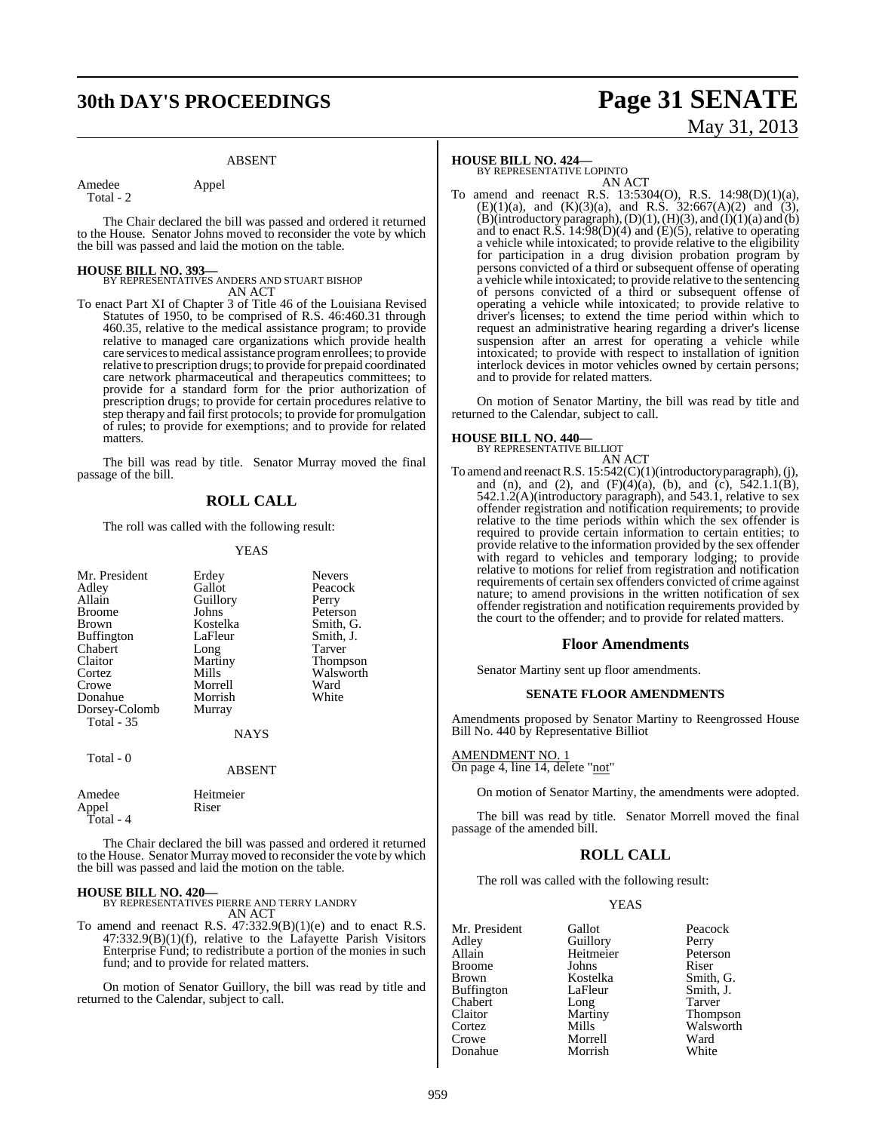## **30th DAY'S PROCEEDINGS Page 31 SENATE**

#### ABSENT

Amedee Appel

Total - 2

The Chair declared the bill was passed and ordered it returned to the House. Senator Johns moved to reconsider the vote by which the bill was passed and laid the motion on the table.

**HOUSE BILL NO. 393—** BY REPRESENTATIVES ANDERS AND STUART BISHOP AN ACT

To enact Part XI of Chapter 3 of Title 46 of the Louisiana Revised Statutes of 1950, to be comprised of R.S. 46:460.31 through 460.35, relative to the medical assistance program; to provide relative to managed care organizations which provide health care servicestomedical assistance programenrollees; to provide relative to prescription drugs; to provide for prepaid coordinated care network pharmaceutical and therapeutics committees; to provide for a standard form for the prior authorization of prescription drugs; to provide for certain procedures relative to step therapy and fail first protocols; to provide for promulgation of rules; to provide for exemptions; and to provide for related matters.

The bill was read by title. Senator Murray moved the final passage of the bill.

#### **ROLL CALL**

The roll was called with the following result:

#### YEAS

| Mr. President<br>Adley<br>Allain<br><b>Broome</b><br>Brown<br><b>Buffington</b><br>Chabert<br>Claitor<br>Cortez<br>Crowe | Erdey<br>Gallot<br>Guillory<br>Johns<br>Kostelka<br>LaFleur<br>Long<br>Martiny<br>Mills<br>Morrell | <b>Nevers</b><br>Peacock<br>Perry<br>Peterson<br>Smith, G.<br>Smith, J.<br>Tarver<br><b>Thompson</b><br>Walsworth<br>Ward |
|--------------------------------------------------------------------------------------------------------------------------|----------------------------------------------------------------------------------------------------|---------------------------------------------------------------------------------------------------------------------------|
| Donahue                                                                                                                  | Morrish                                                                                            | White                                                                                                                     |
| Dorsey-Colomb<br><b>Total</b> - 35                                                                                       | Murray<br><b>NAYS</b>                                                                              |                                                                                                                           |
| Total - 0                                                                                                                | <b>ABSENT</b>                                                                                      |                                                                                                                           |

| Amedee    | Heitmeier |
|-----------|-----------|
| Appel     | Riser     |
| Total - 4 |           |

The Chair declared the bill was passed and ordered it returned to the House. Senator Murray moved to reconsider the vote by which the bill was passed and laid the motion on the table.

**HOUSE BILL NO. 420—** BY REPRESENTATIVES PIERRE AND TERRY LANDRY AN ACT

To amend and reenact R.S.  $47:332.9(B)(1)(e)$  and to enact R.S.  $47:332.9(B)(1)(f)$ , relative to the Lafayette Parish Visitors Enterprise Fund; to redistribute a portion of the monies in such fund; and to provide for related matters.

On motion of Senator Guillory, the bill was read by title and returned to the Calendar, subject to call.

#### **HOUSE BILL NO. 424—**

BY REPRESENTATIVE LOPINTO AN ACT

To amend and reenact R.S. 13:5304(O), R.S. 14:98(D)(1)(a),  $(E)(1)(a)$ , and  $(K)(3)(a)$ , and R.S. 32:667(A)(2) and (3),  $(B)(introducing paragnh), (D)(1), (H)(3), and (I)(1)(a) and (b)$ and to enact R.S.  $14:98(D)(4)$  and  $(E)(5)$ , relative to operating a vehicle while intoxicated; to provide relative to the eligibility for participation in a drug division probation program by persons convicted of a third or subsequent offense of operating a vehicle while intoxicated; to provide relative to the sentencing of persons convicted of a third or subsequent offense of operating a vehicle while intoxicated; to provide relative to driver's licenses; to extend the time period within which to request an administrative hearing regarding a driver's license suspension after an arrest for operating a vehicle while intoxicated; to provide with respect to installation of ignition interlock devices in motor vehicles owned by certain persons; and to provide for related matters.

On motion of Senator Martiny, the bill was read by title and returned to the Calendar, subject to call.

#### **HOUSE BILL NO. 440—**

BY REPRESENTATIVE BILLIOT AN ACT

To amend and reenactR.S. 15:542(C)(1)(introductory paragraph), (j), and (n), and (2), and  $(F)(4)(a)$ , (b), and (c),  $542.1.1(B)$ , 542.1.2(A)(introductory paragraph), and 543.1, relative to sex offender registration and notification requirements; to provide relative to the time periods within which the sex offender is required to provide certain information to certain entities; to provide relative to the information provided by the sex offender with regard to vehicles and temporary lodging; to provide relative to motions for relief from registration and notification requirements of certain sex offenders convicted of crime against nature; to amend provisions in the written notification of sex offender registration and notification requirements provided by the court to the offender; and to provide for related matters.

#### **Floor Amendments**

Senator Martiny sent up floor amendments.

#### **SENATE FLOOR AMENDMENTS**

Amendments proposed by Senator Martiny to Reengrossed House Bill No. 440 by Representative Billiot

#### AMENDMENT NO. 1

On page 4, line 14, delete "not"

On motion of Senator Martiny, the amendments were adopted.

The bill was read by title. Senator Morrell moved the final passage of the amended bill.

### **ROLL CALL**

The roll was called with the following result:

#### YEAS

| Mr. President     | Gallot    | Peacock       |
|-------------------|-----------|---------------|
| Adley             | Guillory  | Perry         |
| Allain            | Heitmeier | Peterson      |
| <b>Broome</b>     | Johns     | Riser         |
| <b>Brown</b>      | Kostelka  | Smith, C      |
| <b>Buffington</b> | LaFleur   | Smith, J.     |
| Chabert           | Long      | Tarver        |
| Claitor           | Martiny   | <b>Thomps</b> |
| Cortez            | Mills     | Walswo        |
| Crowe             | Morrell   | Ward          |
| Donahue           | Morrish   | White         |

Guillory Perry<br>
Heitmeier Peterson Heitmeier Peters<br>
Johns Riser Kostelka Smith, G.<br>LaFleur Smith, J. LaFleur Smith, J.<br>
Long Tarver Long Tarver<br>
Martiny Thomp Martiny Thompson<br>Mills Walsworth Walsworth<br>Ward Morrell Ward<br>
Morrish White

# May 31, 2013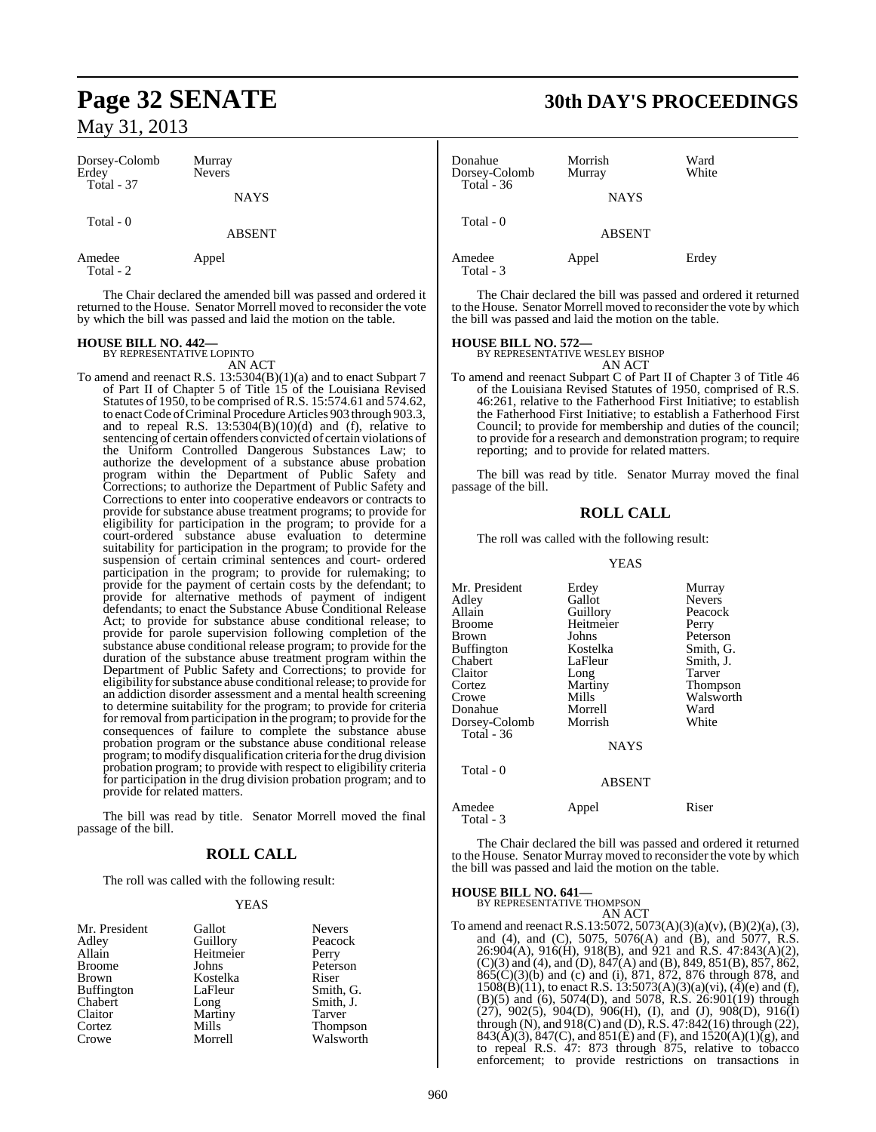| Dorsey-Colomb<br>Erdey<br>Total - 37 | Murray<br><b>Nevers</b> |  |
|--------------------------------------|-------------------------|--|
|                                      | <b>NAYS</b>             |  |
| Total $-0$                           | <b>ABSENT</b>           |  |

Amedee Appel Total - 2

The Chair declared the amended bill was passed and ordered it returned to the House. Senator Morrell moved to reconsider the vote by which the bill was passed and laid the motion on the table.

#### **HOUSE BILL NO. 442—** BY REPRESENTATIVE LOPINTO

AN ACT

To amend and reenact R.S. 13:5304(B)(1)(a) and to enact Subpart 7 of Part II of Chapter 5 of Title 15 of the Louisiana Revised Statutes of 1950, to be comprised of R.S. 15:574.61 and 574.62, to enact Code of Criminal Procedure Articles 903 through 903.3, and to repeal R.S.  $13:5304(B)(10)(d)$  and (f), relative to sentencing of certain offenders convicted of certain violations of the Uniform Controlled Dangerous Substances Law; to authorize the development of a substance abuse probation program within the Department of Public Safety and Corrections; to authorize the Department of Public Safety and Corrections to enter into cooperative endeavors or contracts to provide for substance abuse treatment programs; to provide for eligibility for participation in the program; to provide for a court-ordered substance abuse evaluation to determine suitability for participation in the program; to provide for the suspension of certain criminal sentences and court- ordered participation in the program; to provide for rulemaking; to provide for the payment of certain costs by the defendant; to provide for alternative methods of payment of indigent defendants; to enact the Substance Abuse Conditional Release Act; to provide for substance abuse conditional release; to provide for parole supervision following completion of the substance abuse conditional release program; to provide for the duration of the substance abuse treatment program within the Department of Public Safety and Corrections; to provide for eligibility for substance abuse conditional release; to provide for an addiction disorder assessment and a mental health screening to determine suitability for the program; to provide for criteria for removal from participation in the program; to provide for the consequences of failure to complete the substance abuse probation program or the substance abuse conditional release program; to modify disqualification criteria forthe drug division probation program; to provide with respect to eligibility criteria for participation in the drug division probation program; and to provide for related matters.

The bill was read by title. Senator Morrell moved the final passage of the bill.

## **ROLL CALL**

The roll was called with the following result:

#### YEAS

| Mr. President | Gallot    | Nevers  |
|---------------|-----------|---------|
| Adley         | Guillory  | Peacoc  |
| Allain        | Heitmeier | Perry   |
| Broome        | Johns     | Peterso |
| Brown         | Kostelka  | Riser   |
| Buffington    | LaFleur   | Smith,  |
| Chabert       | Long      | Smith,  |
| Claitor       | Martiny   | Tarver  |
| Cortez        | Mills     | Thomp   |
| Crowe         | Morrell   | Walsw   |

ry Peacock<br>eier Perry external values Peterson<br>Riser and Lagrence Smith, G. Smith, J.<br>Tarver Tarver Thompson<br>Il Walsworth Walsworth

## **Page 32 SENATE 30th DAY'S PROCEEDINGS**

| Donahue<br>Dorsey-Colomb | Morrish<br>Murray | Ward<br>White |
|--------------------------|-------------------|---------------|
| Total $-36$              | <b>NAYS</b>       |               |
| Total - 0                | <b>ABSENT</b>     |               |
| Amedee<br>Total - 3      | Appel             | Erdey         |

The Chair declared the bill was passed and ordered it returned to the House. Senator Morrell moved to reconsider the vote by which the bill was passed and laid the motion on the table.

## **HOUSE BILL NO. 572—** BY REPRESENTATIVE WESLEY BISHOP

AN ACT

To amend and reenact Subpart C of Part II of Chapter 3 of Title 46 of the Louisiana Revised Statutes of 1950, comprised of R.S. 46:261, relative to the Fatherhood First Initiative; to establish the Fatherhood First Initiative; to establish a Fatherhood First Council; to provide for membership and duties of the council; to provide for a research and demonstration program; to require reporting; and to provide for related matters.

The bill was read by title. Senator Murray moved the final passage of the bill.

## **ROLL CALL**

The roll was called with the following result:

#### YEAS

| Mr. President | Erdey         | Murray          |
|---------------|---------------|-----------------|
| Adley         | Gallot        | <b>Nevers</b>   |
| Allain        | Guillory      | Peacock         |
| Broome        | Heitmeier     | Perry           |
| Brown         | Johns         | Peterson        |
| Buffington    | Kostelka      | Smith, G.       |
|               |               |                 |
| Chabert       | LaFleur       | Smith, J.       |
| Claitor       | Long          | Tarver          |
| Cortez        | Martiny       | <b>Thompson</b> |
| Crowe         | Mills         | Walsworth       |
| Donahue       | Morrell       | Ward            |
| Dorsey-Colomb | Morrish       | White           |
| Total - 36    |               |                 |
|               | <b>NAYS</b>   |                 |
| Total - 0     |               |                 |
|               | <b>ABSENT</b> |                 |
|               |               |                 |

Amedee Appel Riser Total - 3

The Chair declared the bill was passed and ordered it returned to the House. Senator Murray moved to reconsider the vote by which the bill was passed and laid the motion on the table.

## **HOUSE BILL NO. 641—** BY REPRESENTATIVE THOMPSON

AN ACT

To amend and reenact R.S.13:5072, 5073(A)(3)(a)(v), (B)(2)(a), (3), and (4), and (C), 5075, 5076(A) and (B), and 5077, R.S.  $26:904(A), 916(H), 918(B),$  and 921 and R.S. 47:843(A)(2),  $(C)(3)$  and  $(4)$ , and  $(D)$ ,  $847(A)$  and  $(B)$ ,  $849$ ,  $851(B)$ ,  $857$ ,  $862$ , 865(C)(3)(b) and (c) and (i), 871, 872, 876 through 878, and  $1508(B)(11)$ , to enact R.S.  $13:5073(A)(3)(a)(vi)$ ,  $(4)(e)$  and (f), (B)(5) and (6), 5074(D), and 5078, R.S.  $26:901(19)$  through  $(27)$ , 902(5), 904(D), 906(H), (I), and (J), 908(D), 916(I) through (N), and 918(C) and (D), R.S. 47:842(16) through (22), 843( $\vec{A}$ )(3), 847(C), and 851( $\vec{E}$ ) and (F), and 1520( $\vec{A}$ )(1)( $\vec{g}$ ), and to repeal R.S. 47: 873 through 875, relative to tobacco enforcement; to provide restrictions on transactions in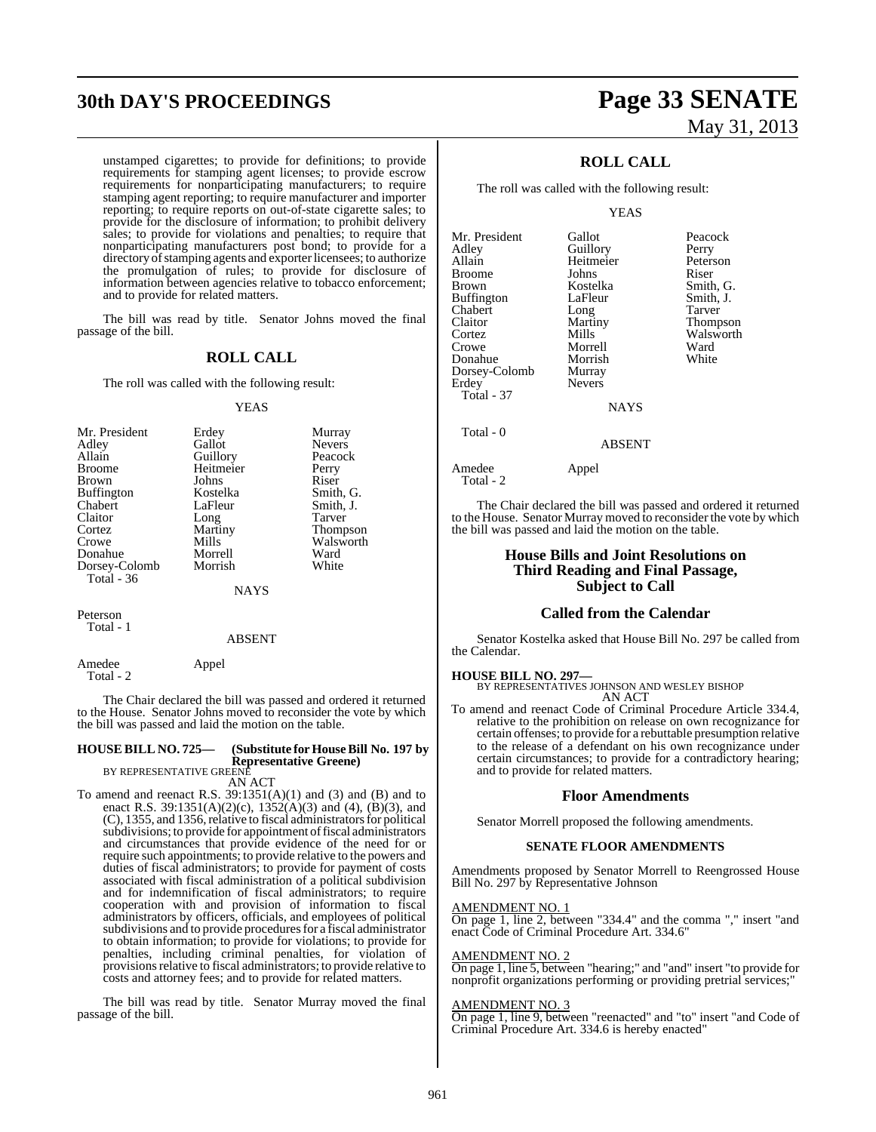# **30th DAY'S PROCEEDINGS Page 33 SENATE**

unstamped cigarettes; to provide for definitions; to provide requirements for stamping agent licenses; to provide escrow requirements for nonparticipating manufacturers; to require stamping agent reporting; to require manufacturer and importer reporting; to require reports on out-of-state cigarette sales; to provide for the disclosure of information; to prohibit delivery sales; to provide for violations and penalties; to require that nonparticipating manufacturers post bond; to provide for a directory of stamping agents and exporter licensees; to authorize the promulgation of rules; to provide for disclosure of information between agencies relative to tobacco enforcement; and to provide for related matters.

The bill was read by title. Senator Johns moved the final passage of the bill.

#### **ROLL CALL**

The roll was called with the following result:

#### YEAS

| Mr. President     | Erdey     | Murray        |
|-------------------|-----------|---------------|
| Adley             | Gallot    | <b>Nevers</b> |
| Allain            | Guillory  | Peacock       |
| <b>Broome</b>     | Heitmeier | Perry         |
| <b>Brown</b>      | Johns     | Riser         |
| <b>Buffington</b> | Kostelka  | Smith, G.     |
| Chabert           | LaFleur   | Smith, J.     |
| Claitor           | Long      | Tarver        |
| Cortez            | Martiny   | Thompson      |
| Crowe             | Mills     | Walsworth     |
| Donahue           | Morrell   | Ward          |
| Dorsey-Colomb     | Morrish   | White         |
| Total - 36        |           |               |
|                   | NAYS      |               |

Peterson Total - 1

#### ABSENT

Amedee Appel Total - 2

The Chair declared the bill was passed and ordered it returned to the House. Senator Johns moved to reconsider the vote by which the bill was passed and laid the motion on the table.

#### **HOUSE BILL NO. 725— (Substitute for HouseBill No. 197 by Representative Greene)**

BY REPRESENTATIVE GREENE AN ACT

- 
- To amend and reenact R.S.  $39:1351(A)(1)$  and  $(3)$  and  $(B)$  and to enact R.S. 39:1351(A)(2)(c), 1352(A)(3) and (4), (B)(3), and (C), 1355, and 1356, relative to fiscal administrators for political subdivisions; to provide for appointment of fiscal administrators and circumstances that provide evidence of the need for or require such appointments; to provide relative to the powers and duties of fiscal administrators; to provide for payment of costs associated with fiscal administration of a political subdivision and for indemnification of fiscal administrators; to require cooperation with and provision of information to fiscal administrators by officers, officials, and employees of political subdivisions and to provide procedures for a fiscal administrator to obtain information; to provide for violations; to provide for penalties, including criminal penalties, for violation of provisions relative to fiscal administrators; to provide relative to costs and attorney fees; and to provide for related matters.

The bill was read by title. Senator Murray moved the final passage of the bill.

# May 31, 2013

## **ROLL CALL**

The roll was called with the following result:

#### YEAS

| Mr. President     | Gallot        | Peacock         |
|-------------------|---------------|-----------------|
| Adley             | Guillory      | Perry           |
| Allain            | Heitmeier     | Peterson        |
| <b>Broome</b>     | Johns         | Riser           |
| <b>Brown</b>      | Kostelka      | Smith, G.       |
| <b>Buffington</b> | LaFleur       | Smith, J.       |
| Chabert           | Long          | Tarver          |
| Claitor           | Martiny       | <b>Thompson</b> |
| Cortez            | Mills         | Walswort        |
| Crowe             | Morrell       | Ward            |
| Donahue           | Morrish       | White           |
| Dorsey-Colomb     | Murray        |                 |
| Erdey             | <b>Nevers</b> |                 |
| Total - 37        |               |                 |
|                   | <b>NAYS</b>   |                 |
| m. 1 0            |               |                 |

ABSENT

Total - 0

#### Amedee Appel Total - 2

The Chair declared the bill was passed and ordered it returned to the House. Senator Murray moved to reconsider the vote by which the bill was passed and laid the motion on the table.

#### **House Bills and Joint Resolutions on Third Reading and Final Passage, Subject to Call**

#### **Called from the Calendar**

Senator Kostelka asked that House Bill No. 297 be called from the Calendar.

#### **HOUSE BILL NO. 297—**

BY REPRESENTATIVES JOHNSON AND WESLEY BISHOP AN ACT

To amend and reenact Code of Criminal Procedure Article 334.4, relative to the prohibition on release on own recognizance for certain offenses; to provide for a rebuttable presumption relative to the release of a defendant on his own recognizance under certain circumstances; to provide for a contradictory hearing; and to provide for related matters.

#### **Floor Amendments**

Senator Morrell proposed the following amendments.

#### **SENATE FLOOR AMENDMENTS**

Amendments proposed by Senator Morrell to Reengrossed House Bill No. 297 by Representative Johnson

#### AMENDMENT NO. 1

On page 1, line 2, between "334.4" and the comma "," insert "and enact Code of Criminal Procedure Art. 334.6"

#### AMENDMENT NO. 2

On page 1, line 5, between "hearing;" and "and" insert "to provide for nonprofit organizations performing or providing pretrial services;"

#### AMENDMENT NO. 3

On page 1, line 9, between "reenacted" and "to" insert "and Code of Criminal Procedure Art. 334.6 is hereby enacted"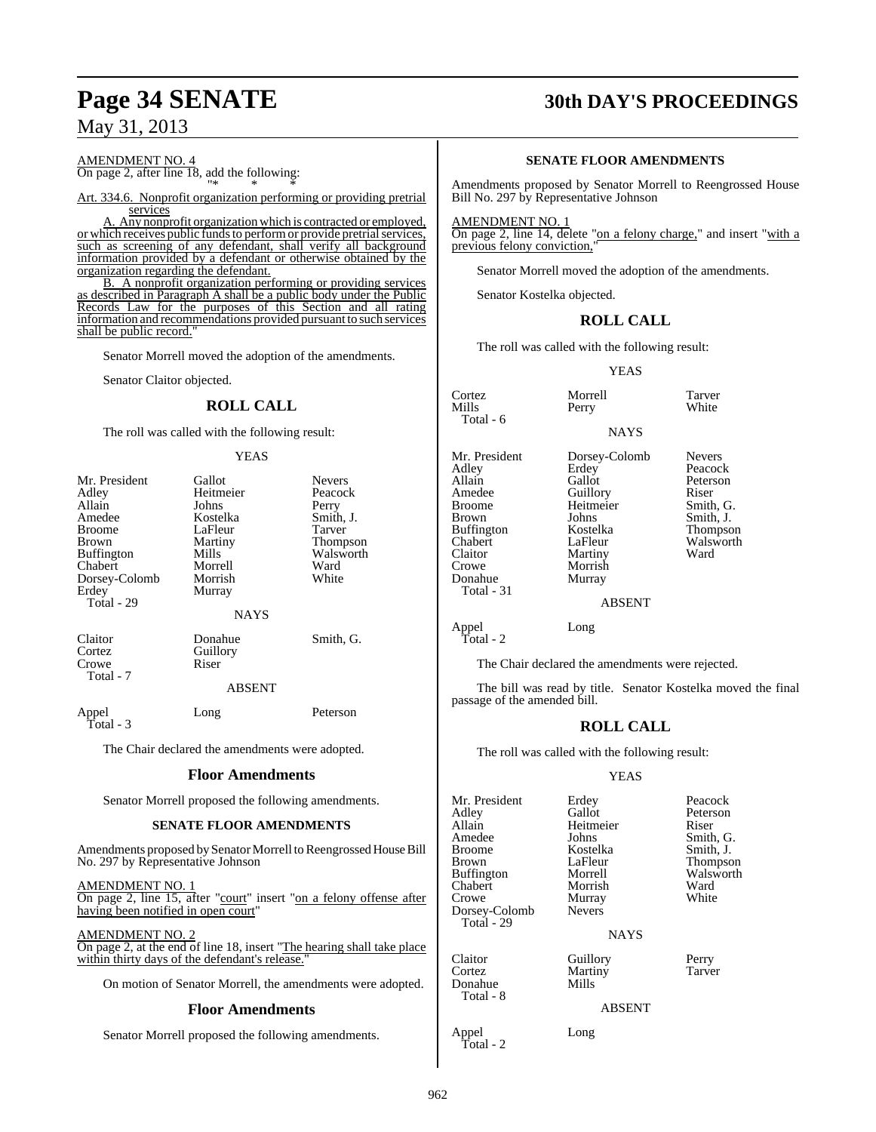## AMENDMENT NO. 4

On page 2, after line 18, add the following: "\* \* \*

Art. 334.6. Nonprofit organization performing or providing pretrial services

Any nonprofit organization which is contracted or employed, or which receives public funds to perform or provide pretrial services, such as screening of any defendant, shall verify all background information provided by a defendant or otherwise obtained by the organization regarding the defendant.

B. A nonprofit organization performing or providing services as described in Paragraph A shall be a public body under the Public Records Law for the purposes of this Section and all rating information and recommendations provided pursuant to such services shall be public record."

Senator Morrell moved the adoption of the amendments.

Senator Claitor objected.

### **ROLL CALL**

The roll was called with the following result:

#### YEAS

| Mr. President<br>Adley<br>Allain        | Gallot<br>Heitmeier<br>Johns | <b>Nevers</b><br>Peacock<br>Perry |
|-----------------------------------------|------------------------------|-----------------------------------|
| Amedee                                  | Kostelka                     | Smith, J.                         |
| <b>Broome</b>                           | LaFleur                      | Tarver                            |
| Brown                                   | Martiny                      | Thompson                          |
| <b>Buffington</b>                       | Mills                        | Walsworth                         |
| Chabert                                 | Morrell                      | Ward                              |
| Dorsey-Colomb                           | Morrish                      | White                             |
| Erdey<br>Total - 29                     | Murray                       |                                   |
|                                         | <b>NAYS</b>                  |                                   |
| Claitor<br>Cortez<br>Crowe<br>Total - 7 | Donahue<br>Guillory<br>Riser | Smith, G.                         |
|                                         | <b>ABSENT</b>                |                                   |
| Appel<br>Total - 3                      | Long                         | Peterson                          |

The Chair declared the amendments were adopted.

#### **Floor Amendments**

Senator Morrell proposed the following amendments.

#### **SENATE FLOOR AMENDMENTS**

Amendments proposed by Senator Morrell to Reengrossed House Bill No. 297 by Representative Johnson

AMENDMENT NO. 1

On page 2, line 15, after "court" insert "on a felony offense after having been notified in open court"

AMENDMENT NO. 2

On page 2, at the end of line 18, insert "The hearing shall take place within thirty days of the defendant's release.

On motion of Senator Morrell, the amendments were adopted.

#### **Floor Amendments**

Senator Morrell proposed the following amendments.

## **Page 34 SENATE 30th DAY'S PROCEEDINGS**

#### **SENATE FLOOR AMENDMENTS**

Amendments proposed by Senator Morrell to Reengrossed House Bill No. 297 by Representative Johnson

AMENDMENT NO. 1

On page 2, line 14, delete "on a felony charge," and insert "with a previous felony conviction,"

Senator Morrell moved the adoption of the amendments.

Senator Kostelka objected.

#### **ROLL CALL**

The roll was called with the following result:

YEAS

NAYS

Cortez Morrell Tarver  $Total - 6$ Mr. President Dorsey-Colomb Nevers<br>Adley Erdey Peacocl Adley Erdey Peacock<br>
Allain Gallot Peterson Allain Gallot Peters<br>Amedee Guillory Riser Amedee Guillory Riser<br>Broome Heitmeier Smith, G. Broome Heitmeier<br>Brown Johns Buffington Kostelka Thompson<br>Chabert LaFleur Walsworth Chabert LaFleur Walsworth Claitor Martiny<br>Crowe Morrish Donahue Total - 31

Morrish<br>Murrav

Johns Smith, J.<br>Kostelka Thompso

White

#### ABSENT

Appel Long Total - 2

The Chair declared the amendments were rejected.

The bill was read by title. Senator Kostelka moved the final passage of the amended bill.

## **ROLL CALL**

The roll was called with the following result:

#### YEAS

| Mr. President<br>Adley<br>Allain<br>Amedee<br><b>Broome</b><br>Brown<br><b>Buffington</b><br>Chabert<br>Crowe<br>Dorsey-Colomb<br>Total - 29 | Erdey<br>Gallot<br>Heitmeier<br>Johns<br>Kostelka<br>LaFleur<br>Morrell<br>Morrish<br>Murray<br><b>Nevers</b><br>NAYS | Peacock<br>Peterson<br>Riser<br>Smith, G.<br>Smith, J.<br>Thompson<br>Walsworth<br>Ward<br>White |
|----------------------------------------------------------------------------------------------------------------------------------------------|-----------------------------------------------------------------------------------------------------------------------|--------------------------------------------------------------------------------------------------|
| Claitor<br>Cortez<br>Donahue<br>Total - 8                                                                                                    | Guillory<br>Martiny<br>Mills<br><b>ABSENT</b>                                                                         | Perry<br>Tarver                                                                                  |
| Appel                                                                                                                                        | Long                                                                                                                  |                                                                                                  |

Total - 2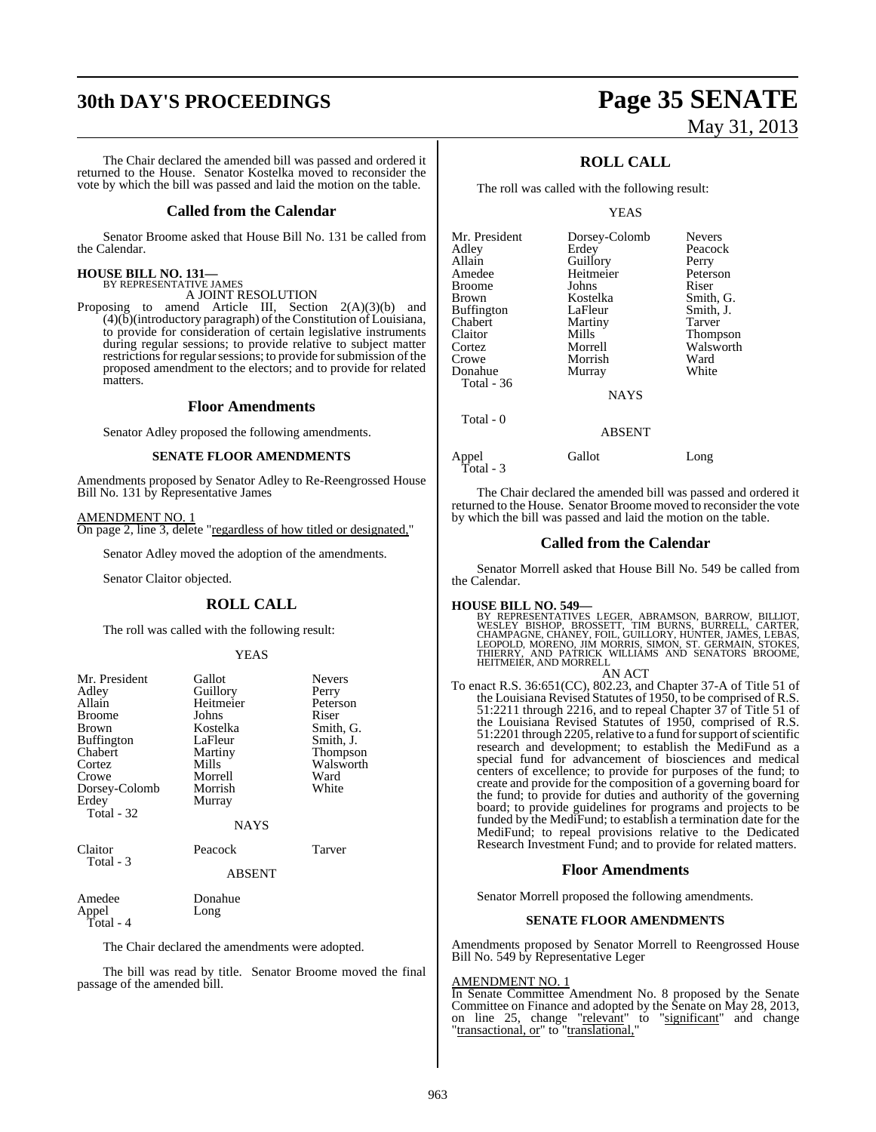# **30th DAY'S PROCEEDINGS Page 35 SENATE**

The Chair declared the amended bill was passed and ordered it returned to the House. Senator Kostelka moved to reconsider the vote by which the bill was passed and laid the motion on the table.

#### **Called from the Calendar**

Senator Broome asked that House Bill No. 131 be called from the Calendar.

## **HOUSE BILL NO. 131—** BY REPRESENTATIVE JAMES

A JOINT RESOLUTION

Proposing to amend Article III, Section 2(A)(3)(b) and  $(4)(\overline{b})$ (introductory paragraph) of the Constitution of Louisiana, to provide for consideration of certain legislative instruments during regular sessions; to provide relative to subject matter restrictions for regular sessions; to provide for submission of the proposed amendment to the electors; and to provide for related matters.

#### **Floor Amendments**

Senator Adley proposed the following amendments.

#### **SENATE FLOOR AMENDMENTS**

Amendments proposed by Senator Adley to Re-Reengrossed House Bill No. 131 by Representative James

AMENDMENT NO. 1 On page 2, line 3, delete "regardless of how titled or designated,"

Senator Adley moved the adoption of the amendments.

Senator Claitor objected.

#### **ROLL CALL**

The roll was called with the following result:

#### YEAS

| Mr. President     | Gallot        | <b>Nevers</b> |
|-------------------|---------------|---------------|
| Adley             | Guillory      | Perry         |
| Allain            | Heitmeier     | Peterson      |
| <b>Broome</b>     | Johns         | Riser         |
| Brown             | Kostelka      | Smith, G.     |
| <b>Buffington</b> | LaFleur       | Smith, J.     |
| Chabert           | Martiny       | Thompson      |
| Cortez            | Mills         | Walsworth     |
| Crowe             | Morrell       | Ward          |
| Dorsey-Colomb     | Morrish       | White         |
| Erdey             | Murray        |               |
| Total - 32        |               |               |
|                   | <b>NAYS</b>   |               |
| Claitor           | Peacock       | Tarver        |
| Total - 3         | <b>ABSENT</b> |               |
|                   |               |               |
| Amedee            | Donahue       |               |
| Appel             | Long          |               |

The Chair declared the amendments were adopted.

Total - 4

The bill was read by title. Senator Broome moved the final passage of the amended bill.

# May 31, 2013

### **ROLL CALL**

The roll was called with the following result:

#### YEAS

| Mr. President | Dorsey-Colomb | <b>Nevers</b> |
|---------------|---------------|---------------|
| Adlev         | Erdey         | Peacock       |
| Allain        | Guillory      | Perry         |
| Amedee        | Heitmeier     | Peterson      |
| Broome        | Johns         | Riser         |
| Brown         | Kostelka      | Smith, G.     |
| Buffington    | LaFleur       | Smith, J.     |
| Chabert       | Martiny       | Tarver        |
| Claitor       | Mills         | Thompson      |
| Cortez        | Morrell       | Walsworth     |
| Crowe         | Morrish       | Ward          |
| Donahue       | Murray        | White         |
| Total - 36    |               |               |
|               | <b>NAYS</b>   |               |
| $Total - 0$   |               |               |

ABSENT

Appel Gallot Long

Total - 3

The Chair declared the amended bill was passed and ordered it returned to the House. Senator Broome moved to reconsider the vote by which the bill was passed and laid the motion on the table.

#### **Called from the Calendar**

Senator Morrell asked that House Bill No. 549 be called from the Calendar.

#### **HOUSE BILL NO. 549—**

BY REPRESENTATIVES LEGER, ABRAMSON, BARROW, BILLIOT,<br>WESLEY BISHOP, BROSSETT, TIM BURNS, BURRELL, CARTER,<br>CHAMPAGNE, CHANEY, FOIL, GUILLORY, HUNTER, JAMES, LEBAS,<br>LEOPOLD, MORENO, JIM MORRIS, SIMON, ST. GERMAIN, STOKES,<br>TH HEITMEIER, AND MORRELL AN ACT

To enact R.S. 36:651(CC), 802.23, and Chapter 37-A of Title 51 of the Louisiana Revised Statutes of 1950, to be comprised of R.S. 51:2211 through 2216, and to repeal Chapter 37 of Title 51 of the Louisiana Revised Statutes of 1950, comprised of R.S. 51:2201 through 2205, relative to a fund for support of scientific research and development; to establish the MediFund as a special fund for advancement of biosciences and medical centers of excellence; to provide for purposes of the fund; to create and provide for the composition of a governing board for the fund; to provide for duties and authority of the governing board; to provide guidelines for programs and projects to be funded by the MediFund; to establish a termination date for the MediFund; to repeal provisions relative to the Dedicated Research Investment Fund; and to provide for related matters.

#### **Floor Amendments**

Senator Morrell proposed the following amendments.

#### **SENATE FLOOR AMENDMENTS**

Amendments proposed by Senator Morrell to Reengrossed House Bill No. 549 by Representative Leger

### AMENDMENT NO. 1

In Senate Committee Amendment No. 8 proposed by the Senate Committee on Finance and adopted by the Senate on May 28, 2013, on line 25, change "relevant" to "significant" and change "transactional, or" to "translational,"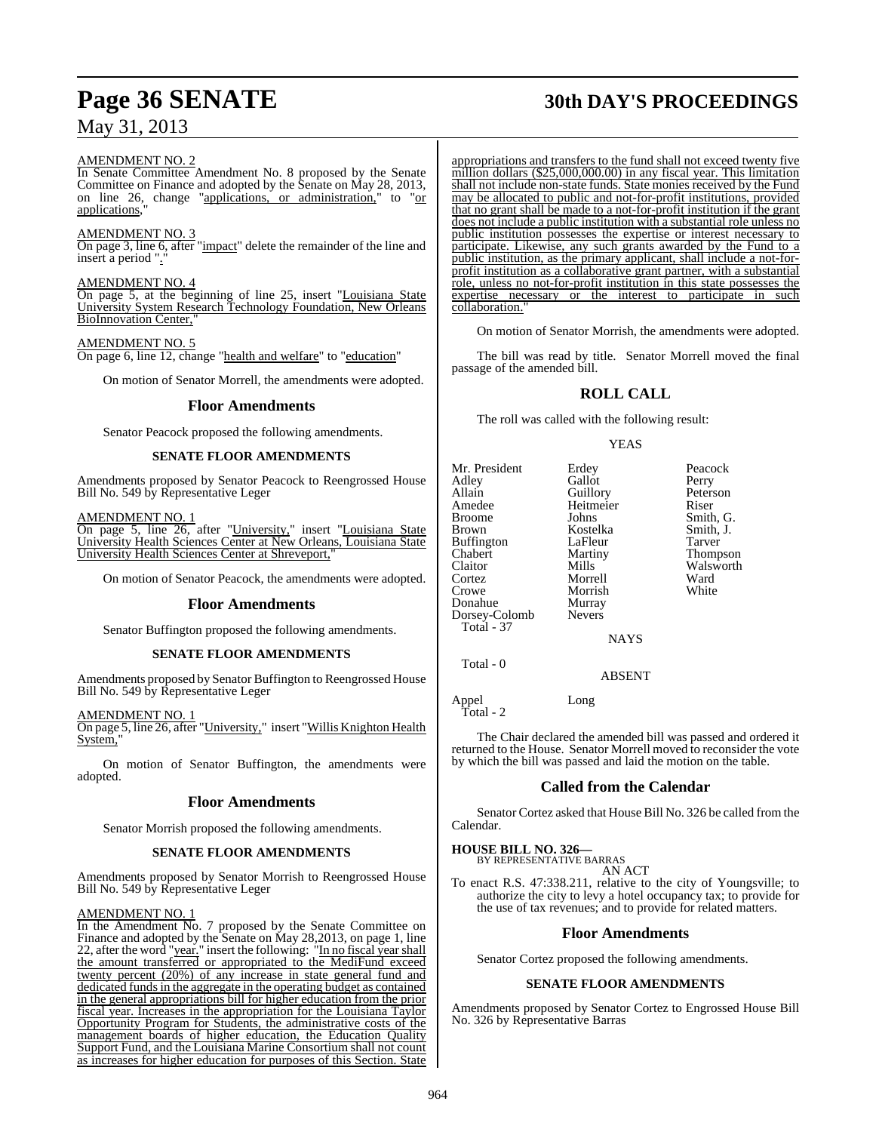#### AMENDMENT NO. 2

In Senate Committee Amendment No. 8 proposed by the Senate Committee on Finance and adopted by the Senate on May 28, 2013, on line 26, change "applications, or administration," to "or applications,

#### AMENDMENT NO. 3

On page 3, line 6, after "impact" delete the remainder of the line and insert a period ".'

#### AMENDMENT NO. 4

On page 5, at the beginning of line 25, insert "Louisiana State University System Research Technology Foundation, New Orleans BioInnovation Center,

#### AMENDMENT NO. 5

On page 6, line 12, change "health and welfare" to "education"

On motion of Senator Morrell, the amendments were adopted.

#### **Floor Amendments**

Senator Peacock proposed the following amendments.

#### **SENATE FLOOR AMENDMENTS**

Amendments proposed by Senator Peacock to Reengrossed House Bill No. 549 by Representative Leger

AMENDMENT NO. 1

On page 5, line 26, after "University," insert "Louisiana State University Health Sciences Center at New Orleans, Louisiana State University Health Sciences Center at Shreveport,

On motion of Senator Peacock, the amendments were adopted.

#### **Floor Amendments**

Senator Buffington proposed the following amendments.

#### **SENATE FLOOR AMENDMENTS**

Amendments proposed by Senator Buffington to Reengrossed House Bill No. 549 by Representative Leger

AMENDMENT NO. 1

On page 5, line 26, after "University," insert "Willis Knighton Health System,'

On motion of Senator Buffington, the amendments were adopted.

#### **Floor Amendments**

Senator Morrish proposed the following amendments.

#### **SENATE FLOOR AMENDMENTS**

Amendments proposed by Senator Morrish to Reengrossed House Bill No. 549 by Representative Leger

#### AMENDMENT NO. 1

In the Amendment No. 7 proposed by the Senate Committee on Finance and adopted by the Senate on May 28,2013, on page 1, line 22, after the word "year." insert the following: "In no fiscal year shall the amount transferred or appropriated to the MediFund exceed twenty percent (20%) of any increase in state general fund and dedicated funds in the aggregate in the operating budget as contained in the general appropriations bill for higher education from the prior fiscal year. Increases in the appropriation for the Louisiana Taylor Opportunity Program for Students, the administrative costs of the management boards of higher education, the Education Quality Support Fund, and the Louisiana Marine Consortium shall not count as increases for higher education for purposes of this Section. State

# **Page 36 SENATE 30th DAY'S PROCEEDINGS**

appropriations and transfers to the fund shall not exceed twenty five million dollars (\$25,000,000.00) in any fiscal year. This limitation shall not include non-state funds. State monies received by the Fund may be allocated to public and not-for-profit institutions, provided that no grant shall be made to a not-for-profit institution if the grant does not include a public institution with a substantial role unless no public institution possesses the expertise or interest necessary to participate. Likewise, any such grants awarded by the Fund to a public institution, as the primary applicant, shall include a not-forprofit institution as a collaborative grant partner, with a substantial role, unless no not-for-profit institution in this state possesses the expertise necessary or the interest to participate in such collaboration.

On motion of Senator Morrish, the amendments were adopted.

The bill was read by title. Senator Morrell moved the final passage of the amended bill.

## **ROLL CALL**

The roll was called with the following result:

#### YEAS

| Mr. President     | Erdey         | Peacock   |
|-------------------|---------------|-----------|
| Adley             | Gallot        | Perry     |
| Allain            | Guillory      | Peterson  |
| Amedee            | Heitmeier     | Riser     |
| <b>Broome</b>     | Johns         | Smith, G. |
|                   |               |           |
| <b>Brown</b>      | Kostelka      | Smith, J. |
| <b>Buffington</b> | LaFleur       | Tarver    |
| Chabert           | Martiny       | Thompson  |
| Claitor           | Mills         | Walsworth |
| Cortez            | Morrell       | Ward      |
| Crowe             | Morrish       | White     |
| Donahue           | Murray        |           |
| Dorsey-Colomb     | <b>Nevers</b> |           |
| <b>Total - 37</b> |               |           |
|                   | <b>NAYS</b>   |           |
| Total - 0         |               |           |
|                   |               |           |
|                   | ARSENT        |           |

Appel Long Total - 2

The Chair declared the amended bill was passed and ordered it returned to the House. Senator Morrell moved to reconsider the vote by which the bill was passed and laid the motion on the table.

#### **Called from the Calendar**

Senator Cortez asked that House Bill No. 326 be called from the Calendar.

**HOUSE BILL NO. 326—** BY REPRESENTATIVE BARRAS

AN ACT

To enact R.S. 47:338.211, relative to the city of Youngsville; to authorize the city to levy a hotel occupancy tax; to provide for the use of tax revenues; and to provide for related matters.

#### **Floor Amendments**

Senator Cortez proposed the following amendments.

#### **SENATE FLOOR AMENDMENTS**

Amendments proposed by Senator Cortez to Engrossed House Bill No. 326 by Representative Barras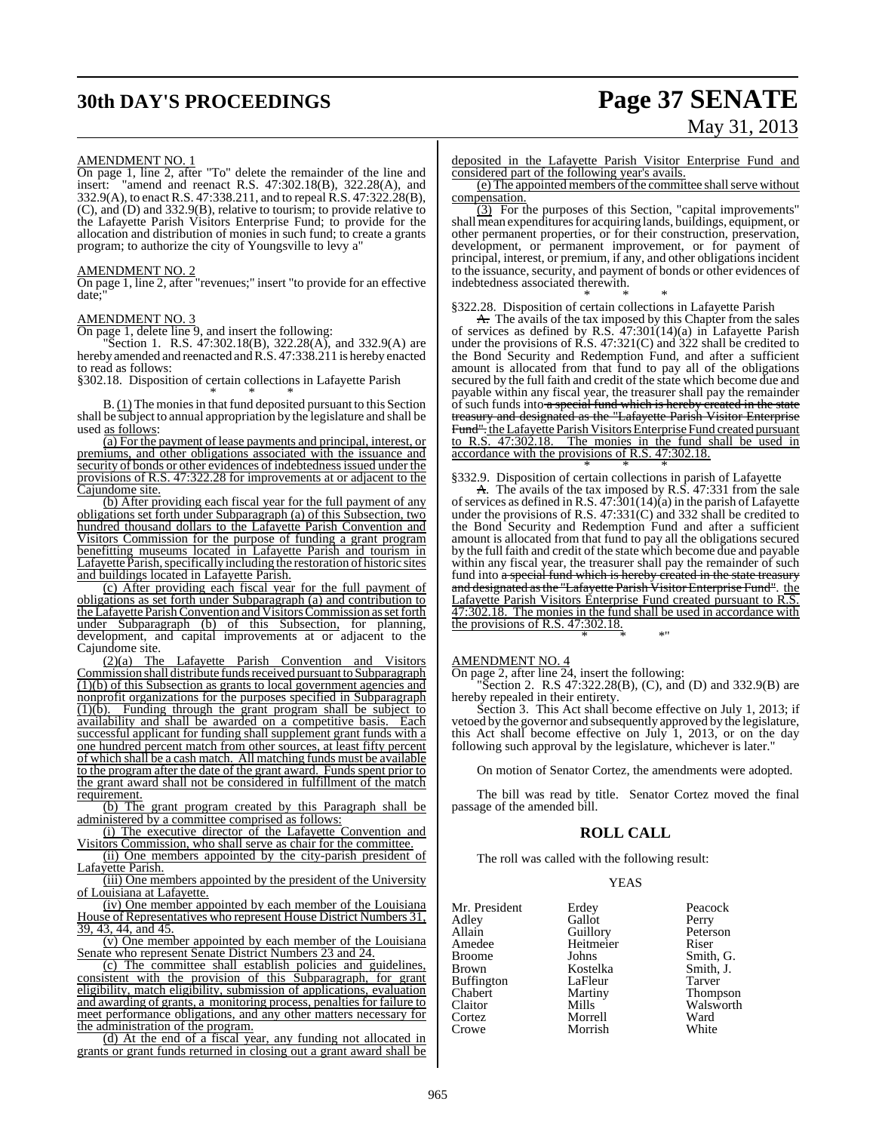# **30th DAY'S PROCEEDINGS Page 37 SENATE**

# May 31, 2013

#### AMENDMENT NO. 1

On page 1, line 2, after "To" delete the remainder of the line and insert: "amend and reenact R.S. 47:302.18(B), 322.28(A), and 332.9(A), to enact R.S. 47:338.211, and to repeal R.S. 47:322.28(B), (C), and (D) and  $332.9(B)$ , relative to tourism; to provide relative to the Lafayette Parish Visitors Enterprise Fund; to provide for the allocation and distribution of monies in such fund; to create a grants program; to authorize the city of Youngsville to levy a"

#### AMENDMENT NO. 2

On page 1, line 2, after "revenues;" insert "to provide for an effective date:

#### AMENDMENT NO. 3

On page 1, delete line 9, and insert the following:

"Section 1. R.S. 47:302.18(B), 322.28(A), and 332.9(A) are hereby amended and reenacted and R.S. 47:338.211 is hereby enacted to read as follows:

§302.18. Disposition of certain collections in Lafayette Parish

\* \* \* B. (1) The monies in that fund deposited pursuant to this Section shall be subject to annual appropriation by the legislature and shall be used as follows:

(a) For the payment of lease payments and principal, interest, or premiums, and other obligations associated with the issuance and security of bonds or other evidences of indebtedness issued under the provisions of R.S. 47:322.28 for improvements at or adjacent to the Cajundome site.

(b) After providing each fiscal year for the full payment of any obligations set forth under Subparagraph (a) of this Subsection, two hundred thousand dollars to the Lafayette Parish Convention and Visitors Commission for the purpose of funding a grant program benefitting museums located in Lafayette Parish and tourism in Lafayette Parish, specifically including the restoration of historic sites and buildings located in Lafayette Parish.

(c) After providing each fiscal year for the full payment of obligations as set forth under Subparagraph (a) and contribution to the Lafayette Parish Convention and Visitors Commission as set forth under Subparagraph (b) of this Subsection, for planning, development, and capital improvements at or adjacent to the

Cajundome site.<br> $(2)(a)$  The Lafayette Parish Convention and Visitors Commission shall distribute fundsreceived pursuant to Subparagraph  $(1)(b)$  of this Subsection as grants to local government agencies and nonprofit organizations for the purposes specified in Subparagraph (1)(b). Funding through the grant program shall be subject to availability and shall be awarded on a competitive basis. Each successful applicant for funding shall supplement grant funds with a one hundred percent match from other sources, at least fifty percent of which shall be a cash match. All matching funds must be available to the program after the date of the grant award. Funds spent prior to the grant award shall not be considered in fulfillment of the match

requirement.<br> $(b)$  The grant program created by this Paragraph shall be administered by a committee comprised as follows:

(i) The executive director of the Lafayette Convention and Visitors Commission, who shall serve as chair for the committee.

(ii) One members appointed by the city-parish president of Lafayette Parish.

(iii) One members appointed by the president of the University of Louisiana at Lafayette.

(iv) One member appointed by each member of the Louisiana House of Representatives who represent House District Numbers 31, 39, 43, 44, and 45.

(v) One member appointed by each member of the Louisiana Senate who represent Senate District Numbers 23 and 24.

(c) The committee shall establish policies and guidelines, consistent with the provision of this Subparagraph, for grant eligibility, match eligibility, submission of applications, evaluation and awarding of grants, a monitoring process, penalties for failure to meet performance obligations, and any other matters necessary for the administration of the program.

(d) At the end of a fiscal year, any funding not allocated in grants or grant funds returned in closing out a grant award shall be

deposited in the Lafayette Parish Visitor Enterprise Fund and considered part of the following year's avails.

 $(e)$  The appointed members of the committee shall serve without compensation.

(3) For the purposes of this Section, "capital improvements"  $shall$  mean expenditures for acquiring lands, buildings, equipment, or other permanent properties, or for their construction, preservation, development, or permanent improvement, or for payment of principal, interest, or premium, if any, and other obligations incident to the issuance, security, and payment of bonds or other evidences of indebtedness associated therewith.

\* \* \* §322.28. Disposition of certain collections in Lafayette Parish

A. The avails of the tax imposed by this Chapter from the sales of services as defined by R.S. 47:301(14)(a) in Lafayette Parish under the provisions of R.S. 47:321(C) and 322 shall be credited to the Bond Security and Redemption Fund, and after a sufficient amount is allocated from that fund to pay all of the obligations secured by the full faith and credit of the state which become due and payable within any fiscal year, the treasurer shall pay the remainder of such funds into a special fund which is hereby created in the state treasury and designated as the "Lafayette Parish Visitor Enterprise Fund". the Lafayette Parish Visitors Enterprise Fund created pursuant to R.S. 47:302.18. The monies in the fund shall be used in accordance with the provisions of R.S. 47:302.18.

\* \* \* §332.9. Disposition of certain collections in parish of Lafayette

A. The avails of the tax imposed by R.S. 47:331 from the sale of services as defined in R.S.  $47:\overline{3}01(14)(a)$  in the parish of Lafayette under the provisions of R.S. 47:331(C) and 332 shall be credited to the Bond Security and Redemption Fund and after a sufficient amount is allocated from that fund to pay all the obligations secured by the full faith and credit of the state which become due and payable within any fiscal year, the treasurer shall pay the remainder of such fund into a special fund which is hereby created in the state treasury and designated as the "Lafayette Parish Visitor Enterprise Fund". the Lafayette Parish Visitors Enterprise Fund created pursuant to R.S. 47:302.18. The monies in the fund shall be used in accordance with the provisions of R.S.  $47:302.18$ .

AMENDMENT NO. 4

On page 2, after line 24, insert the following:

"Section 2. R.S 47:322.28(B), (C), and (D) and 332.9(B) are hereby repealed in their entirety.

\* \* \*"

Section 3. This Act shall become effective on July 1, 2013; if vetoed by the governor and subsequently approved by the legislature, this Act shall become effective on July 1, 2013, or on the day following such approval by the legislature, whichever is later."

On motion of Senator Cortez, the amendments were adopted.

The bill was read by title. Senator Cortez moved the final passage of the amended bill.

## **ROLL CALL**

The roll was called with the following result:

#### YEAS

| Mr. President | Erdey     | Peacock   |
|---------------|-----------|-----------|
| Adlev         | Gallot    | Perry     |
| Allain        | Guillory  | Peterson  |
| Amedee        | Heitmeier | Riser     |
| Broome        | Johns     | Smith, G. |
| Brown         | Kostelka  | Smith, J. |
| Buffington    | LaFleur   | Tarver    |
| Chabert       | Martiny   | Thompson  |
| Claitor       | Mills     | Walsworth |
| Cortez        | Morrell   | Ward      |
| Crowe         | Morrish   | White     |
|               |           |           |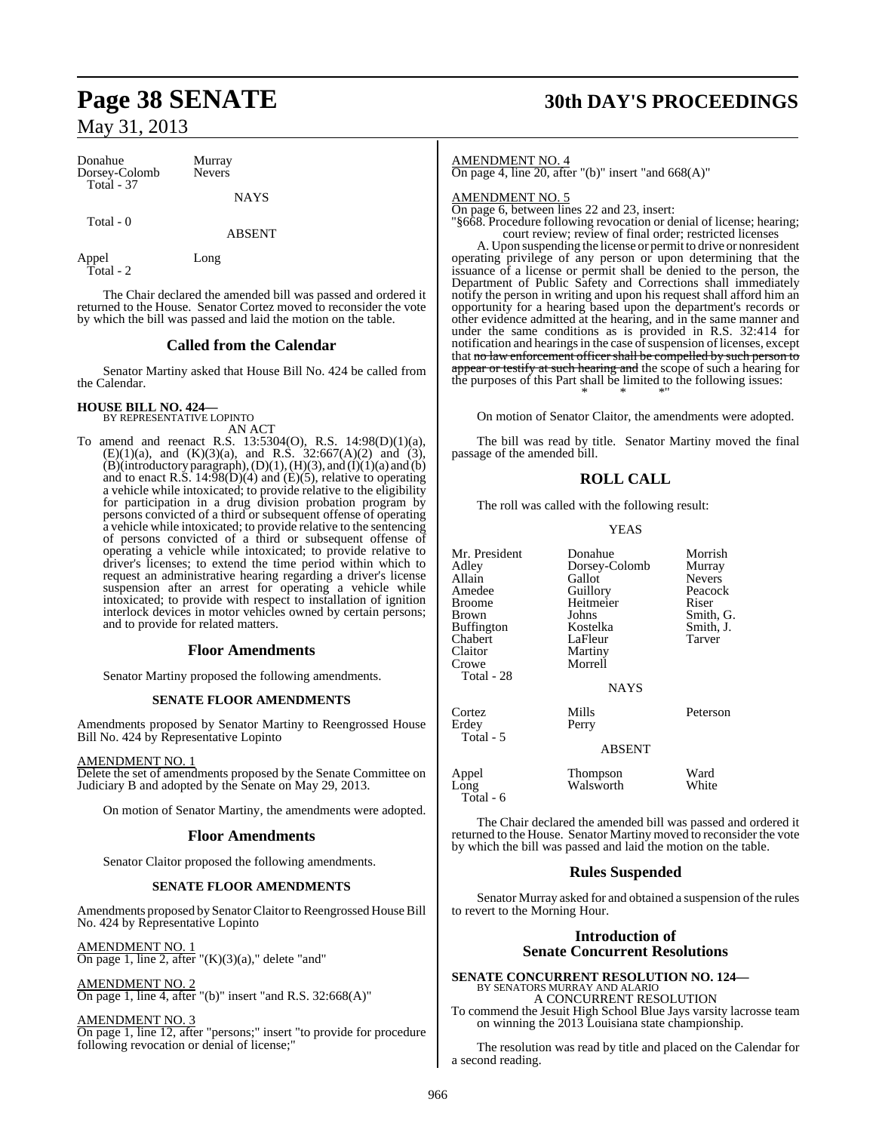| Donahue<br>Dorsey-Colomb<br>Total - 37 | Murray<br><b>Nevers</b> |
|----------------------------------------|-------------------------|
|                                        | <b>NAYS</b>             |

Total - 0

ABSENT

Appel Long Total - 2

The Chair declared the amended bill was passed and ordered it returned to the House. Senator Cortez moved to reconsider the vote by which the bill was passed and laid the motion on the table.

### **Called from the Calendar**

Senator Martiny asked that House Bill No. 424 be called from the Calendar.

#### **HOUSE BILL NO. 424—** BY REPRESENTATIVE LOPINTO

AN ACT

To amend and reenact R.S. 13:5304(O), R.S. 14:98(D)(1)(a),  $(E)(1)(a)$ , and  $(K)(3)(a)$ , and R.S. 32:667(A)(2) and (3),  $(B)(introducing paragram), (D)(1), (H)(3), and (I)(1)(a) and (b)$ and to enact R.S.  $14:98(D)(4)$  and  $(E)(5)$ , relative to operating a vehicle while intoxicated; to provide relative to the eligibility for participation in a drug division probation program by persons convicted of a third or subsequent offense of operating a vehicle while intoxicated; to provide relative to the sentencing of persons convicted of a third or subsequent offense of operating a vehicle while intoxicated; to provide relative to driver's licenses; to extend the time period within which to request an administrative hearing regarding a driver's license suspension after an arrest for operating a vehicle while intoxicated; to provide with respect to installation of ignition interlock devices in motor vehicles owned by certain persons; and to provide for related matters.

## **Floor Amendments**

Senator Martiny proposed the following amendments.

#### **SENATE FLOOR AMENDMENTS**

Amendments proposed by Senator Martiny to Reengrossed House Bill No. 424 by Representative Lopinto

#### AMENDMENT NO. 1

Delete the set of amendments proposed by the Senate Committee on Judiciary B and adopted by the Senate on May 29, 2013.

On motion of Senator Martiny, the amendments were adopted.

#### **Floor Amendments**

Senator Claitor proposed the following amendments.

#### **SENATE FLOOR AMENDMENTS**

Amendments proposed by Senator Claitor to Reengrossed House Bill No. 424 by Representative Lopinto

AMENDMENT NO. 1 On page 1, line 2, after " $(K)(3)(a)$ ," delete "and"

AMENDMENT NO. 2 On page 1, line 4, after "(b)" insert "and R.S. 32:668(A)"

AMENDMENT NO. 3

On page 1, line 12, after "persons;" insert "to provide for procedure following revocation or denial of license;"

# **Page 38 SENATE 30th DAY'S PROCEEDINGS**

AMENDMENT NO. 4

On page 4, line 20, after "(b)" insert "and 668(A)"

AMENDMENT NO. 5

On page 6, between lines 22 and 23, insert:

"§668. Procedure following revocation or denial of license; hearing; court review; review of final order; restricted licenses

A. Upon suspending the license or permit to drive or nonresident operating privilege of any person or upon determining that the issuance of a license or permit shall be denied to the person, the Department of Public Safety and Corrections shall immediately notify the person in writing and upon his request shall afford him an opportunity for a hearing based upon the department's records or other evidence admitted at the hearing, and in the same manner and under the same conditions as is provided in R.S. 32:414 for notification and hearings in the case of suspension of licenses, except that no law enforcement officer shall be compelled by such person to appear or testify at such hearing and the scope of such a hearing for the purposes of this Part shall be limited to the following issues: \* \* \*"

On motion of Senator Claitor, the amendments were adopted.

The bill was read by title. Senator Martiny moved the final passage of the amended bill.

## **ROLL CALL**

The roll was called with the following result:

#### YEAS

| Mr. President<br>Adley<br>Allain<br>Amedee<br>Broome<br>Brown<br>Buffington<br>Chabert<br>Claitor<br>Crowe<br>Total - 28 | Donahue<br>Dorsey-Colomb<br>Gallot<br>Guillory<br>Heitmeier<br>Johns<br>Kostelka<br>LaFleur<br>Martiny<br>Morrell | Morrish<br>Murray<br><b>Nevers</b><br>Peacock<br>Riser<br>Smith, G.<br>Smith, J.<br>Tarver |
|--------------------------------------------------------------------------------------------------------------------------|-------------------------------------------------------------------------------------------------------------------|--------------------------------------------------------------------------------------------|
|                                                                                                                          | <b>NAYS</b>                                                                                                       |                                                                                            |
| Cortez<br>Erdey<br>Total - 5                                                                                             | Mills<br>Perry<br><b>ABSENT</b>                                                                                   | Peterson                                                                                   |
| Appel<br>Long<br>Total - 6                                                                                               | Thompson<br>Walsworth                                                                                             | Ward<br>White                                                                              |

The Chair declared the amended bill was passed and ordered it returned to the House. Senator Martiny moved to reconsider the vote by which the bill was passed and laid the motion on the table.

#### **Rules Suspended**

Senator Murray asked for and obtained a suspension of the rules to revert to the Morning Hour.

#### **Introduction of Senate Concurrent Resolutions**

## **SENATE CONCURRENT RESOLUTION NO. 124—** BY SENATORS MURRAY AND ALARIO A CONCURRENT RESOLUTION

To commend the Jesuit High School Blue Jays varsity lacrosse team on winning the 2013 Louisiana state championship.

The resolution was read by title and placed on the Calendar for a second reading.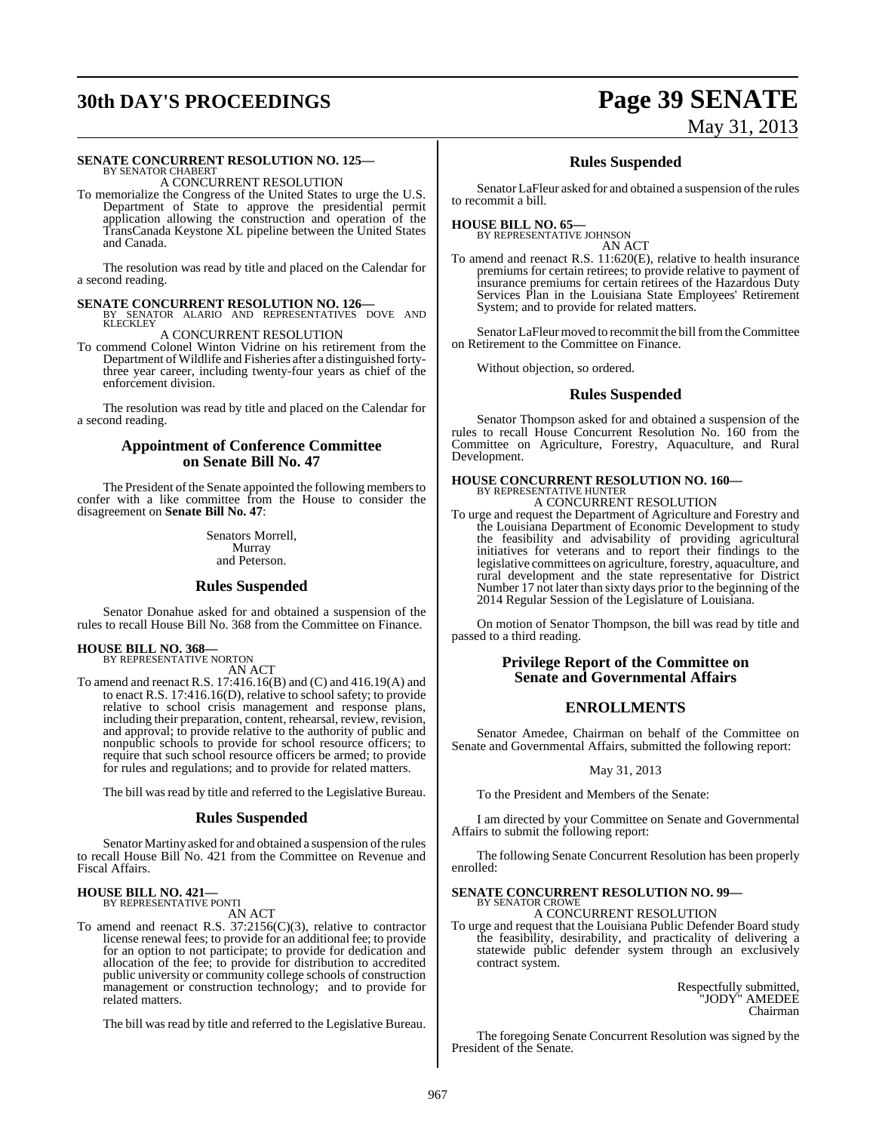# **30th DAY'S PROCEEDINGS Page 39 SENATE**

# May 31, 2013

#### **SENATE CONCURRENT RESOLUTION NO. 125—** BY SENATOR CHABERT

A CONCURRENT RESOLUTION

To memorialize the Congress of the United States to urge the U.S. Department of State to approve the presidential permit application allowing the construction and operation of the TransCanada Keystone XL pipeline between the United States and Canada.

The resolution was read by title and placed on the Calendar for a second reading.

#### **SENATE CONCURRENT RESOLUTION NO. 126—**

BY SENATOR ALARIO AND REPRESENTATIVES DOVE AND KLECKLEY

A CONCURRENT RESOLUTION

To commend Colonel Winton Vidrine on his retirement from the Department of Wildlife and Fisheries after a distinguished fortythree year career, including twenty-four years as chief of the enforcement division.

The resolution was read by title and placed on the Calendar for a second reading.

#### **Appointment of Conference Committee on Senate Bill No. 47**

The President of the Senate appointed the following members to confer with a like committee from the House to consider the disagreement on **Senate Bill No. 47**:

> Senators Morrell, Murray and Peterson.

#### **Rules Suspended**

Senator Donahue asked for and obtained a suspension of the rules to recall House Bill No. 368 from the Committee on Finance.

#### **HOUSE BILL NO. 368—** BY REPRESENTATIVE NORTON

AN ACT

To amend and reenact R.S. 17:416.16(B) and (C) and 416.19(A) and to enact R.S. 17:416.16(D), relative to school safety; to provide relative to school crisis management and response plans, including their preparation, content, rehearsal, review, revision, and approval; to provide relative to the authority of public and nonpublic schools to provide for school resource officers; to require that such school resource officers be armed; to provide for rules and regulations; and to provide for related matters.

The bill was read by title and referred to the Legislative Bureau.

#### **Rules Suspended**

Senator Martiny asked for and obtained a suspension of the rules to recall House Bill No. 421 from the Committee on Revenue and Fiscal Affairs.

# **HOUSE BILL NO. 421—** BY REPRESENTATIVE PONTI

AN ACT

To amend and reenact R.S. 37:2156(C)(3), relative to contractor license renewal fees; to provide for an additional fee; to provide for an option to not participate; to provide for dedication and allocation of the fee; to provide for distribution to accredited public university or community college schools of construction management or construction technology; and to provide for related matters.

The bill was read by title and referred to the Legislative Bureau.

### **Rules Suspended**

Senator LaFleur asked for and obtained a suspension of the rules to recommit a bill.

### **HOUSE BILL NO. 65—**

BY REPRESENTATIVE JOHNSON AN ACT

To amend and reenact R.S. 11:620(E), relative to health insurance premiums for certain retirees; to provide relative to payment of insurance premiums for certain retirees of the Hazardous Duty Services Plan in the Louisiana State Employees' Retirement System; and to provide for related matters.

Senator LaFleur moved to recommit the bill from the Committee on Retirement to the Committee on Finance.

Without objection, so ordered.

#### **Rules Suspended**

Senator Thompson asked for and obtained a suspension of the rules to recall House Concurrent Resolution No. 160 from the Committee on Agriculture, Forestry, Aquaculture, and Rural Development.

# **HOUSE CONCURRENT RESOLUTION NO. 160—** BY REPRESENTATIVE HUNTER A CONCURRENT RESOLUTION

To urge and request the Department of Agriculture and Forestry and the Louisiana Department of Economic Development to study the feasibility and advisability of providing agricultural initiatives for veterans and to report their findings to the legislative committees on agriculture, forestry, aquaculture, and rural development and the state representative for District Number 17 not later than sixty days prior to the beginning of the 2014 Regular Session of the Legislature of Louisiana.

On motion of Senator Thompson, the bill was read by title and passed to a third reading.

#### **Privilege Report of the Committee on Senate and Governmental Affairs**

#### **ENROLLMENTS**

Senator Amedee, Chairman on behalf of the Committee on Senate and Governmental Affairs, submitted the following report:

#### May 31, 2013

To the President and Members of the Senate:

I am directed by your Committee on Senate and Governmental Affairs to submit the following report:

The following Senate Concurrent Resolution has been properly enrolled:

#### **SENATE CONCURRENT RESOLUTION NO. 99—** BY SENATOR CROWE

A CONCURRENT RESOLUTION

To urge and request that the Louisiana Public Defender Board study the feasibility, desirability, and practicality of delivering a statewide public defender system through an exclusively contract system.

> Respectfully submitted, "JODY" AMEDEE Chairman

The foregoing Senate Concurrent Resolution was signed by the President of the Senate.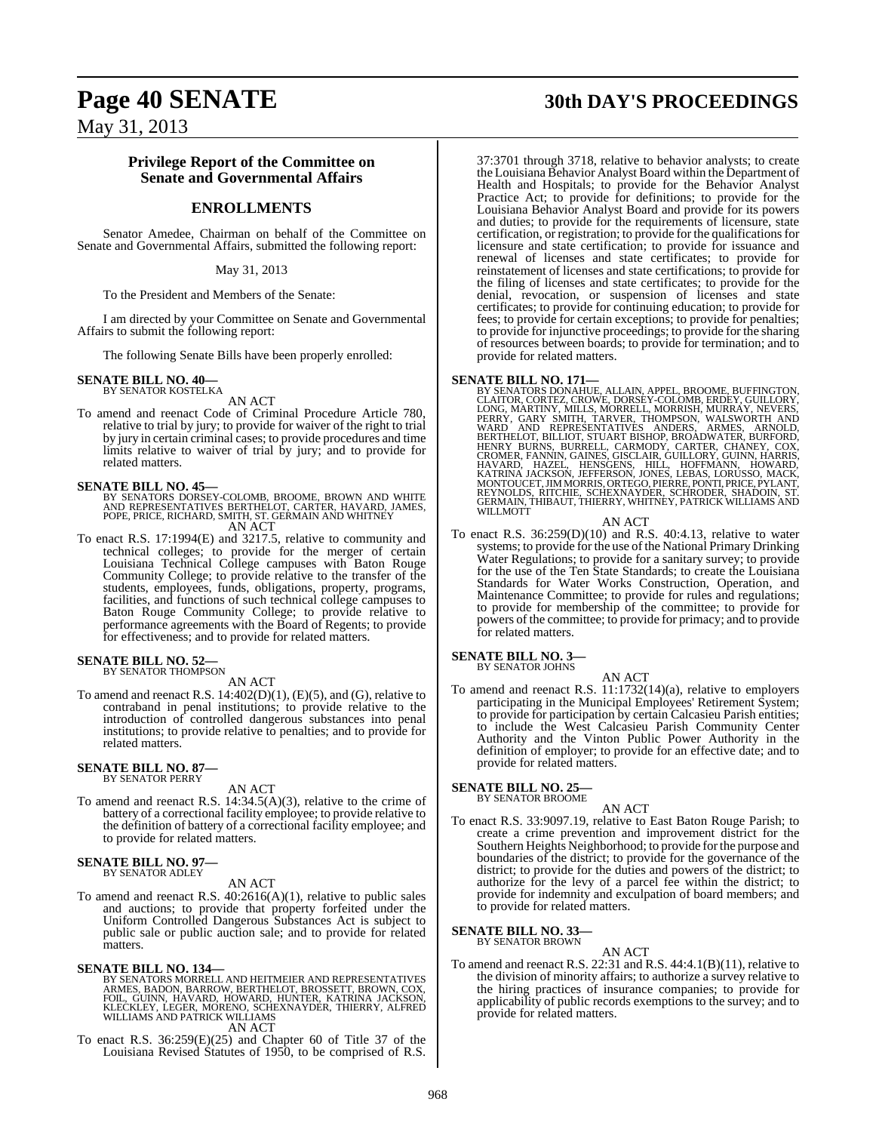#### **Privilege Report of the Committee on Senate and Governmental Affairs**

## **ENROLLMENTS**

Senator Amedee, Chairman on behalf of the Committee on Senate and Governmental Affairs, submitted the following report:

#### May 31, 2013

To the President and Members of the Senate:

I am directed by your Committee on Senate and Governmental Affairs to submit the following report:

The following Senate Bills have been properly enrolled:

## **SENATE BILL NO. 40—** BY SENATOR KOSTELKA

AN ACT

To amend and reenact Code of Criminal Procedure Article 780, relative to trial by jury; to provide for waiver of the right to trial by jury in certain criminal cases; to provide procedures and time limits relative to waiver of trial by jury; and to provide for related matters.

#### **SENATE BILL NO. 45—**

BY SENATORS DORSEY-COLOMB, BROOME, BROWN AND WHITE<br>AND REPRESENTATIVES BERTHELOT, CARTER, HAVARD, JAMES,<br>POPE, PRICE, RICHARD, SMITH, ST. GERMAIN AND WHITNEY

AN ACT

To enact R.S. 17:1994(E) and 3217.5, relative to community and technical colleges; to provide for the merger of certain Louisiana Technical College campuses with Baton Rouge Community College; to provide relative to the transfer of the students, employees, funds, obligations, property, programs, facilities, and functions of such technical college campuses to Baton Rouge Community College; to provide relative to performance agreements with the Board of Regents; to provide for effectiveness; and to provide for related matters.

#### **SENATE BILL NO. 52—** BY SENATOR THOMPSON

AN ACT

To amend and reenact R.S. 14:402(D)(1), (E)(5), and (G), relative to contraband in penal institutions; to provide relative to the introduction of controlled dangerous substances into penal institutions; to provide relative to penalties; and to provide for related matters.

#### **SENATE BILL NO. 87—** BY SENATOR PERRY

AN ACT To amend and reenact R.S. 14:34.5(A)(3), relative to the crime of battery of a correctional facility employee; to provide relative to the definition of battery of a correctional facility employee; and to provide for related matters.

#### **SENATE BILL NO. 97—** BY SENATOR ADLEY

AN ACT

To amend and reenact R.S.  $40:2616(A)(1)$ , relative to public sales and auctions; to provide that property forfeited under the Uniform Controlled Dangerous Substances Act is subject to public sale or public auction sale; and to provide for related matters.

#### **SENATE BILL NO. 134—**

BY SENATORS MORRELL AND HEITMEIER AND REPRESENTATIVES<br>ARMES, BADON, BARROW, BERTHELOT, BROSSETT, BROWN, COX,<br>FOIL, GUINN, HAVARD, HOWARD, HUNTER, KATRINA JACKSON,<br>KLECKLEY, LEGER, MORENO, SCHEXNAYDER, THIERRY, ALFRED<br>WILLI AN ACT

To enact R.S. 36:259(E)(25) and Chapter 60 of Title 37 of the Louisiana Revised Statutes of 1950, to be comprised of R.S.

## **Page 40 SENATE 30th DAY'S PROCEEDINGS**

37:3701 through 3718, relative to behavior analysts; to create the Louisiana Behavior Analyst Board within the Department of Health and Hospitals; to provide for the Behavior Analyst Practice Act; to provide for definitions; to provide for the Louisiana Behavior Analyst Board and provide for its powers and duties; to provide for the requirements of licensure, state certification, or registration; to provide for the qualifications for licensure and state certification; to provide for issuance and renewal of licenses and state certificates; to provide for reinstatement of licenses and state certifications; to provide for the filing of licenses and state certificates; to provide for the denial, revocation, or suspension of licenses and state certificates; to provide for continuing education; to provide for fees; to provide for certain exceptions; to provide for penalties; to provide for injunctive proceedings; to provide for the sharing of resources between boards; to provide for termination; and to provide for related matters.

**SENATE BILL NO. 171—**<br>BY SENATORS DONAHUE, ALLAIN, APPEL, BROOME, BUFFINGTON, CLAITOR, CORTEZ, CROWE, DORSEY-COLOMB, ERDEY, GUILLORY, LONG, MARTINY, MILLS, MORRELL, MORRISH, MURRAY, NEVERS, PERRY, GARY SMITH, TARVER, WALS

AN ACT

To enact R.S. 36:259(D)(10) and R.S. 40:4.13, relative to water systems; to provide for the use of the National Primary Drinking Water Regulations; to provide for a sanitary survey; to provide for the use of the Ten State Standards; to create the Louisiana Standards for Water Works Construction, Operation, and Maintenance Committee; to provide for rules and regulations; to provide for membership of the committee; to provide for powers of the committee; to provide for primacy; and to provide for related matters.

#### **SENATE BILL NO. 3—** BY SENATOR JOHNS

AN ACT

To amend and reenact R.S. 11:1732(14)(a), relative to employers participating in the Municipal Employees' Retirement System; to provide for participation by certain Calcasieu Parish entities; to include the West Calcasieu Parish Community Center Authority and the Vinton Public Power Authority in the definition of employer; to provide for an effective date; and to provide for related matters.

#### **SENATE BILL NO. 25—** BY SENATOR BROOME

AN ACT

To enact R.S. 33:9097.19, relative to East Baton Rouge Parish; to create a crime prevention and improvement district for the Southern Heights Neighborhood; to provide for the purpose and boundaries of the district; to provide for the governance of the district; to provide for the duties and powers of the district; to authorize for the levy of a parcel fee within the district; to provide for indemnity and exculpation of board members; and to provide for related matters.

#### **SENATE BILL NO. 33—** BY SENATOR BROWN

- AN ACT
- To amend and reenact R.S. 22:31 and R.S. 44:4.1(B)(11), relative to the division of minority affairs; to authorize a survey relative to the hiring practices of insurance companies; to provide for applicability of public records exemptions to the survey; and to provide for related matters.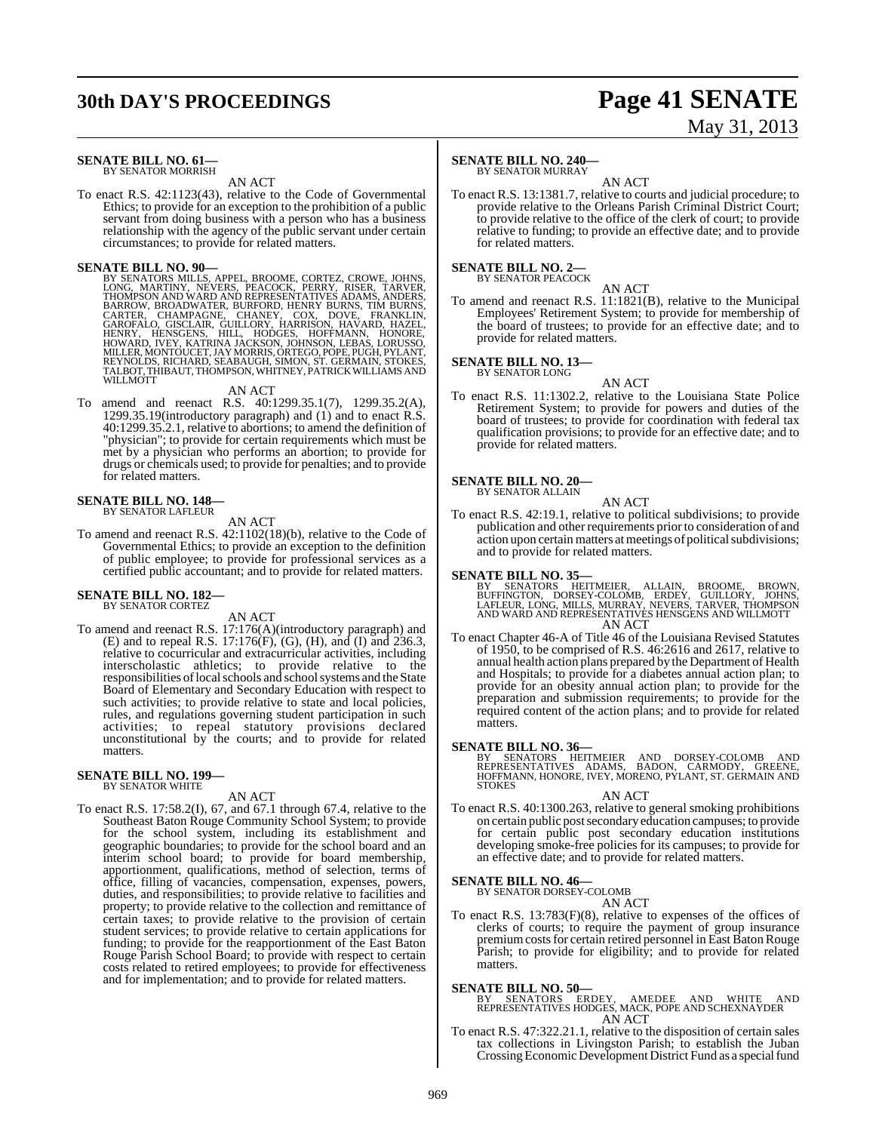# **30th DAY'S PROCEEDINGS Page 41 SENATE**

# May 31, 2013

#### **SENATE BILL NO. 61—** BY SENATOR MORRISH

### AN ACT

To enact R.S. 42:1123(43), relative to the Code of Governmental Ethics; to provide for an exception to the prohibition of a public servant from doing business with a person who has a business relationship with the agency of the public servant under certain circumstances; to provide for related matters.

**SENATE BILL NO. 90—**<br>BY SENATORS MILLS, APPEL, BROOME, CORTEZ, CROWE, JOHNS, LONG, MARTINY, NEVERS, PEACOCK, PERRY, RISER, TARVER,<br>THOMPSON AND WARD AND REPRESENTATIVES ADAMS, ANDERS,<br>BARROW, BROADWATER, BURFORD, HENRY BU

#### AN ACT

To amend and reenact R.S. 40:1299.35.1(7), 1299.35.2(A), 1299.35.19(introductory paragraph) and (1) and to enact R.S. 40:1299.35.2.1, relative to abortions; to amend the definition of "physician"; to provide for certain requirements which must be met by a physician who performs an abortion; to provide for drugs or chemicals used; to provide for penalties; and to provide for related matters.

#### **SENATE BILL NO. 148—** BY SENATOR LAFLEUR

AN ACT

To amend and reenact R.S. 42:1102(18)(b), relative to the Code of Governmental Ethics; to provide an exception to the definition of public employee; to provide for professional services as a certified public accountant; and to provide for related matters.

#### **SENATE BILL NO. 182—** BY SENATOR CORTEZ

AN ACT

To amend and reenact R.S. 17:176(A)(introductory paragraph) and (E) and to repeal R.S. 17:176(F), (G), (H), and (I) and 236.3, relative to cocurricular and extracurricular activities, including interscholastic athletics; to provide relative to the responsibilities of local schools and school systems and the State Board of Elementary and Secondary Education with respect to such activities; to provide relative to state and local policies, rules, and regulations governing student participation in such activities; to repeal statutory provisions declared unconstitutional by the courts; and to provide for related matters.

#### **SENATE BILL NO. 199—** BY SENATOR WHITE

AN ACT

To enact R.S. 17:58.2(I), 67, and 67.1 through 67.4, relative to the Southeast Baton Rouge Community School System; to provide for the school system, including its establishment and geographic boundaries; to provide for the school board and an interim school board; to provide for board membership, apportionment, qualifications, method of selection, terms of office, filling of vacancies, compensation, expenses, powers, duties, and responsibilities; to provide relative to facilities and property; to provide relative to the collection and remittance of certain taxes; to provide relative to the provision of certain student services; to provide relative to certain applications for funding; to provide for the reapportionment of the East Baton Rouge Parish School Board; to provide with respect to certain costs related to retired employees; to provide for effectiveness and for implementation; and to provide for related matters.

#### **SENATE BILL NO. 240—**

BY SENATOR MURRAY AN ACT

To enact R.S. 13:1381.7, relative to courts and judicial procedure; to provide relative to the Orleans Parish Criminal District Court; to provide relative to the office of the clerk of court; to provide relative to funding; to provide an effective date; and to provide for related matters.

## **SENATE BILL NO. 2—**<br>BY SENATOR PEACOCK

AN ACT

To amend and reenact R.S. 11:1821(B), relative to the Municipal Employees' Retirement System; to provide for membership of the board of trustees; to provide for an effective date; and to provide for related matters.

**SENATE BILL NO. 13—** BY SENATOR LONG

AN ACT

To enact R.S. 11:1302.2, relative to the Louisiana State Police Retirement System; to provide for powers and duties of the board of trustees; to provide for coordination with federal tax qualification provisions; to provide for an effective date; and to provide for related matters.

#### **SENATE BILL NO. 20—**

BY SENATOR ALLAIN

To enact R.S. 42:19.1, relative to political subdivisions; to provide publication and other requirements prior to consideration of and action upon certain matters at meetings of political subdivisions; and to provide for related matters.

AN ACT

#### **SENATE BILL NO. 35—**

BY SENATORS HEITMEIER, ALLAIN, BROOME, BROWN,<br>BUFFINGTON, DORSEY-COLOMB, ERDEY, GUILLORY, JOHNS,<br>LAFLEUR,LONG,MILLS,MURRAY,NEVERS,TARVER,THOMPSON<br>ANDWARD AND REPRESENTATIVES HENSGENS AND WILLMOTT AN ACT

To enact Chapter 46-A of Title 46 of the Louisiana Revised Statutes of 1950, to be comprised of R.S. 46:2616 and 2617, relative to annual health action plans prepared by the Department of Health and Hospitals; to provide for a diabetes annual action plan; to provide for an obesity annual action plan; to provide for the preparation and submission requirements; to provide for the required content of the action plans; and to provide for related matters.

**SENATE BILL NO. 36—**<br>BY SENATORS HEITMEIER AND DORSEY-COLOMB AND<br>REPRESENTATIVES ADAMS, BADON, CARMODY, GREENE,<br>HOFFMANN, HONORE, IVEY, MORENO, PYLANT, ST. GERMAIN AND<br>STOKES

AN ACT

To enact R.S. 40:1300.263, relative to general smoking prohibitions on certain public postsecondary education campuses; to provide for certain public post secondary education institutions developing smoke-free policies for its campuses; to provide for an effective date; and to provide for related matters.

## **SENATE BILL NO. 46—** BY SENATOR DORSEY-COLOMB

AN ACT

To enact R.S. 13:783(F)(8), relative to expenses of the offices of clerks of courts; to require the payment of group insurance premium costs for certain retired personnel in East Baton Rouge Parish; to provide for eligibility; and to provide for related matters.

**SENATE BILL NO. 50—** BY SENATORS ERDEY, AMEDEE AND WHITE AND REPRESENTATIVES HODGES, MACK, POPE AND SCHEXNAYDER AN ACT

To enact R.S. 47:322.21.1, relative to the disposition of certain sales tax collections in Livingston Parish; to establish the Juban Crossing Economic Development District Fund as a special fund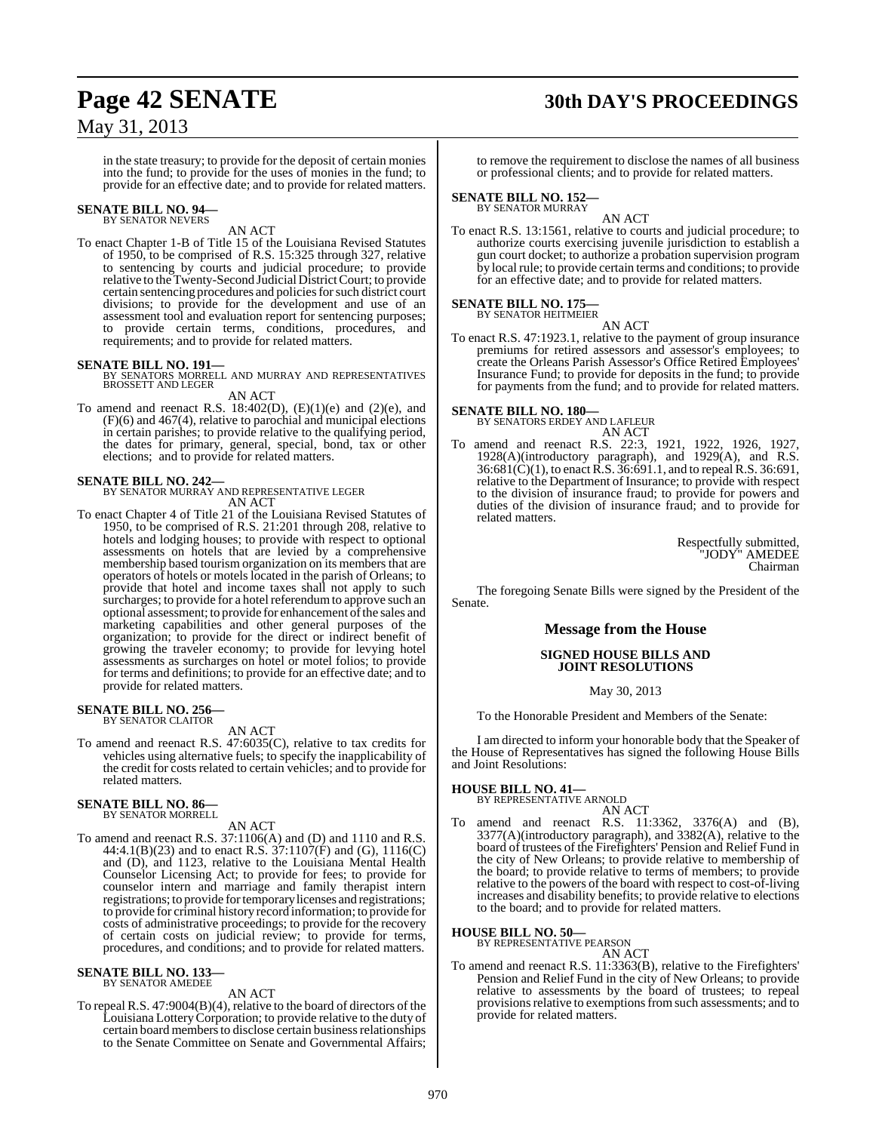## **Page 42 SENATE 30th DAY'S PROCEEDINGS**

## May 31, 2013

in the state treasury; to provide for the deposit of certain monies into the fund; to provide for the uses of monies in the fund; to provide for an effective date; and to provide for related matters.

## **SENATE BILL NO. 94—** BY SENATOR NEVERS

AN ACT

To enact Chapter 1-B of Title 15 of the Louisiana Revised Statutes of 1950, to be comprised of R.S. 15:325 through 327, relative to sentencing by courts and judicial procedure; to provide relative to the Twenty-Second Judicial District Court; to provide certain sentencing procedures and policies for such district court divisions; to provide for the development and use of an assessment tool and evaluation report for sentencing purposes; to provide certain terms, conditions, procedures, and requirements; and to provide for related matters.

**SENATE BILL NO. 191—** BY SENATORS MORRELL AND MURRAY AND REPRESENTATIVES BROSSETT AND LEGER

AN ACT

To amend and reenact R.S. 18:402(D),  $(E)(1)(e)$  and  $(2)(e)$ , and (F)(6) and 467(4), relative to parochial and municipal elections in certain parishes; to provide relative to the qualifying period, the dates for primary, general, special, bond, tax or other elections; and to provide for related matters.

#### **SENATE BILL NO. 242—**

BY SENATOR MURRAY AND REPRESENTATIVE LEGER AN ACT

To enact Chapter 4 of Title 21 of the Louisiana Revised Statutes of 1950, to be comprised of R.S. 21:201 through 208, relative to hotels and lodging houses; to provide with respect to optional assessments on hotels that are levied by a comprehensive membership based tourism organization on its members that are operators of hotels or motels located in the parish of Orleans; to provide that hotel and income taxes shall not apply to such surcharges; to provide for a hotel referendum to approve such an optional assessment; to provide for enhancement of the sales and marketing capabilities and other general purposes of the organization; to provide for the direct or indirect benefit of growing the traveler economy; to provide for levying hotel assessments as surcharges on hotel or motel folios; to provide for terms and definitions; to provide for an effective date; and to provide for related matters.

## **SENATE BILL NO. 256—** BY SENATOR CLAITOR

AN ACT

To amend and reenact R.S. 47:6035(C), relative to tax credits for vehicles using alternative fuels; to specify the inapplicability of the credit for costs related to certain vehicles; and to provide for related matters.

## **SENATE BILL NO. 86—** BY SENATOR MORRELL

AN ACT

To amend and reenact R.S. 37:1106(A) and (D) and 1110 and R.S. 44:4.1(B)(23) and to enact R.S. 37:1107(F) and (G), 1116(C) and (D), and 1123, relative to the Louisiana Mental Health Counselor Licensing Act; to provide for fees; to provide for counselor intern and marriage and family therapist intern registrations; to provide for temporary licenses and registrations; to provide for criminal history record information; to provide for costs of administrative proceedings; to provide for the recovery of certain costs on judicial review; to provide for terms, procedures, and conditions; and to provide for related matters.

#### **SENATE BILL NO. 133—** BY SENATOR AMEDEE

#### AN ACT

To repeal R.S. 47:9004(B)(4), relative to the board of directors of the Louisiana LotteryCorporation; to provide relative to the duty of certain board members to disclose certain business relationships to the Senate Committee on Senate and Governmental Affairs;

to remove the requirement to disclose the names of all business or professional clients; and to provide for related matters.

**SENATE BILL NO. 152—** BY SENATOR MURRAY

AN ACT To enact R.S. 13:1561, relative to courts and judicial procedure; to authorize courts exercising juvenile jurisdiction to establish a gun court docket; to authorize a probation supervision program by local rule; to provide certain terms and conditions; to provide for an effective date; and to provide for related matters.

#### **SENATE BILL NO. 175—** BY SENATOR HEITMEIER

AN ACT

To enact R.S. 47:1923.1, relative to the payment of group insurance premiums for retired assessors and assessor's employees; to create the Orleans Parish Assessor's Office Retired Employees' Insurance Fund; to provide for deposits in the fund; to provide for payments from the fund; and to provide for related matters.

**SENATE BILL NO. 180—** BY SENATORS ERDEY AND LAFLEUR

- AN ACT
- To amend and reenact R.S. 22:3, 1921, 1922, 1926, 1927, 1928(A)(introductory paragraph), and 1929(A), and R.S. 36:681(C)(1), to enact R.S. 36:691.1, and to repeal R.S. 36:691, relative to the Department of Insurance; to provide with respect to the division of insurance fraud; to provide for powers and duties of the division of insurance fraud; and to provide for related matters.

Respectfully submitted, "JODY" AMEDEE Chairman

The foregoing Senate Bills were signed by the President of the Senate.

#### **Message from the House**

#### **SIGNED HOUSE BILLS AND JOINT RESOLUTIONS**

May 30, 2013

To the Honorable President and Members of the Senate:

I am directed to inform your honorable body that the Speaker of the House of Representatives has signed the following House Bills and Joint Resolutions:

#### **HOUSE BILL NO. 41—**

- BY REPRESENTATIVE ARNOLD
- AN ACT To amend and reenact R.S. 11:3362, 3376(A) and (B), 3377(A)(introductory paragraph), and 3382(A), relative to the board of trustees of the Firefighters' Pension and Relief Fund in the city of New Orleans; to provide relative to membership of the board; to provide relative to terms of members; to provide relative to the powers of the board with respect to cost-of-living increases and disability benefits; to provide relative to elections to the board; and to provide for related matters.

#### **HOUSE BILL NO. 50—**

BY REPRESENTATIVE PEARSON AN ACT

To amend and reenact R.S. 11:3363(B), relative to the Firefighters' Pension and Relief Fund in the city of New Orleans; to provide relative to assessments by the board of trustees; to repeal provisions relative to exemptions from such assessments; and to provide for related matters.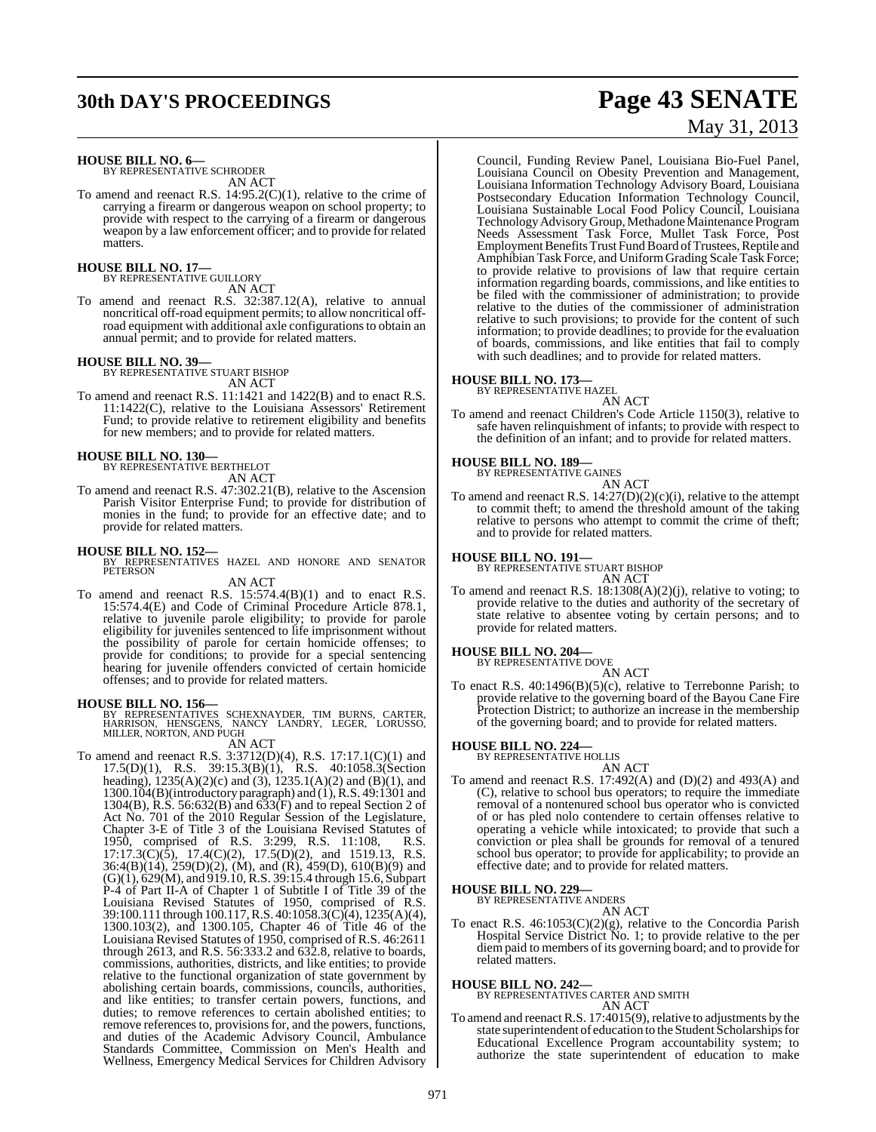# **30th DAY'S PROCEEDINGS Page 43 SENATE**

#### **HOUSE BILL NO. 6—**

BY REPRESENTATIVE SCHRODER AN ACT

To amend and reenact R.S. 14:95.2(C)(1), relative to the crime of carrying a firearm or dangerous weapon on school property; to provide with respect to the carrying of a firearm or dangerous weapon by a law enforcement officer; and to provide for related matters.

## **HOUSE BILL NO. 17—** BY REPRESENTATIVE GUILLORY

AN ACT

To amend and reenact R.S. 32:387.12(A), relative to annual noncritical off-road equipment permits; to allow noncritical offroad equipment with additional axle configurationsto obtain an annual permit; and to provide for related matters.

#### **HOUSE BILL NO. 39—**

BY REPRESENTATIVE STUART BISHOP AN ACT

To amend and reenact R.S. 11:1421 and 1422(B) and to enact R.S. 11:1422(C), relative to the Louisiana Assessors' Retirement Fund; to provide relative to retirement eligibility and benefits for new members; and to provide for related matters.

## **HOUSE BILL NO. 130—** BY REPRESENTATIVE BERTHELOT

AN ACT

To amend and reenact R.S. 47:302.21(B), relative to the Ascension Parish Visitor Enterprise Fund; to provide for distribution of monies in the fund; to provide for an effective date; and to provide for related matters.

**HOUSE BILL NO. 152—** BY REPRESENTATIVES HAZEL AND HONORE AND SENATOR PETERSON

#### AN ACT

To amend and reenact R.S. 15:574.4(B)(1) and to enact R.S. 15:574.4(E) and Code of Criminal Procedure Article 878.1, relative to juvenile parole eligibility; to provide for parole eligibility for juveniles sentenced to life imprisonment without the possibility of parole for certain homicide offenses; to provide for conditions; to provide for a special sentencing hearing for juvenile offenders convicted of certain homicide offenses; and to provide for related matters.

**HOUSE BILL NO. 156—** BY REPRESENTATIVES SCHEXNAYDER, TIM BURNS, CARTER, HARRISON, HENSGENS, NANCY LANDRY, LEGER, LORUSSO, MILLER, NORTON, AND PUGH AN ACT

To amend and reenact R.S. 3:3712(D)(4), R.S. 17:17.1(C)(1) and 17.5(D)(1), R.S. 39:15.3(B)(1), R.S. 40:1058.3(Section heading), 1235(A)(2)(c) and (3), 1235.1(A)(2) and (B)(1), and 1300.104(B)(introductory paragraph) and (1),R.S. 49:1301 and 1304(B), R.S. 56:632(B) and 633(F) and to repeal Section 2 of Act No. 701 of the 2010 Regular Session of the Legislature, Chapter 3-E of Title 3 of the Louisiana Revised Statutes of 1950, comprised of R.S. 3:299, R.S. 11:108, R.S. 17:17.3(C)(5), 17.4(C)(2), 17.5(D)(2), and 1519.13, R.S. 36:4(B)(14), 259(D)(2), (M), and (R), 459(D), 610(B)(9) and (G)(1), 629(M), and 919.10, R.S. 39:15.4 through 15.6, Subpart P-4 of Part II-A of Chapter 1 of Subtitle I of Title 39 of the Louisiana Revised Statutes of 1950, comprised of R.S. 39:100.111 through 100.117, R.S. 40:1058.3(C)(4), 1235(A)(4), 1300.103(2), and 1300.105, Chapter 46 of Title 46 of the Louisiana Revised Statutes of 1950, comprised of R.S. 46:2611 through 2613, and R.S.  $56:333.2$  and  $632.8$ , relative to boards, commissions, authorities, districts, and like entities; to provide relative to the functional organization of state government by abolishing certain boards, commissions, councils, authorities, and like entities; to transfer certain powers, functions, and duties; to remove references to certain abolished entities; to remove references to, provisions for, and the powers, functions, and duties of the Academic Advisory Council, Ambulance Standards Committee, Commission on Men's Health and Wellness, Emergency Medical Services for Children Advisory

# May 31, 2013

Council, Funding Review Panel, Louisiana Bio-Fuel Panel, Louisiana Council on Obesity Prevention and Management, Louisiana Information Technology Advisory Board, Louisiana Postsecondary Education Information Technology Council, Louisiana Sustainable Local Food Policy Council, Louisiana Technology Advisory Group, Methadone Maintenance Program Needs Assessment Task Force, Mullet Task Force, Post Employment Benefits Trust Fund Board of Trustees, Reptile and Amphibian Task Force, and UniformGrading Scale Task Force; to provide relative to provisions of law that require certain information regarding boards, commissions, and like entities to be filed with the commissioner of administration; to provide relative to the duties of the commissioner of administration relative to such provisions; to provide for the content of such information; to provide deadlines; to provide for the evaluation of boards, commissions, and like entities that fail to comply with such deadlines; and to provide for related matters.

## **HOUSE BILL NO. 173—** BY REPRESENTATIVE HAZEL

#### AN ACT

To amend and reenact Children's Code Article 1150(3), relative to safe haven relinquishment of infants; to provide with respect to the definition of an infant; and to provide for related matters.

## **HOUSE BILL NO. 189—** BY REPRESENTATIVE GAINES



AN ACT To amend and reenact R.S. 14:27(D)(2)(c)(i), relative to the attempt to commit theft; to amend the threshold amount of the taking relative to persons who attempt to commit the crime of theft; and to provide for related matters.

## **HOUSE BILL NO. 191—** BY REPRESENTATIVE STUART BISHOP

AN ACT

To amend and reenact R.S. 18:1308(A)(2)(j), relative to voting; to provide relative to the duties and authority of the secretary of state relative to absentee voting by certain persons; and to provide for related matters.

#### **HOUSE BILL NO. 204—**

BY REPRESENTATIVE DOVE AN ACT

To enact R.S. 40:1496(B)(5)(c), relative to Terrebonne Parish; to provide relative to the governing board of the Bayou Cane Fire Protection District; to authorize an increase in the membership of the governing board; and to provide for related matters.

## **HOUSE BILL NO. 224—** BY REPRESENTATIVE HOLLIS

- AN ACT To amend and reenact R.S. 17:492(A) and (D)(2) and 493(A) and (C), relative to school bus operators; to require the immediate
- removal of a nontenured school bus operator who is convicted of or has pled nolo contendere to certain offenses relative to operating a vehicle while intoxicated; to provide that such a conviction or plea shall be grounds for removal of a tenured school bus operator; to provide for applicability; to provide an effective date; and to provide for related matters.

## **HOUSE BILL NO. 229—** BY REPRESENTATIVE ANDERS

AN ACT

To enact R.S. 46:1053(C)(2)(g), relative to the Concordia Parish Hospital Service District No. 1; to provide relative to the per diempaid to members of its governing board; and to provide for related matters.

#### **HOUSE BILL NO. 242—**

BY REPRESENTATIVES CARTER AND SMITH AN ACT

To amend and reenact R.S. 17:4015(9), relative to adjustments by the state superintendent of education to the Student Scholarships for Educational Excellence Program accountability system; to authorize the state superintendent of education to make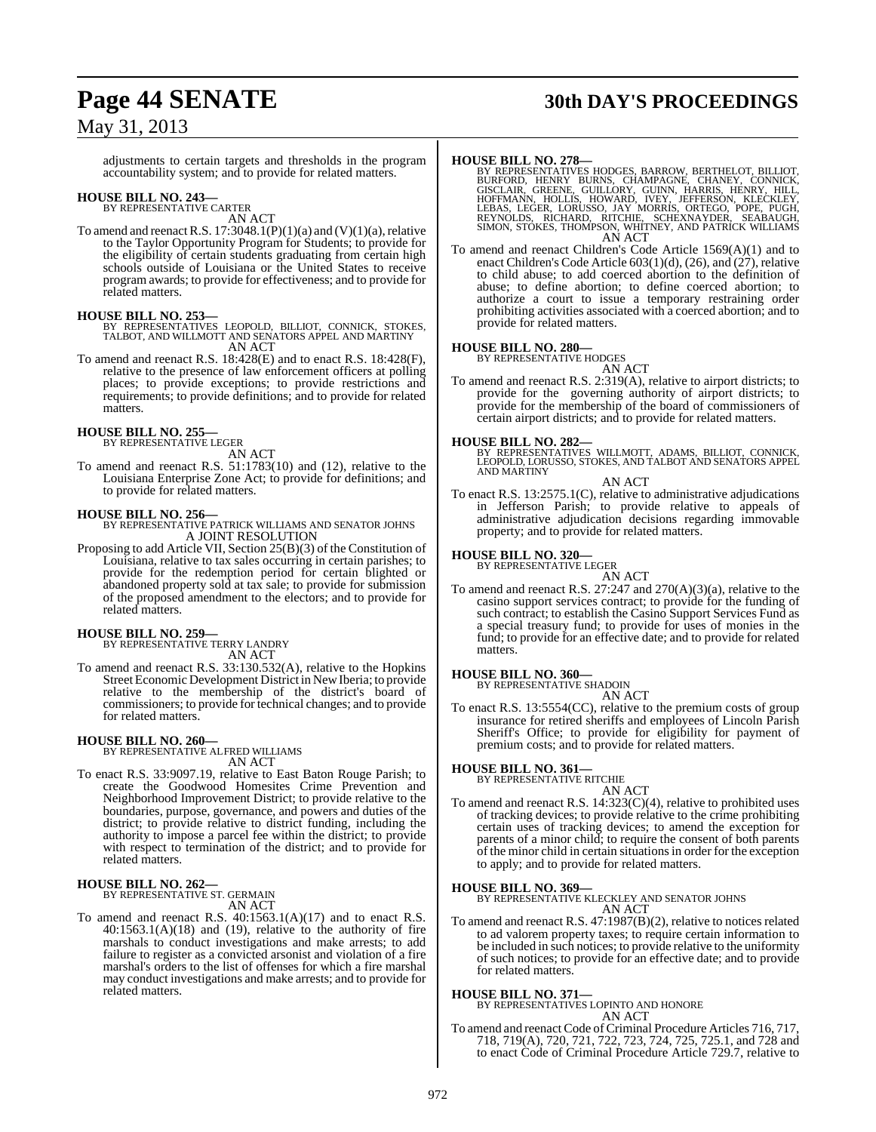# **Page 44 SENATE 30th DAY'S PROCEEDINGS**

## May 31, 2013

adjustments to certain targets and thresholds in the program accountability system; and to provide for related matters.

## **HOUSE BILL NO. 243—** BY REPRESENTATIVE CARTER

AN ACT

To amend and reenact R.S.  $17:3048.1(P)(1)(a)$  and  $(V)(1)(a)$ , relative to the Taylor Opportunity Program for Students; to provide for the eligibility of certain students graduating from certain high schools outside of Louisiana or the United States to receive program awards; to provide for effectiveness; and to provide for related matters.

#### **HOUSE BILL NO. 253—**

- BY REPRESENTATIVES LEOPOLD, BILLIOT, CONNICK, STOKES, TALBOT, AND WILLMOTT AND SENATORS APPEL AND MARTINY AN ACT
- To amend and reenact R.S. 18:428(E) and to enact R.S. 18:428(F), relative to the presence of law enforcement officers at polling places; to provide exceptions; to provide restrictions and requirements; to provide definitions; and to provide for related matters.

## **HOUSE BILL NO. 255—** BY REPRESENTATIVE LEGER

AN ACT

To amend and reenact R.S. 51:1783(10) and (12), relative to the Louisiana Enterprise Zone Act; to provide for definitions; and to provide for related matters.

**HOUSE BILL NO. 256—** BY REPRESENTATIVE PATRICK WILLIAMS AND SENATOR JOHNS A JOINT RESOLUTION

Proposing to add Article VII, Section 25(B)(3) of the Constitution of Louisiana, relative to tax sales occurring in certain parishes; to provide for the redemption period for certain blighted or abandoned property sold at tax sale; to provide for submission of the proposed amendment to the electors; and to provide for related matters.

#### **HOUSE BILL NO. 259—**

BY REPRESENTATIVE TERRY LANDRY

AN ACT

To amend and reenact R.S. 33:130.532(A), relative to the Hopkins Street Economic Development District in New Iberia; to provide relative to the membership of the district's board of commissioners; to provide for technical changes; and to provide for related matters.

#### **HOUSE BILL NO. 260—**

BY REPRESENTATIVE ALFRED WILLIAMS AN ACT

To enact R.S. 33:9097.19, relative to East Baton Rouge Parish; to create the Goodwood Homesites Crime Prevention and Neighborhood Improvement District; to provide relative to the boundaries, purpose, governance, and powers and duties of the district; to provide relative to district funding, including the authority to impose a parcel fee within the district; to provide with respect to termination of the district; and to provide for related matters.

## **HOUSE BILL NO. 262—** BY REPRESENTATIVE ST. GERMAIN

AN ACT

To amend and reenact R.S. 40:1563.1(A)(17) and to enact R.S.  $40:1563.1(A)(18)$  and  $(19)$ , relative to the authority of fire marshals to conduct investigations and make arrests; to add failure to register as a convicted arsonist and violation of a fire marshal's orders to the list of offenses for which a fire marshal may conduct investigations and make arrests; and to provide for related matters.

- HOUSE BILL NO. 278—<br>BY REPRESENTATIVES HODGES, BARROW, BERTHELOT, BILLIOT, BURFORED, HENRY BURNS, CHAMPAGNE, CHANEY, CONNICK,<br>GISCLAIR, GREENE, GUILLORY, GUINN, HARRIS, HENRY, HILL,<br>HOFFMANN, HOLLIS, HOWARD, IVEY, JEFFERSO
- To amend and reenact Children's Code Article 1569(A)(1) and to To amend and reenact Children's Code Article 1569(A)(1) and to enact Children's Code Article 603(1)(d), (26), and (27), relative to child abuse; to add coerced abortion to the definition of abuse; to define abortion; to define coerced abortion; to authorize a court to issue a temporary restraining order prohibiting activities associated with a coerced abortion; and to provide for related matters.

## **HOUSE BILL NO. 280—** BY REPRESENTATIVE HODGES

AN ACT

To amend and reenact R.S. 2:319(A), relative to airport districts; to provide for the governing authority of airport districts; to provide for the membership of the board of commissioners of certain airport districts; and to provide for related matters.

**HOUSE BILL NO. 282—** BY REPRESENTATIVES WILLMOTT, ADAMS, BILLIOT, CONNICK, LEOPOLD, LORUSSO, STOKES, AND TALBOT AND SENATORS APPEL AND MARTINY

#### AN ACT

To enact R.S. 13:2575.1(C), relative to administrative adjudications in Jefferson Parish; to provide relative to appeals of administrative adjudication decisions regarding immovable property; and to provide for related matters.

## **HOUSE BILL NO. 320—** BY REPRESENTATIVE LEGER

AN ACT To amend and reenact R.S. 27:247 and 270(A)(3)(a), relative to the casino support services contract; to provide for the funding of such contract; to establish the Casino Support Services Fund as a special treasury fund; to provide for uses of monies in the fund; to provide for an effective date; and to provide for related matters.

#### **HOUSE BILL NO. 360—**

BY REPRESENTATIVE SHADOIN AN ACT

To enact R.S. 13:5554(CC), relative to the premium costs of group insurance for retired sheriffs and employees of Lincoln Parish Sheriff's Office; to provide for eligibility for payment of premium costs; and to provide for related matters.

#### **HOUSE BILL NO. 361—**

BY REPRESENTATIVE RITCHIE

AN ACT To amend and reenact R.S. 14:323(C)(4), relative to prohibited uses of tracking devices; to provide relative to the crime prohibiting certain uses of tracking devices; to amend the exception for parents of a minor child; to require the consent of both parents of the minor child in certain situationsin order for the exception to apply; and to provide for related matters.

**HOUSE BILL NO. 369—** BY REPRESENTATIVE KLECKLEY AND SENATOR JOHNS AN ACT

To amend and reenact R.S. 47:1987(B)(2), relative to notices related to ad valorem property taxes; to require certain information to be included in such notices; to provide relative to the uniformity of such notices; to provide for an effective date; and to provide for related matters.

**HOUSE BILL NO. 371—** BY REPRESENTATIVES LOPINTO AND HONORE AN ACT

To amend and reenact Code of Criminal Procedure Articles 716, 717, 718, 719(A), 720, 721, 722, 723, 724, 725, 725.1, and 728 and to enact Code of Criminal Procedure Article 729.7, relative to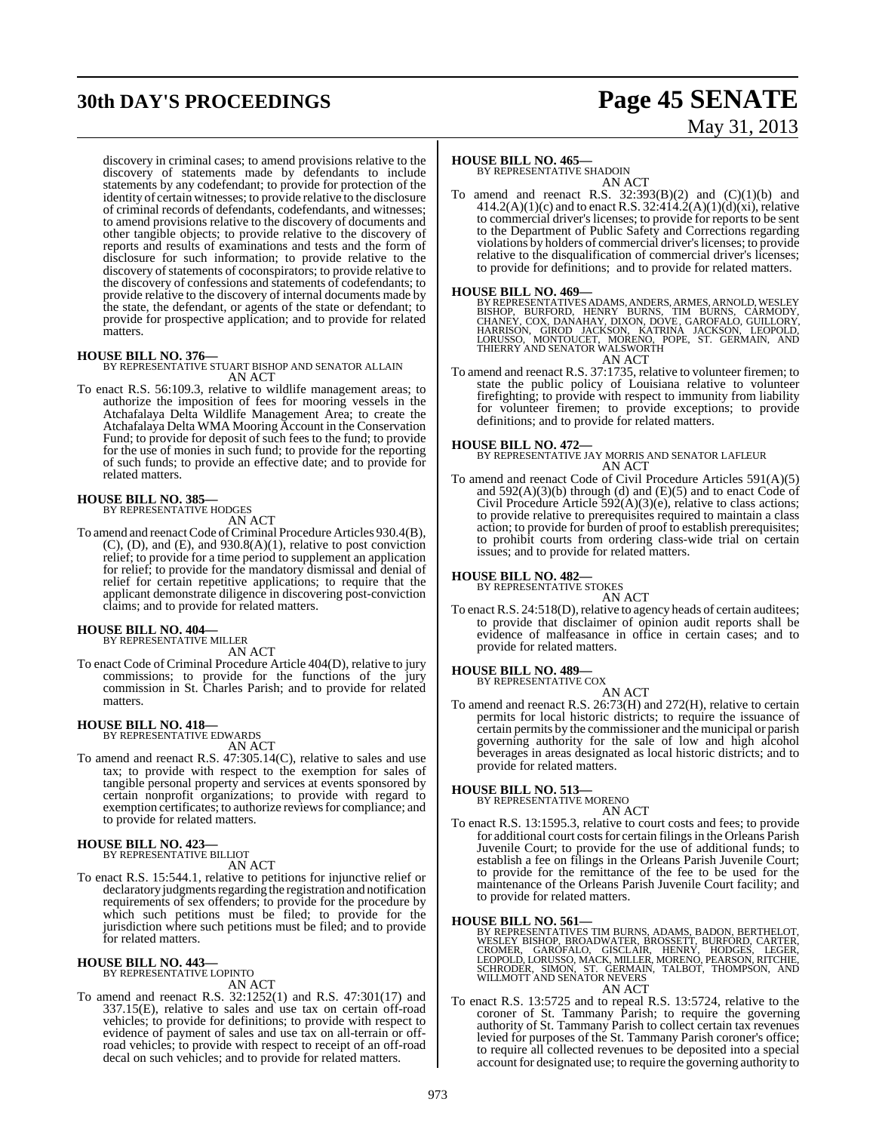# **30th DAY'S PROCEEDINGS Page 45 SENATE**

# May 31, 2013

discovery in criminal cases; to amend provisions relative to the discovery of statements made by defendants to include statements by any codefendant; to provide for protection of the identity of certain witnesses; to provide relative to the disclosure of criminal records of defendants, codefendants, and witnesses; to amend provisions relative to the discovery of documents and other tangible objects; to provide relative to the discovery of reports and results of examinations and tests and the form of disclosure for such information; to provide relative to the discovery of statements of coconspirators; to provide relative to the discovery of confessions and statements of codefendants; to provide relative to the discovery of internal documents made by the state, the defendant, or agents of the state or defendant; to provide for prospective application; and to provide for related **matters** 

**HOUSE BILL NO. 376—** BY REPRESENTATIVE STUART BISHOP AND SENATOR ALLAIN AN ACT

To enact R.S. 56:109.3, relative to wildlife management areas; to authorize the imposition of fees for mooring vessels in the Atchafalaya Delta Wildlife Management Area; to create the Atchafalaya Delta WMA Mooring Account in the Conservation Fund; to provide for deposit of such fees to the fund; to provide for the use of monies in such fund; to provide for the reporting of such funds; to provide an effective date; and to provide for related matters.

## **HOUSE BILL NO. 385—** BY REPRESENTATIVE HODGES

AN ACT

To amend and reenact Code of Criminal Procedure Articles 930.4(B), (C), (D), and (E), and 930.8(A)(1), relative to post conviction relief; to provide for a time period to supplement an application for relief; to provide for the mandatory dismissal and denial of relief for certain repetitive applications; to require that the applicant demonstrate diligence in discovering post-conviction claims; and to provide for related matters.

#### **HOUSE BILL NO. 404—**

BY REPRESENTATIVE MILLER AN ACT

To enact Code of Criminal Procedure Article 404(D), relative to jury commissions; to provide for the functions of the jury commission in St. Charles Parish; and to provide for related matters.

## **HOUSE BILL NO. 418—** BY REPRESENTATIVE EDWARDS

AN ACT

To amend and reenact R.S. 47:305.14(C), relative to sales and use tax; to provide with respect to the exemption for sales of tangible personal property and services at events sponsored by certain nonprofit organizations; to provide with regard to exemption certificates; to authorize reviews for compliance; and to provide for related matters.

#### **HOUSE BILL NO. 423—** BY REPRESENTATIVE BILLIOT

AN ACT

To enact R.S. 15:544.1, relative to petitions for injunctive relief or declaratory judgments regarding the registration and notification requirements of sex offenders; to provide for the procedure by which such petitions must be filed; to provide for the jurisdiction where such petitions must be filed; and to provide for related matters.

#### **HOUSE BILL NO. 443—** BY REPRESENTATIVE LOPINTO

AN ACT

To amend and reenact R.S. 32:1252(1) and R.S. 47:301(17) and 337.15(E), relative to sales and use tax on certain off-road vehicles; to provide for definitions; to provide with respect to evidence of payment of sales and use tax on all-terrain or offroad vehicles; to provide with respect to receipt of an off-road decal on such vehicles; and to provide for related matters.

#### **HOUSE BILL NO. 465—**

BY REPRESENTATIVE SHADOIN AN ACT

To amend and reenact R.S.  $32:393(B)(2)$  and  $(C)(1)(b)$  and  $414.2(A)(1)(c)$  and to enact R.S. 32:414.2(A)(1)(d)(xi), relative to commercial driver's licenses; to provide for reports to be sent to the Department of Public Safety and Corrections regarding violations by holders of commercial driver'slicenses; to provide relative to the disqualification of commercial driver's licenses; to provide for definitions; and to provide for related matters.

**HOUSE BILL NO. 469—**<br>BY REPRESENTATIVES ADAMS, ANDERS, ARMES, ARNOLD, WESLEY<br>BISHOP, BURFORD, HENRY BURNS, TIM BURNS, CARMODY,<br>CHANEY, COX, DANAHAY, DIXON, DOVE, GAROFALO, GUILLORY,<br>HARRISON, GIROD JACKSON, KATRINA JACKSO AN ACT

To amend and reenact R.S. 37:1735, relative to volunteer firemen; to state the public policy of Louisiana relative to volunteer firefighting; to provide with respect to immunity from liability for volunteer firemen; to provide exceptions; to provide definitions; and to provide for related matters.

**HOUSE BILL NO. 472—** BY REPRESENTATIVE JAY MORRIS AND SENATOR LAFLEUR AN ACT

To amend and reenact Code of Civil Procedure Articles 591(A)(5) and  $592(A)(3)(b)$  through (d) and (E)(5) and to enact Code of Civil Procedure Article 592(A)(3)(e), relative to class actions; to provide relative to prerequisites required to maintain a class action; to provide for burden of proof to establish prerequisites; to prohibit courts from ordering class-wide trial on certain issues; and to provide for related matters.

#### **HOUSE BILL NO. 482—**

BY REPRESENTATIVE STOKES

AN ACT To enact R.S. 24:518(D), relative to agency heads of certain auditees; to provide that disclaimer of opinion audit reports shall be evidence of malfeasance in office in certain cases; and to provide for related matters.

## **HOUSE BILL NO. 489—** BY REPRESENTATIVE COX

AN ACT To amend and reenact R.S. 26:73(H) and 272(H), relative to certain permits for local historic districts; to require the issuance of certain permits by the commissioner and the municipal or parish governing authority for the sale of low and high alcohol beverages in areas designated as local historic districts; and to provide for related matters.

## **HOUSE BILL NO. 513—** BY REPRESENTATIVE MORENO

AN ACT

To enact R.S. 13:1595.3, relative to court costs and fees; to provide for additional court costs for certain filings in the Orleans Parish Juvenile Court; to provide for the use of additional funds; to establish a fee on filings in the Orleans Parish Juvenile Court; to provide for the remittance of the fee to be used for the maintenance of the Orleans Parish Juvenile Court facility; and to provide for related matters.

#### **HOUSE BILL NO. 561—**

BY REPRESENTATIVES TIM BURNS, ADAMS, BADON, BERTHELOT,<br>WESLEY BISHOP, BROADWATER, BROSSETT, BURFORD, CARTER,<br>CROMER, GAROFALO, GISCLAIR, HENRY, HODGES, LEGER,<br>LEOPOLD, LORUSSO, MACK, MILLER, MORENO, PEARSON, RITCHIE,<br>SCHRO

AN ACT

To enact R.S. 13:5725 and to repeal R.S. 13:5724, relative to the coroner of St. Tammany Parish; to require the governing authority of St. Tammany Parish to collect certain tax revenues levied for purposes of the St. Tammany Parish coroner's office; to require all collected revenues to be deposited into a special account for designated use; to require the governing authority to